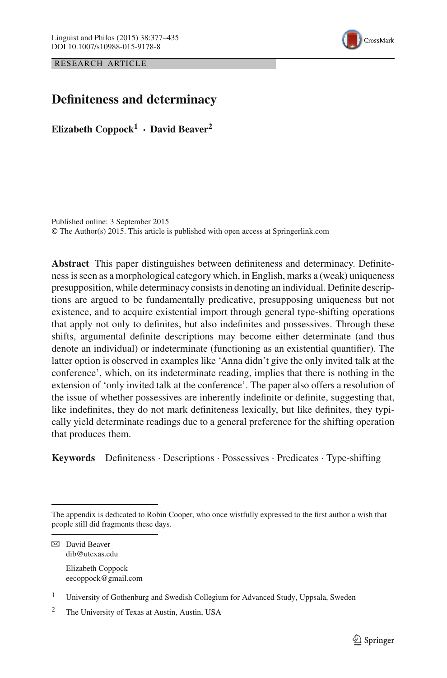



# **Definiteness and determinacy**

**Elizabeth Coppock<sup>1</sup> · David Beaver2**

Published online: 3 September 2015 © The Author(s) 2015. This article is published with open access at Springerlink.com

**Abstract** This paper distinguishes between definiteness and determinacy. Definiteness is seen as a morphological category which, in English, marks a (weak) uniqueness presupposition, while determinacy consists in denoting an individual. Definite descriptions are argued to be fundamentally predicative, presupposing uniqueness but not existence, and to acquire existential import through general type-shifting operations that apply not only to definites, but also indefinites and possessives. Through these shifts, argumental definite descriptions may become either determinate (and thus denote an individual) or indeterminate (functioning as an existential quantifier). The latter option is observed in examples like 'Anna didn't give the only invited talk at the conference', which, on its indeterminate reading, implies that there is nothing in the extension of 'only invited talk at the conference'. The paper also offers a resolution of the issue of whether possessives are inherently indefinite or definite, suggesting that, like indefinites, they do not mark definiteness lexically, but like definites, they typically yield determinate readings due to a general preference for the shifting operation that produces them.

**Keywords** Definiteness · Descriptions · Possessives · Predicates · Type-shifting

The appendix is dedicated to Robin Cooper, who once wistfully expressed to the first author a wish that people still did fragments these days.

 $\boxtimes$  David Beaver dib@utexas.edu Elizabeth Coppock eecoppock@gmail.com

<sup>&</sup>lt;sup>1</sup> University of Gothenburg and Swedish Collegium for Advanced Study, Uppsala, Sweden

<sup>2</sup> The University of Texas at Austin, Austin, USA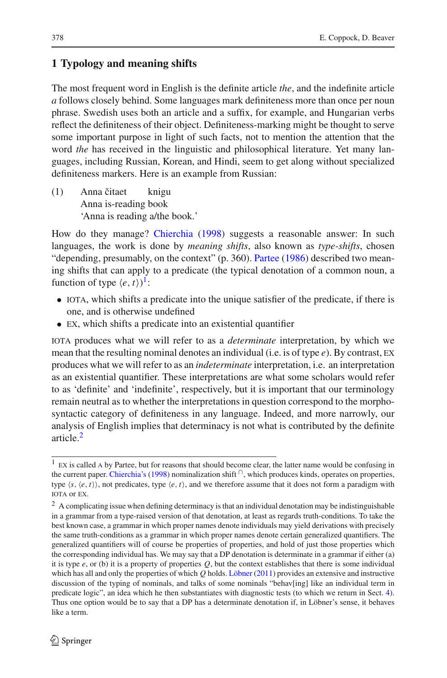# **1 Typology and meaning shifts**

The most frequent word in English is the definite article *the*, and the indefinite article *a* follows closely behind. Some languages mark definiteness more than once per noun phrase. Swedish uses both an article and a suffix, for example, and Hungarian verbs reflect the definiteness of their object. Definiteness-marking might be thought to serve some important purpose in light of such facts, not to mention the attention that the word *the* has received in the linguistic and philosophical literature. Yet many languages, including Russian, Korean, and Hindi, seem to get along without specialized definiteness markers. Here is an example from Russian:

<span id="page-1-2"></span>(1) Anna čitaet knigu Anna is-reading book 'Anna is reading a/the book.'

How do they manage? [Chierchia](#page-56-0) [\(1998\)](#page-56-0) suggests a reasonable answer: In such languages, the work is done by *meaning shifts*, also known as *type-shifts*, chosen "depending, presumably, on the context" (p. 360). [Partee](#page-57-0) [\(1986](#page-57-0)) described two meaning shifts that can apply to a predicate (the typical denotation of a common noun, a function of type  $\langle e, t \rangle$ <sup>[1](#page-1-0)</sup>:

- iota, which shifts a predicate into the unique satisfier of the predicate, if there is one, and is otherwise undefined
- EX, which shifts a predicate into an existential quantifier

iota produces what we will refer to as a *determinate* interpretation, by which we mean that the resulting nominal denotes an individual (i.e. is of type *e*). By contrast, ex produces what we will refer to as an *indeterminate* interpretation, i.e. an interpretation as an existential quantifier. These interpretations are what some scholars would refer to as 'definite' and 'indefinite', respectively, but it is important that our terminology remain neutral as to whether the interpretations in question correspond to the morphosyntactic category of definiteness in any language. Indeed, and more narrowly, our analysis of English implies that determinacy is not what is contributed by the definite article[.2](#page-1-1)

<span id="page-1-0"></span> $1$  EX is called A by Partee, but for reasons that should become clear, the latter name would be confusing in the current paper. [Chierchia's](#page-56-0) [\(1998](#page-56-0)) nominalization shift ∩, which produces kinds, operates on properties, type  $\langle s, \langle e, t \rangle$ , not predicates, type  $\langle e, t \rangle$ , and we therefore assume that it does not form a paradigm with IOTA or EX.

<span id="page-1-1"></span><sup>&</sup>lt;sup>2</sup> A complicating issue when defining determinacy is that an individual denotation may be indistinguishable in a grammar from a type-raised version of that denotation, at least as regards truth-conditions. To take the best known case, a grammar in which proper names denote individuals may yield derivations with precisely the same truth-conditions as a grammar in which proper names denote certain generalized quantifiers. The generalized quantifiers will of course be properties of properties, and hold of just those properties which the corresponding individual has. We may say that a DP denotation is determinate in a grammar if either (a) it is type *e*, or (b) it is a property of properties *Q*, but the context establishes that there is some individual which has all and only the properties of which *Q* holds. [Löbner](#page-57-1) [\(2011](#page-57-1)) provides an extensive and instructive discussion of the typing of nominals, and talks of some nominals "behav[ing] like an individual term in predicate logic", an idea which he then substantiates with diagnostic tests (to which we return in Sect. [4\)](#page-39-0). Thus one option would be to say that a DP has a determinate denotation if, in Löbner's sense, it behaves like a term.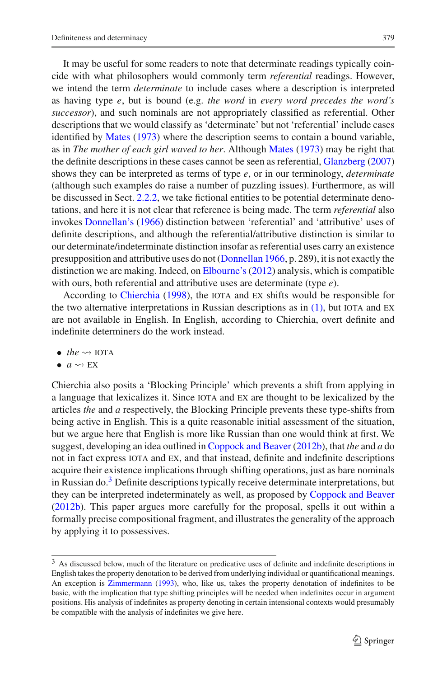It may be useful for some readers to note that determinate readings typically coincide with what philosophers would commonly term *referential* readings. However, we intend the term *determinate* to include cases where a description is interpreted as having type *e*, but is bound (e.g. *the word* in *every word precedes the word's successor*), and such nominals are not appropriately classified as referential. Other descriptions that we would classify as 'determinate' but not 'referential' include cases identified by [Mates](#page-57-2) [\(1973](#page-57-2)) where the description seems to contain a bound variable, as in *The mother of each girl waved to her*. Although [Mates](#page-57-2) [\(1973\)](#page-57-2) may be right that the definite descriptions in these cases cannot be seen as referential, [Glanzberg](#page-56-1) [\(2007\)](#page-56-1) shows they can be interpreted as terms of type *e*, or in our terminology, *determinate* (although such examples do raise a number of puzzling issues). Furthermore, as will be discussed in Sect. [2.2.2,](#page-10-0) we take fictional entities to be potential determinate denotations, and here it is not clear that reference is being made. The term *referential* also invokes [Donnellan's](#page-56-2) [\(1966](#page-56-2)) distinction between 'referential' and 'attributive' uses of definite descriptions, and although the referential/attributive distinction is similar to our determinate/indeterminate distinction insofar as referential uses carry an existence presupposition and attributive uses do not [\(Donnellan 1966](#page-56-2), p. 289), it is not exactly the distinction we are making. Indeed, on [Elbourne's\(2012\)](#page-56-3) analysis, which is compatible with ours, both referential and attributive uses are determinate (type *e*).

According to [Chierchia](#page-56-0) [\(1998\)](#page-56-0), the IOTA and EX shifts would be responsible for the two alternative interpretations in Russian descriptions as in  $(1)$ , but IOTA and EX are not available in English. In English, according to Chierchia, overt definite and indefinite determiners do the work instead.

- *the*  $\rightsquigarrow$  IOTA
- $a \leadsto EX$

Chierchia also posits a 'Blocking Principle' which prevents a shift from applying in a language that lexicalizes it. Since iota and ex are thought to be lexicalized by the articles *the* and *a* respectively, the Blocking Principle prevents these type-shifts from being active in English. This is a quite reasonable initial assessment of the situation, but we argue here that English is more like Russian than one would think at first. We suggest, developing an idea outlined in [Coppock and Beaver](#page-56-4) [\(2012b\)](#page-56-4), that *the* and *a* do not in fact express IOTA and EX, and that instead, definite and indefinite descriptions acquire their existence implications through shifting operations, just as bare nominals in Russian do. $3$  Definite descriptions typically receive determinate interpretations, but they can be interpreted indeterminately as well, as proposed by [Coppock and Beaver](#page-56-4) [\(2012b\)](#page-56-4). This paper argues more carefully for the proposal, spells it out within a formally precise compositional fragment, and illustrates the generality of the approach by applying it to possessives.

<span id="page-2-0"></span><sup>&</sup>lt;sup>3</sup> As discussed below, much of the literature on predicative uses of definite and indefinite descriptions in English takes the property denotation to be derived from underlying individual or quantificational meanings. An exception is [Zimmermann](#page-58-0) [\(1993](#page-58-0)), who, like us, takes the property denotation of indefinites to be basic, with the implication that type shifting principles will be needed when indefinites occur in argument positions. His analysis of indefinites as property denoting in certain intensional contexts would presumably be compatible with the analysis of indefinites we give here.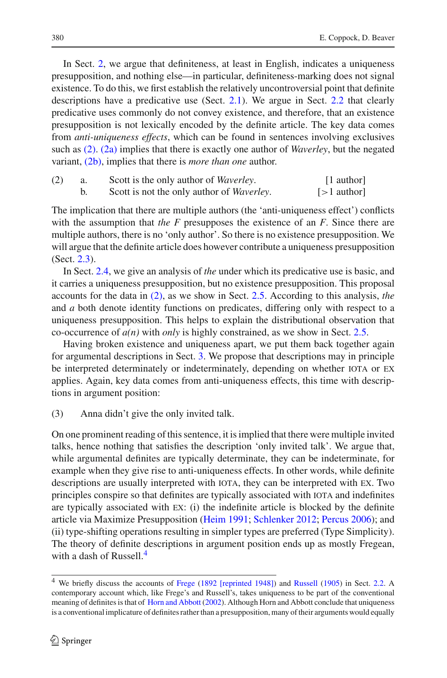In Sect. [2,](#page-4-0) we argue that definiteness, at least in English, indicates a uniqueness presupposition, and nothing else—in particular, definiteness-marking does not signal existence. To do this, we first establish the relatively uncontroversial point that definite descriptions have a predicative use (Sect. [2.1\)](#page-4-1). We argue in Sect. [2.2](#page-6-0) that clearly predicative uses commonly do not convey existence, and therefore, that an existence presupposition is not lexically encoded by the definite article. The key data comes from *anti-uniqueness effects*, which can be found in sentences involving exclusives such as [\(2\).](#page-3-0) [\(2a\)](#page-3-1) implies that there is exactly one author of *Waverley*, but the negated variant, [\(2b\),](#page-3-0) implies that there is *more than one* author.

<span id="page-3-1"></span><span id="page-3-0"></span>

| (2) | Scott is the only author of <i>Waverley</i> .     | $\lceil 1 \text{ author} \rceil$ |
|-----|---------------------------------------------------|----------------------------------|
|     | Scott is not the only author of <i>Waverley</i> . | $\lceil$ > 1 author              |

The implication that there are multiple authors (the 'anti-uniqueness effect') conflicts with the assumption that *the F* presupposes the existence of an *F*. Since there are multiple authors, there is no 'only author'. So there is no existence presupposition. We will argue that the definite article does however contribute a uniqueness presupposition (Sect. [2.3\)](#page-16-0).

In Sect. [2.4,](#page-18-0) we give an analysis of *the* under which its predicative use is basic, and it carries a uniqueness presupposition, but no existence presupposition. This proposal accounts for the data in [\(2\),](#page-3-0) as we show in Sect. [2.5.](#page-21-0) According to this analysis, *the* and *a* both denote identity functions on predicates, differing only with respect to a uniqueness presupposition. This helps to explain the distributional observation that co-occurrence of *a(n)* with *only* is highly constrained, as we show in Sect. [2.5.](#page-21-0)

Having broken existence and uniqueness apart, we put them back together again for argumental descriptions in Sect. [3.](#page-28-0) We propose that descriptions may in principle be interpreted determinately or indeterminately, depending on whether IOTA or EX applies. Again, key data comes from anti-uniqueness effects, this time with descriptions in argument position:

(3) Anna didn't give the only invited talk.

On one prominent reading of this sentence, it is implied that there were multiple invited talks, hence nothing that satisfies the description 'only invited talk'. We argue that, while argumental definites are typically determinate, they can be indeterminate, for example when they give rise to anti-uniqueness effects. In other words, while definite descriptions are usually interpreted with IOTA, they can be interpreted with EX. Two principles conspire so that definites are typically associated with iota and indefinites are typically associated with ex: (i) the indefinite article is blocked by the definite article via Maximize Presupposition [\(Heim 1991](#page-56-5); [Schlenker 2012](#page-57-3); [Percus 2006](#page-57-4)); and (ii) type-shifting operations resulting in simpler types are preferred (Type Simplicity). The theory of definite descriptions in argument position ends up as mostly Fregean, with a dash of Russell.<sup>[4](#page-3-2)</sup>

<span id="page-3-2"></span><sup>4</sup> We briefly discuss the accounts of [Frege](#page-56-6) [\(1892 \[reprinted 1948\]](#page-56-6)) and [Russell](#page-57-5) [\(1905](#page-57-5)) in Sect. [2.2.](#page-6-0) A contemporary account which, like Frege's and Russell's, takes uniqueness to be part of the conventional meaning of definites is that of [Horn and Abbott](#page-56-7) [\(2002\)](#page-56-7). Although Horn and Abbott conclude that uniqueness is a conventional implicature of definites rather than a presupposition, many of their arguments would equally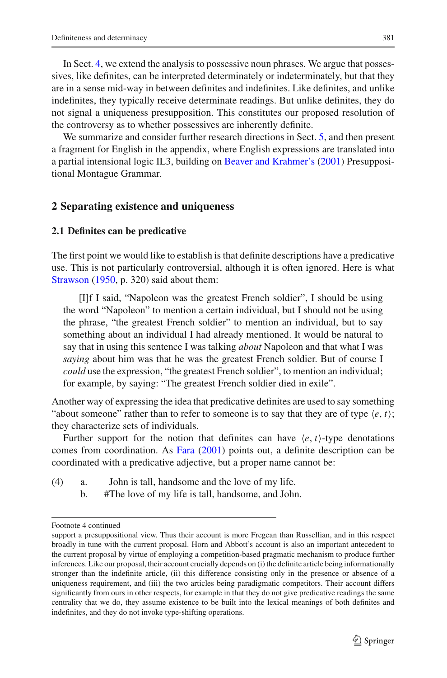In Sect. [4,](#page-39-0) we extend the analysis to possessive noun phrases. We argue that possessives, like definites, can be interpreted determinately or indeterminately, but that they are in a sense mid-way in between definites and indefinites. Like definites, and unlike indefinites, they typically receive determinate readings. But unlike definites, they do not signal a uniqueness presupposition. This constitutes our proposed resolution of the controversy as to whether possessives are inherently definite.

We summarize and consider further research directions in Sect. [5,](#page-46-0) and then present a fragment for English in the appendix, where English expressions are translated into a partial intensional logic IL3, building on [Beaver and Krahmer's](#page-55-0) [\(2001](#page-55-0)) Presuppositional Montague Grammar.

### <span id="page-4-0"></span>**2 Separating existence and uniqueness**

#### <span id="page-4-1"></span>**2.1 Definites can be predicative**

The first point we would like to establish is that definite descriptions have a predicative use. This is not particularly controversial, although it is often ignored. Here is what [Strawson](#page-58-1) [\(1950](#page-58-1), p. 320) said about them:

[I]f I said, "Napoleon was the greatest French soldier", I should be using the word "Napoleon" to mention a certain individual, but I should not be using the phrase, "the greatest French soldier" to mention an individual, but to say something about an individual I had already mentioned. It would be natural to say that in using this sentence I was talking *about* Napoleon and that what I was *saying* about him was that he was the greatest French soldier. But of course I *could* use the expression, "the greatest French soldier", to mention an individual; for example, by saying: "The greatest French soldier died in exile".

Another way of expressing the idea that predicative definites are used to say something "about someone" rather than to refer to someone is to say that they are of type  $\langle e, t \rangle$ ; they characterize sets of individuals.

Further support for the notion that definites can have  $\langle e, t \rangle$ -type denotations comes from coordination. As [Fara](#page-56-8) [\(2001](#page-56-8)) points out, a definite description can be coordinated with a predicative adjective, but a proper name cannot be:

(4) a. John is tall, handsome and the love of my life.

b. #The love of my life is tall, handsome, and John.

Footnote 4 continued

support a presuppositional view. Thus their account is more Fregean than Russellian, and in this respect broadly in tune with the current proposal. Horn and Abbott's account is also an important antecedent to the current proposal by virtue of employing a competition-based pragmatic mechanism to produce further inferences. Like our proposal, their account crucially depends on (i) the definite article being informationally stronger than the indefinite article, (ii) this difference consisting only in the presence or absence of a uniqueness requirement, and (iii) the two articles being paradigmatic competitors. Their account differs significantly from ours in other respects, for example in that they do not give predicative readings the same centrality that we do, they assume existence to be built into the lexical meanings of both definites and indefinites, and they do not invoke type-shifting operations.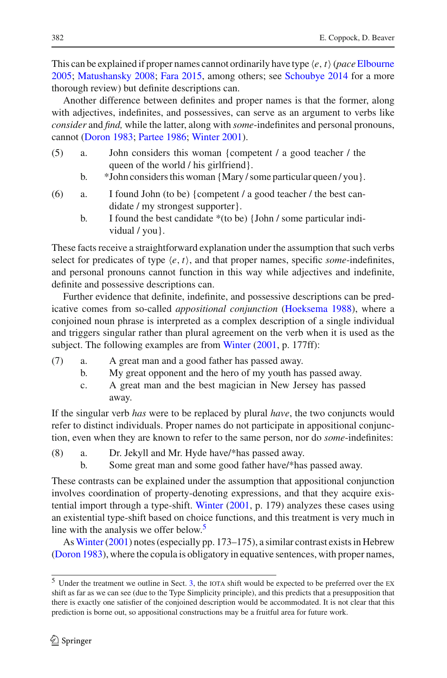This can be explained if proper names cannot ordinarily have type  $\langle e, t \rangle$  (*pace* [Elbourne](#page-56-9) [2005;](#page-56-9) [Matushansky 2008](#page-57-6); [Fara 2015,](#page-56-10) among others; see [Schoubye 2014](#page-57-7) for a more thorough review) but definite descriptions can.

Another difference between definites and proper names is that the former, along with adjectives, indefinites, and possessives, can serve as an argument to verbs like *consider* and *find,* while the latter, along with *some*-indefinites and personal pronouns, cannot [\(Doron 1983;](#page-56-11) [Partee 1986](#page-57-0); [Winter 2001](#page-58-2)).

- (5) a. John considers this woman {competent / a good teacher / the queen of the world / his girlfriend}.
	- b. \*John considers this woman {Mary / some particular queen / you}.
- (6) a. I found John (to be) {competent / a good teacher / the best candidate / my strongest supporter}.
	- b. I found the best candidate \*(to be) {John / some particular individual / you}.

These facts receive a straightforward explanation under the assumption that such verbs select for predicates of type  $\langle e, t \rangle$ , and that proper names, specific *some*-indefinites, and personal pronouns cannot function in this way while adjectives and indefinite, definite and possessive descriptions can.

Further evidence that definite, indefinite, and possessive descriptions can be predicative comes from so-called *appositional conjunction* [\(Hoeksema 1988\)](#page-56-12), where a conjoined noun phrase is interpreted as a complex description of a single individual and triggers singular rather than plural agreement on the verb when it is used as the subject. The following examples are from [Winter](#page-58-2) [\(2001](#page-58-2), p. 177ff):

- (7) a. A great man and a good father has passed away.
	- b. My great opponent and the hero of my youth has passed away.
	- c. A great man and the best magician in New Jersey has passed away.

If the singular verb *has* were to be replaced by plural *have*, the two conjuncts would refer to distinct individuals. Proper names do not participate in appositional conjunction, even when they are known to refer to the same person, nor do *some*-indefinites:

- (8) a. Dr. Jekyll and Mr. Hyde have/\*has passed away.
	- b. Some great man and some good father have/\*has passed away.

These contrasts can be explained under the assumption that appositional conjunction involves coordination of property-denoting expressions, and that they acquire existential import through a type-shift. [Winter](#page-58-2) [\(2001,](#page-58-2) p. 179) analyzes these cases using an existential type-shift based on choice functions, and this treatment is very much in line with the analysis we offer below.<sup>5</sup>

As[Winter\(2001\)](#page-58-2) notes (especially pp. 173–175), a similar contrast exists in Hebrew [\(Doron 1983\)](#page-56-11), where the copula is obligatory in equative sentences, with proper names,

<span id="page-5-0"></span> $5$  Under the treatment we outline in Sect. [3,](#page-28-0) the IOTA shift would be expected to be preferred over the EX shift as far as we can see (due to the Type Simplicity principle), and this predicts that a presupposition that there is exactly one satisfier of the conjoined description would be accommodated. It is not clear that this prediction is borne out, so appositional constructions may be a fruitful area for future work.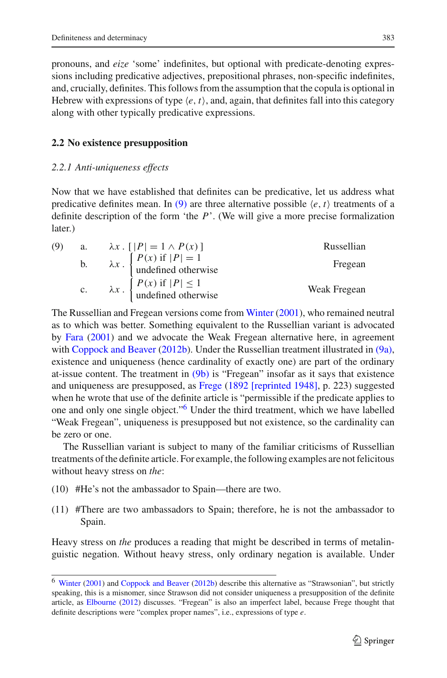pronouns, and *eize* 'some' indefinites, but optional with predicate-denoting expressions including predicative adjectives, prepositional phrases, non-specific indefinites, and, crucially, definites. This follows from the assumption that the copula is optional in Hebrew with expressions of type  $\langle e, t \rangle$ , and, again, that definites fall into this category along with other typically predicative expressions.

### <span id="page-6-0"></span>**2.2 No existence presupposition**

#### *2.2.1 Anti-uniqueness effects*

Now that we have established that definites can be predicative, let us address what predicative definites mean. In [\(9\)](#page-6-1) are three alternative possible  $\langle e, t \rangle$  treatments of a definite description of the form 'the *P*'. (We will give a more precise formalization later.)

<span id="page-6-3"></span><span id="page-6-2"></span><span id="page-6-1"></span>

| (9) | а. | $\lambda x$ . $[ P  = 1 \wedge P(x)]$                                                                 | Russellian   |
|-----|----|-------------------------------------------------------------------------------------------------------|--------------|
|     | b. | $\lambda x \cdot \begin{cases} P(x) \text{ if }  P  = 1 \\ \text{undefined otherwise} \end{cases}$    | Fregean      |
|     | c. | $\lambda x \cdot \begin{cases} P(x) \text{ if }  P  \leq 1 \\ \text{undefined otherwise} \end{cases}$ | Weak Fregean |

The Russellian and Fregean versions come from [Winter](#page-58-2) [\(2001](#page-58-2)), who remained neutral as to which was better. Something equivalent to the Russellian variant is advocated by [Fara](#page-56-8) [\(2001\)](#page-56-8) and we advocate the Weak Fregean alternative here, in agreement with [Coppock and Beaver](#page-56-4) [\(2012b\)](#page-56-4). Under the Russellian treatment illustrated in [\(9a\),](#page-6-2) existence and uniqueness (hence cardinality of exactly one) are part of the ordinary at-issue content. The treatment in [\(9b\)](#page-6-3) is "Fregean" insofar as it says that existence and uniqueness are presupposed, as [Frege](#page-56-6) [\(1892 \[reprinted 1948\]](#page-56-6), p. 223) suggested when he wrote that use of the definite article is "permissible if the predicate applies to one and only one single object."<sup>6</sup> Under the third treatment, which we have labelled "Weak Fregean", uniqueness is presupposed but not existence, so the cardinality can be zero or one.

The Russellian variant is subject to many of the familiar criticisms of Russellian treatments of the definite article. For example, the following examples are not felicitous without heavy stress on *the*:

- (10) #He's not the ambassador to Spain—there are two.
- (11) #There are two ambassadors to Spain; therefore, he is not the ambassador to Spain.

Heavy stress on *the* produces a reading that might be described in terms of metalinguistic negation. Without heavy stress, only ordinary negation is available. Under

<span id="page-6-4"></span><sup>6</sup> [Winter](#page-58-2) [\(2001](#page-58-2)) and [Coppock and Beaver](#page-56-4) [\(2012b](#page-56-4)) describe this alternative as "Strawsonian", but strictly speaking, this is a misnomer, since Strawson did not consider uniqueness a presupposition of the definite article, as [Elbourne](#page-56-3) [\(2012\)](#page-56-3) discusses. "Fregean" is also an imperfect label, because Frege thought that definite descriptions were "complex proper names", i.e., expressions of type *e*.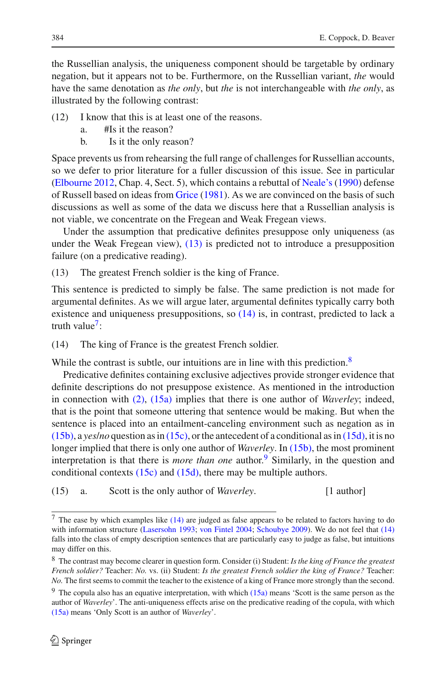the Russellian analysis, the uniqueness component should be targetable by ordinary negation, but it appears not to be. Furthermore, on the Russellian variant, *the* would have the same denotation as *the only*, but *the* is not interchangeable with *the only*, as illustrated by the following contrast:

- (12) I know that this is at least one of the reasons.
	- a. #Is it the reason?
	- b. Is it the only reason?

Space prevents us from rehearsing the full range of challenges for Russellian accounts, so we defer to prior literature for a fuller discussion of this issue. See in particular [\(Elbourne 2012,](#page-56-3) Chap. 4, Sect. 5), which contains a rebuttal of [Neale's](#page-57-8) [\(1990](#page-57-8)) defense of Russell based on ideas from [Grice](#page-56-13) [\(1981](#page-56-13)). As we are convinced on the basis of such discussions as well as some of the data we discuss here that a Russellian analysis is not viable, we concentrate on the Fregean and Weak Fregean views.

Under the assumption that predicative definites presuppose only uniqueness (as under the Weak Fregean view), [\(13\)](#page-7-0) is predicted not to introduce a presupposition failure (on a predicative reading).

<span id="page-7-0"></span>(13) The greatest French soldier is the king of France.

This sentence is predicted to simply be false. The same prediction is not made for argumental definites. As we will argue later, argumental definites typically carry both existence and uniqueness presuppositions, so  $(14)$  is, in contrast, predicted to lack a truth value<sup>7</sup>:

<span id="page-7-1"></span>(14) The king of France is the greatest French soldier.

While the contrast is subtle, our intuitions are in line with this prediction. $8$ 

Predicative definites containing exclusive adjectives provide stronger evidence that definite descriptions do not presuppose existence. As mentioned in the introduction in connection with [\(2\),](#page-3-0) [\(15a\)](#page-7-4) implies that there is one author of *Waverley*; indeed, that is the point that someone uttering that sentence would be making. But when the sentence is placed into an entailment-canceling environment such as negation as in [\(15b\),](#page-8-0) a *yes*/*no* question as in [\(15c\),](#page-8-1) or the antecedent of a conditional as in [\(15d\),](#page-8-2) it is no longer implied that there is only one author of *Waverley*. In [\(15b\),](#page-8-0) the most prominent interpretation is that there is *more than one* author.<sup>[9](#page-7-5)</sup> Similarly, in the question and conditional contexts  $(15c)$  and  $(15d)$ , there may be multiple authors.

<span id="page-7-4"></span>(15) a. Scott is the only author of *Waverley*. [1 author]

<span id="page-7-2"></span> $7$  The ease by which examples like  $(14)$  are judged as false appears to be related to factors having to do with information structure [\(Lasersohn 1993;](#page-57-9) [von Fintel 2004;](#page-58-3) [Schoubye 2009\)](#page-57-10). We do not feel that [\(14\)](#page-7-1) falls into the class of empty description sentences that are particularly easy to judge as false, but intuitions may differ on this.

<span id="page-7-3"></span><sup>8</sup> The contrast may become clearer in question form. Consider (i) Student: *Is the king of France the greatest French soldier?* Teacher: *No.* vs. (ii) Student: *Is the greatest French soldier the king of France?* Teacher: *No.* The first seems to commit the teacher to the existence of a king of France more strongly than the second.

<span id="page-7-5"></span> $9$  The copula also has an equative interpretation, with which  $(15a)$  means 'Scott is the same person as the author of *Waverley*'. The anti-uniqueness effects arise on the predicative reading of the copula, with which [\(15a\)](#page-7-4) means 'Only Scott is an author of *Waverley*'.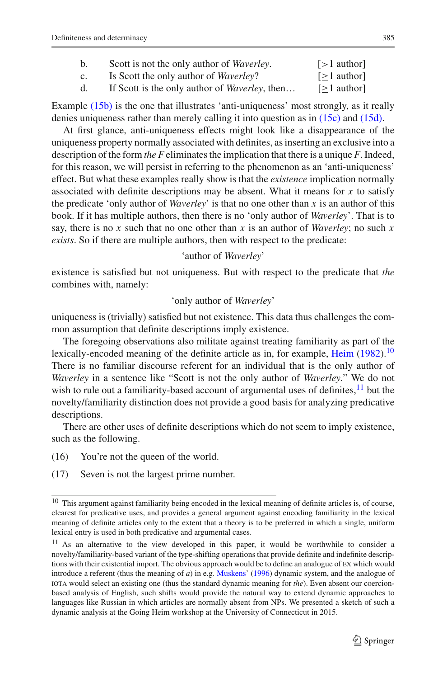| b. | Scott is not the only author of <i>Waverley</i> .     | $\lceil$ > 1 author |
|----|-------------------------------------------------------|---------------------|
| c. | Is Scott the only author of <i>Waverley</i> ?         | $\lceil$ > 1 author |
| d. | If Scott is the only author of <i>Waverley</i> , then | $[\geq]$ author     |

<span id="page-8-2"></span><span id="page-8-1"></span><span id="page-8-0"></span>Example [\(15b\)](#page-8-0) is the one that illustrates 'anti-uniqueness' most strongly, as it really denies uniqueness rather than merely calling it into question as in [\(15c\)](#page-8-1) and [\(15d\).](#page-8-2)

At first glance, anti-uniqueness effects might look like a disappearance of the uniqueness property normally associated with definites, as inserting an exclusive into a description of the form *the F* eliminates the implication that there is a unique *F*. Indeed, for this reason, we will persist in referring to the phenomenon as an 'anti-uniqueness' effect. But what these examples really show is that the *existence* implication normally associated with definite descriptions may be absent. What it means for *x* to satisfy the predicate 'only author of *Waverley*' is that no one other than *x* is an author of this book. If it has multiple authors, then there is no 'only author of *Waverley*'. That is to say, there is no *x* such that no one other than *x* is an author of *Waverley*; no such *x exists*. So if there are multiple authors, then with respect to the predicate:

### 'author of *Waverley*'

existence is satisfied but not uniqueness. But with respect to the predicate that *the* combines with, namely:

#### 'only author of *Waverley*'

uniqueness is (trivially) satisfied but not existence. This data thus challenges the common assumption that definite descriptions imply existence.

The foregoing observations also militate against treating familiarity as part of the lexically-encoded meaning of the definite article as in, for example, [Heim](#page-56-14) [\(1982](#page-56-14)).<sup>[10](#page-8-3)</sup> There is no familiar discourse referent for an individual that is the only author of *Waverley* in a sentence like "Scott is not the only author of *Waverley*." We do not wish to rule out a familiarity-based account of argumental uses of definites,  $\frac{11}{1}$  $\frac{11}{1}$  $\frac{11}{1}$  but the novelty/familiarity distinction does not provide a good basis for analyzing predicative descriptions.

There are other uses of definite descriptions which do not seem to imply existence, such as the following.

- <span id="page-8-6"></span><span id="page-8-5"></span>(16) You're not the queen of the world.
- (17) Seven is not the largest prime number.

<span id="page-8-3"></span><sup>10</sup> This argument against familiarity being encoded in the lexical meaning of definite articles is, of course, clearest for predicative uses, and provides a general argument against encoding familiarity in the lexical meaning of definite articles only to the extent that a theory is to be preferred in which a single, uniform lexical entry is used in both predicative and argumental cases.

<span id="page-8-4"></span> $11$  As an alternative to the view developed in this paper, it would be worthwhile to consider a novelty/familiarity-based variant of the type-shifting operations that provide definite and indefinite descriptions with their existential import. The obvious approach would be to define an analogue of ex which would introduce a referent (thus the meaning of *a*) in e.g. [Muskens'](#page-57-11) [\(1996](#page-57-11)) dynamic system, and the analogue of iota would select an existing one (thus the standard dynamic meaning for *the*). Even absent our coercionbased analysis of English, such shifts would provide the natural way to extend dynamic approaches to languages like Russian in which articles are normally absent from NPs. We presented a sketch of such a dynamic analysis at the Going Heim workshop at the University of Connecticut in 2015.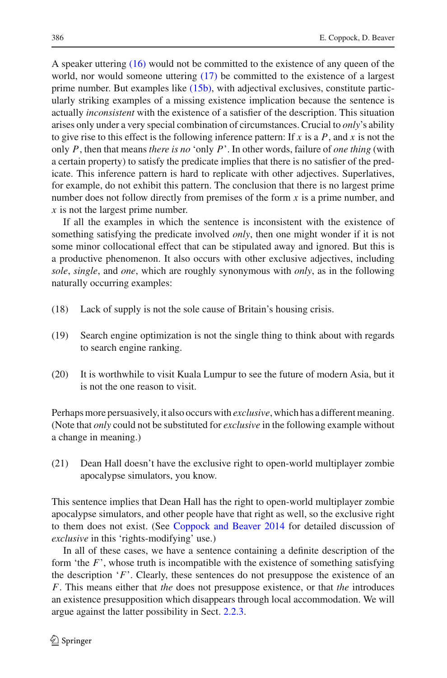A speaker uttering  $(16)$  would not be committed to the existence of any queen of the world, nor would someone uttering [\(17\)](#page-8-6) be committed to the existence of a largest prime number. But examples like [\(15b\),](#page-8-0) with adjectival exclusives, constitute particularly striking examples of a missing existence implication because the sentence is actually *inconsistent* with the existence of a satisfier of the description. This situation arises only under a very special combination of circumstances. Crucial to *only*'s ability to give rise to this effect is the following inference pattern: If *x* is a *P*, and *x* is not the only *P*, then that means *there is no* 'only *P*'. In other words, failure of *one thing* (with a certain property) to satisfy the predicate implies that there is no satisfier of the predicate. This inference pattern is hard to replicate with other adjectives. Superlatives, for example, do not exhibit this pattern. The conclusion that there is no largest prime number does not follow directly from premises of the form *x* is a prime number, and *x* is not the largest prime number.

If all the examples in which the sentence is inconsistent with the existence of something satisfying the predicate involved *only*, then one might wonder if it is not some minor collocational effect that can be stipulated away and ignored. But this is a productive phenomenon. It also occurs with other exclusive adjectives, including *sole*, *single*, and *one*, which are roughly synonymous with *only*, as in the following naturally occurring examples:

- (18) Lack of supply is not the sole cause of Britain's housing crisis.
- (19) Search engine optimization is not the single thing to think about with regards to search engine ranking.
- (20) It is worthwhile to visit Kuala Lumpur to see the future of modern Asia, but it is not the one reason to visit.

Perhaps more persuasively, it also occurs with *exclusive*, which has a different meaning. (Note that *only* could not be substituted for *exclusive* in the following example without a change in meaning.)

(21) Dean Hall doesn't have the exclusive right to open-world multiplayer zombie apocalypse simulators, you know.

This sentence implies that Dean Hall has the right to open-world multiplayer zombie apocalypse simulators, and other people have that right as well, so the exclusive right to them does not exist. (See [Coppock and Beaver 2014](#page-56-15) for detailed discussion of *exclusive* in this 'rights-modifying' use.)

In all of these cases, we have a sentence containing a definite description of the form 'the *F*', whose truth is incompatible with the existence of something satisfying the description '*F*'. Clearly, these sentences do not presuppose the existence of an *F*. This means either that *the* does not presuppose existence, or that *the* introduces an existence presupposition which disappears through local accommodation. We will argue against the latter possibility in Sect. [2.2.3.](#page-12-0)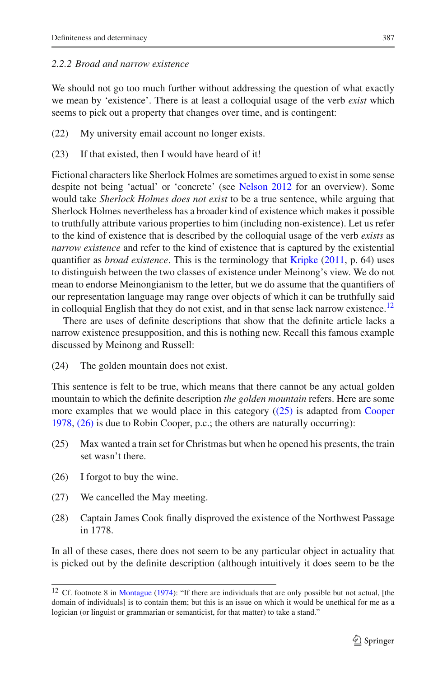### <span id="page-10-0"></span>*2.2.2 Broad and narrow existence*

We should not go too much further without addressing the question of what exactly we mean by 'existence'. There is at least a colloquial usage of the verb *exist* which seems to pick out a property that changes over time, and is contingent:

- (22) My university email account no longer exists.
- (23) If that existed, then I would have heard of it!

Fictional characters like Sherlock Holmes are sometimes argued to exist in some sense despite not being 'actual' or 'concrete' (see [Nelson 2012](#page-57-12) for an overview). Some would take *Sherlock Holmes does not exist* to be a true sentence, while arguing that Sherlock Holmes nevertheless has a broader kind of existence which makes it possible to truthfully attribute various properties to him (including non-existence). Let us refer to the kind of existence that is described by the colloquial usage of the verb *exists* as *narrow existence* and refer to the kind of existence that is captured by the existential quantifier as *broad existence*. This is the terminology that [Kripke](#page-57-13) [\(2011](#page-57-13), p. 64) uses to distinguish between the two classes of existence under Meinong's view. We do not mean to endorse Meinongianism to the letter, but we do assume that the quantifiers of our representation language may range over objects of which it can be truthfully said in colloquial English that they do not exist, and in that sense lack narrow existence.<sup>12</sup>

There are uses of definite descriptions that show that the definite article lacks a narrow existence presupposition, and this is nothing new. Recall this famous example discussed by Meinong and Russell:

(24) The golden mountain does not exist.

This sentence is felt to be true, which means that there cannot be any actual golden mountain to which the definite description *the golden mountain* refers. Here are some more examples that we would place in this category  $(25)$  is adapted from [Cooper](#page-56-16) [1978,](#page-56-16) [\(26\)](#page-10-3) is due to Robin Cooper, p.c.; the others are naturally occurring):

- <span id="page-10-2"></span>(25) Max wanted a train set for Christmas but when he opened his presents, the train set wasn't there.
- <span id="page-10-3"></span>(26) I forgot to buy the wine.
- (27) We cancelled the May meeting.
- (28) Captain James Cook finally disproved the existence of the Northwest Passage in 1778.

In all of these cases, there does not seem to be any particular object in actuality that is picked out by the definite description (although intuitively it does seem to be the

<span id="page-10-1"></span><sup>12</sup> Cf. footnote 8 in [Montague](#page-57-14) [\(1974](#page-57-14)): "If there are individuals that are only possible but not actual, [the domain of individuals] is to contain them; but this is an issue on which it would be unethical for me as a logician (or linguist or grammarian or semanticist, for that matter) to take a stand."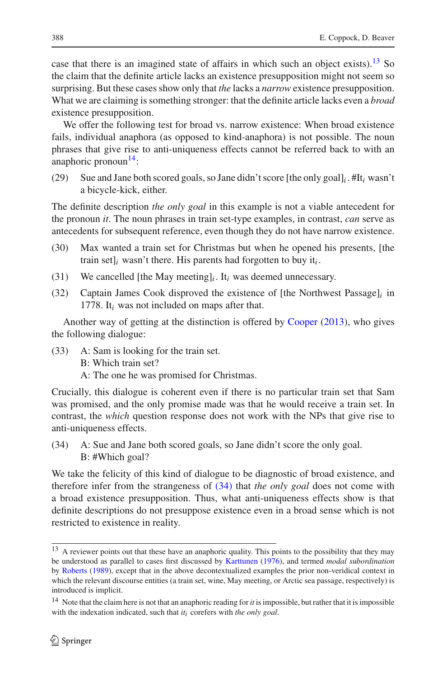case that there is an imagined state of affairs in which such an object exists)[.13](#page-11-0) So the claim that the definite article lacks an existence presupposition might not seem so surprising. But these cases show only that *the* lacks a *narrow* existence presupposition. What we are claiming is something stronger: that the definite article lacks even a *broad* existence presupposition.

We offer the following test for broad vs. narrow existence: When broad existence fails, individual anaphora (as opposed to kind-anaphora) is not possible. The noun phrases that give rise to anti-uniqueness effects cannot be referred back to with an anaphoric pronoun<sup>14</sup>:

(29) Sue and Jane both scored goals, so Jane didn't score [the only goal]*i* . #It*i* wasn't a bicycle-kick, either.

The definite description *the only goal* in this example is not a viable antecedent for the pronoun *it*. The noun phrases in train set-type examples, in contrast, *can* serve as antecedents for subsequent reference, even though they do not have narrow existence.

- (30) Max wanted a train set for Christmas but when he opened his presents, [the train set]<sub>*i*</sub> wasn't there. His parents had forgotten to buy it<sub>*i*</sub>.
- (31) We cancelled [the May meeting] $_i$ . It<sub>i</sub> was deemed unnecessary.
- (32) Captain James Cook disproved the existence of [the Northwest Passage]*i* in 1778. It*i* was not included on maps after that.

Another way of getting at the distinction is offered by [Cooper](#page-56-17) [\(2013\)](#page-56-17), who gives the following dialogue:

- (33) A: Sam is looking for the train set.
	- B: Which train set?
	- A: The one he was promised for Christmas.

Crucially, this dialogue is coherent even if there is no particular train set that Sam was promised, and the only promise made was that he would receive a train set. In contrast, the *which* question response does not work with the NPs that give rise to anti-uniqueness effects.

<span id="page-11-2"></span>(34) A: Sue and Jane both scored goals, so Jane didn't score the only goal. B: #Which goal?

We take the felicity of this kind of dialogue to be diagnostic of broad existence, and therefore infer from the strangeness of [\(34\)](#page-11-2) that *the only goal* does not come with a broad existence presupposition. Thus, what anti-uniqueness effects show is that definite descriptions do not presuppose existence even in a broad sense which is not restricted to existence in reality.

<span id="page-11-0"></span><sup>&</sup>lt;sup>13</sup> A reviewer points out that these have an anaphoric quality. This points to the possibility that they may be understood as parallel to cases first discussed by [Karttunen](#page-57-15) [\(1976\)](#page-57-15), and termed *modal subordination* by [Roberts](#page-57-16) [\(1989\)](#page-57-16), except that in the above decontextualized examples the prior non-veridical context in which the relevant discourse entities (a train set, wine, May meeting, or Arctic sea passage, respectively) is introduced is implicit.

<span id="page-11-1"></span><sup>14</sup> Note that the claim here is not that an anaphoric reading for *it* is impossible, but rather that it is impossible with the indexation indicated, such that *it<sub>i</sub>* corefers with *the only goal*.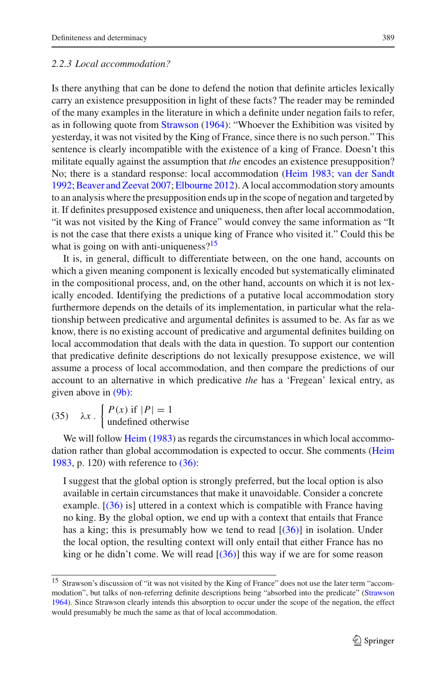#### <span id="page-12-0"></span>*2.2.3 Local accommodation?*

Is there anything that can be done to defend the notion that definite articles lexically carry an existence presupposition in light of these facts? The reader may be reminded of the many examples in the literature in which a definite under negation fails to refer, as in following quote from [Strawson](#page-58-4) [\(1964](#page-58-4)): "Whoever the Exhibition was visited by yesterday, it was not visited by the King of France, since there is no such person." This sentence is clearly incompatible with the existence of a king of France. Doesn't this militate equally against the assumption that *the* encodes an existence presupposition? No; there is a standard response: local accommodation [\(Heim 1983;](#page-56-18) [van der Sandt](#page-58-5) [1992;](#page-58-5) [Beaver and Zeevat 2007](#page-55-1); [Elbourne 2012\)](#page-56-3). A local accommodation story amounts to an analysis where the presupposition ends up in the scope of negation and targeted by it. If definites presupposed existence and uniqueness, then after local accommodation, "it was not visited by the King of France" would convey the same information as "It is not the case that there exists a unique king of France who visited it." Could this be what is going on with anti-uniqueness? $15$ 

It is, in general, difficult to differentiate between, on the one hand, accounts on which a given meaning component is lexically encoded but systematically eliminated in the compositional process, and, on the other hand, accounts on which it is not lexically encoded. Identifying the predictions of a putative local accommodation story furthermore depends on the details of its implementation, in particular what the relationship between predicative and argumental definites is assumed to be. As far as we know, there is no existing account of predicative and argumental definites building on local accommodation that deals with the data in question. To support our contention that predicative definite descriptions do not lexically presuppose existence, we will assume a process of local accommodation, and then compare the predictions of our account to an alternative in which predicative *the* has a 'Fregean' lexical entry, as given above in [\(9b\):](#page-6-3)

(35)  $\lambda x \cdot \begin{cases} P(x) \text{ if } |P| = 1 \\ \text{undefined,} \end{cases}$ undefined otherwise

We will follow [Heim](#page-56-18) [\(1983\)](#page-56-18) as regards the circumstances in which local accommodation rather than global accommodation is expected to occur. She comments [\(Heim](#page-56-18) [1983,](#page-56-18) p. 120) with reference to [\(36\):](#page-13-0)

I suggest that the global option is strongly preferred, but the local option is also available in certain circumstances that make it unavoidable. Consider a concrete example.  $[(36)$  is] uttered in a context which is compatible with France having no king. By the global option, we end up with a context that entails that France has a king; this is presumably how we tend to read  $[(36)]$  in isolation. Under the local option, the resulting context will only entail that either France has no king or he didn't come. We will read [\[\(36\)\]](#page-13-0) this way if we are for some reason

<span id="page-12-1"></span><sup>15</sup> Strawson's discussion of "it was not visited by the King of France" does not use the later term "accommodation", but talks of non-referring definite descriptions being "absorbed into the predicate" [\(Strawson](#page-58-4) [1964\)](#page-58-4). Since Strawson clearly intends this absorption to occur under the scope of the negation, the effect would presumably be much the same as that of local accommodation.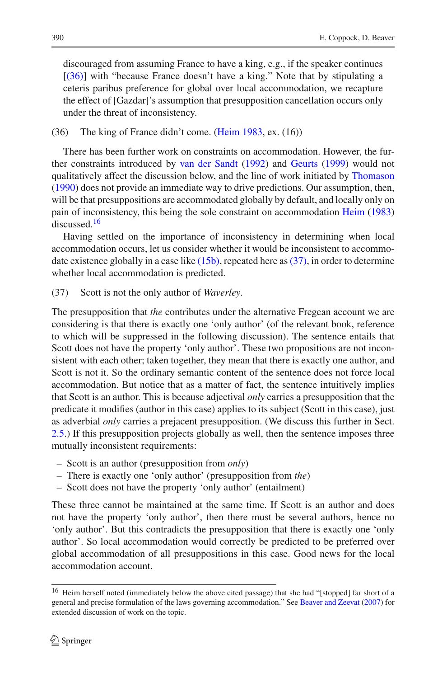discouraged from assuming France to have a king, e.g., if the speaker continues [\[\(36\)\]](#page-13-0) with "because France doesn't have a king." Note that by stipulating a ceteris paribus preference for global over local accommodation, we recapture the effect of [Gazdar]'s assumption that presupposition cancellation occurs only under the threat of inconsistency.

# <span id="page-13-0"></span>(36) The king of France didn't come. [\(Heim 1983](#page-56-18), ex. (16))

There has been further work on constraints on accommodation. However, the further constraints introduced by [van der Sandt](#page-58-5) [\(1992\)](#page-58-5) and [Geurts](#page-56-19) [\(1999\)](#page-56-19) would not qualitatively affect the discussion below, and the line of work initiated by [Thomason](#page-58-6) [\(1990\)](#page-58-6) does not provide an immediate way to drive predictions. Our assumption, then, will be that presuppositions are accommodated globally by default, and locally only on pain of inconsistency, this being the sole constraint on accommodation [Heim](#page-56-18) [\(1983\)](#page-56-18) discussed.<sup>[16](#page-13-1)</sup>

Having settled on the importance of inconsistency in determining when local accommodation occurs, let us consider whether it would be inconsistent to accommodate existence globally in a case like  $(15b)$ , repeated here as  $(37)$ , in order to determine whether local accommodation is predicted.

<span id="page-13-2"></span>(37) Scott is not the only author of *Waverley*.

The presupposition that *the* contributes under the alternative Fregean account we are considering is that there is exactly one 'only author' (of the relevant book, reference to which will be suppressed in the following discussion). The sentence entails that Scott does not have the property 'only author'. These two propositions are not inconsistent with each other; taken together, they mean that there is exactly one author, and Scott is not it. So the ordinary semantic content of the sentence does not force local accommodation. But notice that as a matter of fact, the sentence intuitively implies that Scott is an author. This is because adjectival *only* carries a presupposition that the predicate it modifies (author in this case) applies to its subject (Scott in this case), just as adverbial *only* carries a prejacent presupposition. (We discuss this further in Sect. [2.5.](#page-21-0)) If this presupposition projects globally as well, then the sentence imposes three mutually inconsistent requirements:

- Scott is an author (presupposition from *only*)
- There is exactly one 'only author' (presupposition from *the*)
- Scott does not have the property 'only author' (entailment)

These three cannot be maintained at the same time. If Scott is an author and does not have the property 'only author', then there must be several authors, hence no 'only author'. But this contradicts the presupposition that there is exactly one 'only author'. So local accommodation would correctly be predicted to be preferred over global accommodation of all presuppositions in this case. Good news for the local accommodation account.

<span id="page-13-1"></span><sup>&</sup>lt;sup>16</sup> Heim herself noted (immediately below the above cited passage) that she had "[stopped] far short of a general and precise formulation of the laws governing accommodation." See [Beaver and Zeevat](#page-55-1) [\(2007](#page-55-1)) for extended discussion of work on the topic.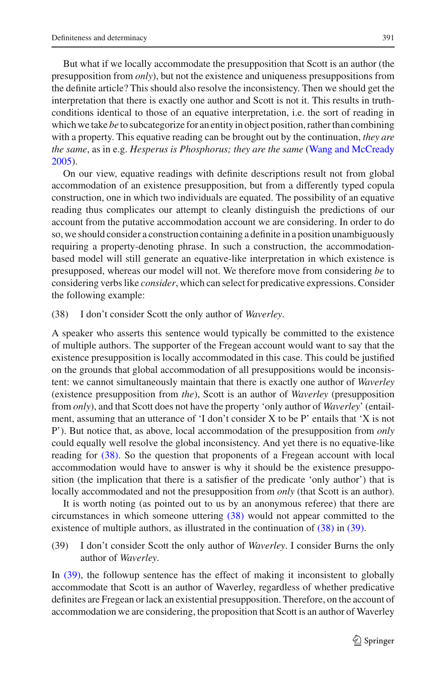But what if we locally accommodate the presupposition that Scott is an author (the presupposition from *only*), but not the existence and uniqueness presuppositions from the definite article? This should also resolve the inconsistency. Then we should get the interpretation that there is exactly one author and Scott is not it. This results in truthconditions identical to those of an equative interpretation, i.e. the sort of reading in

which we take *be* to subcategorize for an entity in object position, rather than combining with a property. This equative reading can be brought out by the continuation, *they are the same*, as in e.g. *Hesperus is Phosphorus; they are the same* [\(Wang and McCready](#page-58-7) [2005\)](#page-58-7).

On our view, equative readings with definite descriptions result not from global accommodation of an existence presupposition, but from a differently typed copula construction, one in which two individuals are equated. The possibility of an equative reading thus complicates our attempt to cleanly distinguish the predictions of our account from the putative accommodation account we are considering. In order to do so, we should consider a construction containing a definite in a position unambiguously requiring a property-denoting phrase. In such a construction, the accommodationbased model will still generate an equative-like interpretation in which existence is presupposed, whereas our model will not. We therefore move from considering *be* to considering verbs like *consider*, which can select for predicative expressions. Consider the following example:

<span id="page-14-0"></span>(38) I don't consider Scott the only author of *Waverley*.

A speaker who asserts this sentence would typically be committed to the existence of multiple authors. The supporter of the Fregean account would want to say that the existence presupposition is locally accommodated in this case. This could be justified on the grounds that global accommodation of all presuppositions would be inconsistent: we cannot simultaneously maintain that there is exactly one author of *Waverley* (existence presupposition from *the*), Scott is an author of *Waverley* (presupposition from *only*), and that Scott does not have the property 'only author of *Waverley*' (entailment, assuming that an utterance of 'I don't consider X to be P' entails that 'X is not P'). But notice that, as above, local accommodation of the presupposition from *only* could equally well resolve the global inconsistency. And yet there is no equative-like reading for [\(38\).](#page-14-0) So the question that proponents of a Fregean account with local accommodation would have to answer is why it should be the existence presupposition (the implication that there is a satisfier of the predicate 'only author') that is locally accommodated and not the presupposition from *only* (that Scott is an author).

It is worth noting (as pointed out to us by an anonymous referee) that there are circumstances in which someone uttering [\(38\)](#page-14-0) would not appear committed to the existence of multiple authors, as illustrated in the continuation of  $(38)$  in  $(39)$ .

<span id="page-14-1"></span>(39) I don't consider Scott the only author of *Waverley*. I consider Burns the only author of *Waverley*.

In [\(39\),](#page-14-1) the followup sentence has the effect of making it inconsistent to globally accommodate that Scott is an author of Waverley, regardless of whether predicative definites are Fregean or lack an existential presupposition. Therefore, on the account of accommodation we are considering, the proposition that Scott is an author of Waverley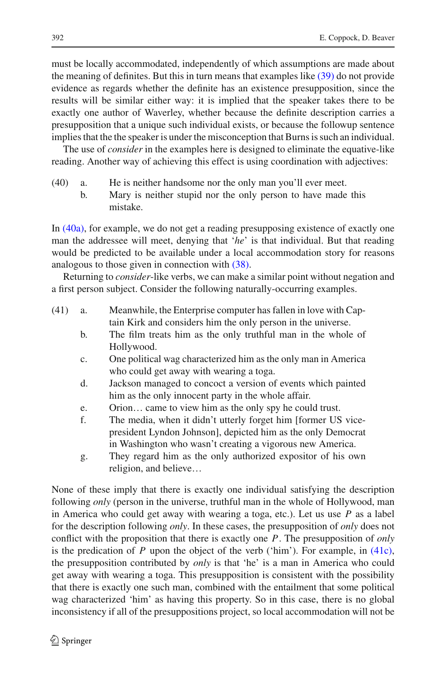must be locally accommodated, independently of which assumptions are made about the meaning of definites. But this in turn means that examples like [\(39\)](#page-14-1) do not provide evidence as regards whether the definite has an existence presupposition, since the results will be similar either way: it is implied that the speaker takes there to be exactly one author of Waverley, whether because the definite description carries a presupposition that a unique such individual exists, or because the followup sentence implies that the the speaker is under the misconception that Burns is such an individual.

The use of *consider* in the examples here is designed to eliminate the equative-like reading. Another way of achieving this effect is using coordination with adjectives:

- <span id="page-15-0"></span>(40) a. He is neither handsome nor the only man you'll ever meet.
	- b. Mary is neither stupid nor the only person to have made this mistake.

In  $(40a)$ , for example, we do not get a reading presupposing existence of exactly one man the addressee will meet, denying that '*he*' is that individual. But that reading would be predicted to be available under a local accommodation story for reasons analogous to those given in connection with [\(38\).](#page-14-0)

Returning to *consider*-like verbs, we can make a similar point without negation and a first person subject. Consider the following naturally-occurring examples.

<span id="page-15-1"></span>

| (41) | <b>a.</b> | Meanwhile, the Enterprise computer has fallen in love with Cap- |  |
|------|-----------|-----------------------------------------------------------------|--|
|      |           | tain Kirk and considers him the only person in the universe.    |  |

- b. The film treats him as the only truthful man in the whole of Hollywood.
- c. One political wag characterized him as the only man in America who could get away with wearing a toga.
- d. Jackson managed to concoct a version of events which painted him as the only innocent party in the whole affair.
- e. Orion… came to view him as the only spy he could trust.
- f. The media, when it didn't utterly forget him [former US vicepresident Lyndon Johnson], depicted him as the only Democrat in Washington who wasn't creating a vigorous new America.
- g. They regard him as the only authorized expositor of his own religion, and believe…

None of these imply that there is exactly one individual satisfying the description following *only* (person in the universe, truthful man in the whole of Hollywood, man in America who could get away with wearing a toga, etc.). Let us use *P* as a label for the description following *only*. In these cases, the presupposition of *only* does not conflict with the proposition that there is exactly one *P*. The presupposition of *only* is the predication of  $P$  upon the object of the verb ('him'). For example, in  $(41c)$ , the presupposition contributed by *only* is that 'he' is a man in America who could get away with wearing a toga. This presupposition is consistent with the possibility that there is exactly one such man, combined with the entailment that some political wag characterized 'him' as having this property. So in this case, there is no global inconsistency if all of the presuppositions project, so local accommodation will not be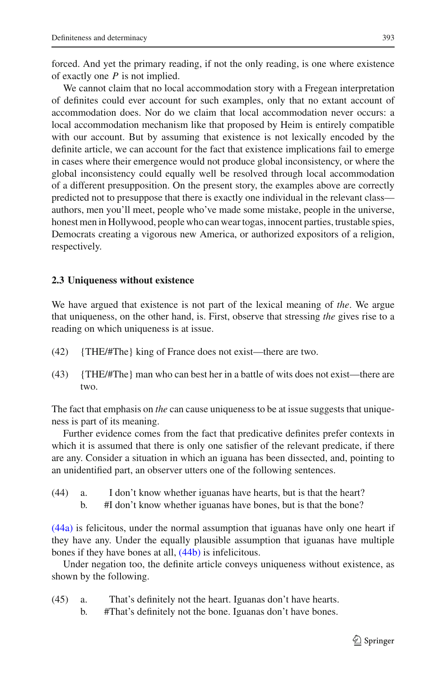forced. And yet the primary reading, if not the only reading, is one where existence of exactly one *P* is not implied.

We cannot claim that no local accommodation story with a Fregean interpretation of definites could ever account for such examples, only that no extant account of accommodation does. Nor do we claim that local accommodation never occurs: a local accommodation mechanism like that proposed by Heim is entirely compatible with our account. But by assuming that existence is not lexically encoded by the definite article, we can account for the fact that existence implications fail to emerge in cases where their emergence would not produce global inconsistency, or where the global inconsistency could equally well be resolved through local accommodation of a different presupposition. On the present story, the examples above are correctly predicted not to presuppose that there is exactly one individual in the relevant class authors, men you'll meet, people who've made some mistake, people in the universe, honest men in Hollywood, people who can wear togas, innocent parties, trustable spies, Democrats creating a vigorous new America, or authorized expositors of a religion, respectively.

#### <span id="page-16-0"></span>**2.3 Uniqueness without existence**

We have argued that existence is not part of the lexical meaning of *the*. We argue that uniqueness, on the other hand, is. First, observe that stressing *the* gives rise to a reading on which uniqueness is at issue.

- (42) {THE/#The} king of France does not exist—there are two.
- (43) {THE/#The} man who can best her in a battle of wits does not exist—there are two.

The fact that emphasis on *the* can cause uniqueness to be at issue suggests that uniqueness is part of its meaning.

Further evidence comes from the fact that predicative definites prefer contexts in which it is assumed that there is only one satisfier of the relevant predicate, if there are any. Consider a situation in which an iguana has been dissected, and, pointing to an unidentified part, an observer utters one of the following sentences.

- <span id="page-16-2"></span><span id="page-16-1"></span>(44) a. I don't know whether iguanas have hearts, but is that the heart?
	- b. #I don't know whether iguanas have bones, but is that the bone?

[\(44a\)](#page-16-1) is felicitous, under the normal assumption that iguanas have only one heart if they have any. Under the equally plausible assumption that iguanas have multiple bones if they have bones at all, [\(44b\)](#page-16-2) is infelicitous.

Under negation too, the definite article conveys uniqueness without existence, as shown by the following.

- <span id="page-16-4"></span><span id="page-16-3"></span>(45) a. That's definitely not the heart. Iguanas don't have hearts.
	- b. #That's definitely not the bone. Iguanas don't have bones.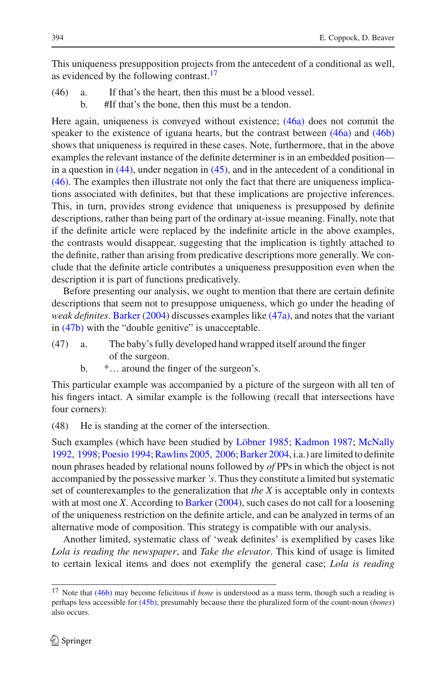This uniqueness presupposition projects from the antecedent of a conditional as well, as evidenced by the following contrast. $17$ 

- <span id="page-17-2"></span><span id="page-17-1"></span>(46) a. If that's the heart, then this must be a blood vessel.
	- b. #If that's the bone, then this must be a tendon.

Here again, uniqueness is conveyed without existence; [\(46a\)](#page-17-1) does not commit the speaker to the existence of iguana hearts, but the contrast between [\(46a\)](#page-17-1) and [\(46b\)](#page-17-2) shows that uniqueness is required in these cases. Note, furthermore, that in the above examples the relevant instance of the definite determiner is in an embedded position in a question in  $(44)$ , under negation in  $(45)$ , and in the antecedent of a conditional in [\(46\).](#page-17-1) The examples then illustrate not only the fact that there are uniqueness implications associated with definites, but that these implications are projective inferences. This, in turn, provides strong evidence that uniqueness is presupposed by definite descriptions, rather than being part of the ordinary at-issue meaning. Finally, note that if the definite article were replaced by the indefinite article in the above examples, the contrasts would disappear, suggesting that the implication is tightly attached to the definite, rather than arising from predicative descriptions more generally. We conclude that the definite article contributes a uniqueness presupposition even when the description it is part of functions predicatively.

Before presenting our analysis, we ought to mention that there are certain definite descriptions that seem not to presuppose uniqueness, which go under the heading of *weak definites*. [Barker](#page-55-2) [\(2004](#page-55-2)) discusses examples like [\(47a\),](#page-17-3) and notes that the variant in [\(47b\)](#page-17-4) with the "double genitive" is unacceptable.

- <span id="page-17-4"></span><span id="page-17-3"></span>(47) a. The baby's fully developed hand wrapped itself around the finger of the surgeon.
	- b. \*… around the finger of the surgeon's.

This particular example was accompanied by a picture of the surgeon with all ten of his fingers intact. A similar example is the following (recall that intersections have four corners):

(48) He is standing at the corner of the intersection.

Such examples (which have been studied by [Löbner 1985](#page-57-17); [Kadmon 1987;](#page-56-20) [McNally](#page-57-18) [1992,](#page-57-18) [1998;](#page-57-19) [Poesio 1994](#page-57-20);[Rawlins 2005](#page-57-21), [2006;](#page-57-22)[Barker 2004](#page-55-2), i.a.) are limited to definite noun phrases headed by relational nouns followed by *of* PPs in which the object is not accompanied by the possessive marker *'s*. Thus they constitute a limited but systematic set of counterexamples to the generalization that *the X* is acceptable only in contexts with at most one *X*. According to [Barker](#page-55-2) [\(2004\)](#page-55-2), such cases do not call for a loosening of the uniqueness restriction on the definite article, and can be analyzed in terms of an alternative mode of composition. This strategy is compatible with our analysis.

Another limited, systematic class of 'weak definites' is exemplified by cases like *Lola is reading the newspaper*, and *Take the elevator*. This kind of usage is limited to certain lexical items and does not exemplify the general case; *Lola is reading*

<span id="page-17-0"></span><sup>17</sup> Note that [\(46b\)](#page-17-2) may become felicitous if *bone* is understood as a mass term, though such a reading is perhaps less accessible for [\(45b\),](#page-16-4) presumably because there the pluralized form of the count-noun (*bones*) also occurs.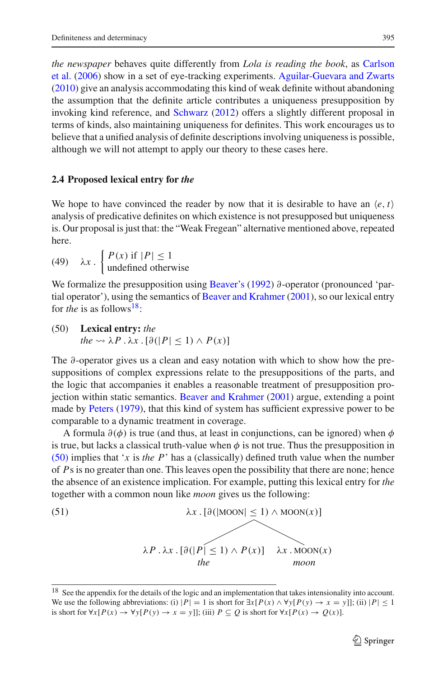*the newspaper* [behaves](#page-56-21) [quite](#page-56-21) [differently](#page-56-21) [from](#page-56-21) *Lola is reading the book*, as Carlson et al. [\(2006](#page-56-21)) show in a set of eye-tracking experiments. [Aguilar-Guevara and Zwarts](#page-55-3) [\(2010\)](#page-55-3) give an analysis accommodating this kind of weak definite without abandoning the assumption that the definite article contributes a uniqueness presupposition by invoking kind reference, and [Schwarz](#page-57-23) [\(2012](#page-57-23)) offers a slightly different proposal in terms of kinds, also maintaining uniqueness for definites. This work encourages us to believe that a unified analysis of definite descriptions involving uniqueness is possible, although we will not attempt to apply our theory to these cases here.

#### <span id="page-18-0"></span>**2.4 Proposed lexical entry for** *the*

We hope to have convinced the reader by now that it is desirable to have an  $\langle e, t \rangle$ analysis of predicative definites on which existence is not presupposed but uniqueness is. Our proposal is just that: the "Weak Fregean" alternative mentioned above, repeated here.

(49) 
$$
\lambda x \cdot \begin{cases} P(x) \text{ if } |P| \leq 1 \\ \text{undefined otherwise} \end{cases}
$$

We formalize the presupposition using [Beaver's](#page-55-4) [\(1992](#page-55-4)) ∂-operator (pronounced 'partial operator'), using the semantics of [Beaver and Krahmer](#page-55-0) [\(2001](#page-55-0)), so our lexical entry for *the* is as follows<sup>[18](#page-18-1)</sup>:

<span id="page-18-2"></span>(50) **Lexical entry:** *the*  $the \rightsquigarrow \lambda P \cdot \lambda x \cdot [\partial (|P| \leq 1) \wedge P(x)]$ 

The ∂-operator gives us a clean and easy notation with which to show how the presuppositions of complex expressions relate to the presuppositions of the parts, and the logic that accompanies it enables a reasonable treatment of presupposition projection within static semantics. [Beaver and Krahmer](#page-55-0) [\(2001\)](#page-55-0) argue, extending a point made by [Peters](#page-57-24) [\(1979\)](#page-57-24), that this kind of system has sufficient expressive power to be comparable to a dynamic treatment in coverage.

A formula  $\partial(\phi)$  is true (and thus, at least in conjunctions, can be ignored) when  $\phi$ is true, but lacks a classical truth-value when  $\phi$  is not true. Thus the presupposition in [\(50\)](#page-18-2) implies that '*x* is *the P*' has a (classically) defined truth value when the number of *P*s is no greater than one. This leaves open the possibility that there are none; hence the absence of an existence implication. For example, putting this lexical entry for *the* together with a common noun like *moon* gives us the following:

(51)  
\n
$$
\lambda x \cdot [\partial(\vert \text{Moon} \vert \le 1) \land \text{Moon}(x)]
$$
\n
$$
\lambda P \cdot \lambda x \cdot [\partial(\vert P \vert \le 1) \land P(x)] \quad \lambda x \cdot \text{Moon}(x)
$$
\n
$$
the \quad \text{moon}
$$

<span id="page-18-1"></span><sup>&</sup>lt;sup>18</sup> See the appendix for the details of the logic and an implementation that takes intensionality into account. We use the following abbreviations: (i)  $|P| = 1$  is short for  $\exists x [P(x) \land \forall y [P(y) \rightarrow x = y]]$ ; (ii)  $|P| \le 1$ is short for  $\forall x [P(x) \rightarrow \forall y [P(y) \rightarrow x = y]]$ ; (iii)  $P \subseteq Q$  is short for  $\forall x [P(x) \rightarrow Q(x)]$ .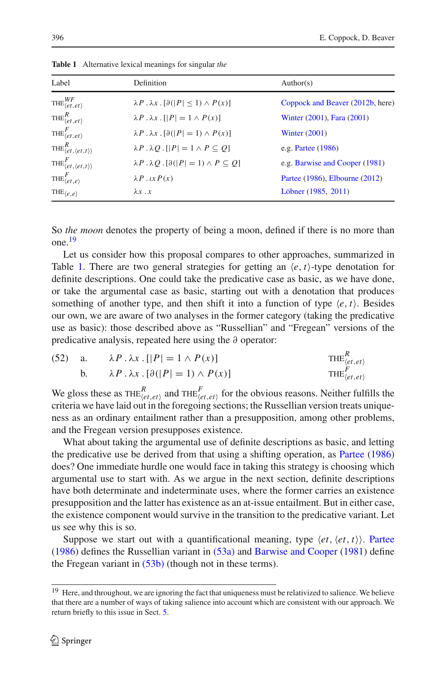<span id="page-19-1"></span>

| Label                                                | Definition                                                                  | Author(s)                        |
|------------------------------------------------------|-----------------------------------------------------------------------------|----------------------------------|
| THE $_{\langle et, et \rangle}^{WF}$                 | $\lambda P \cdot \lambda x \cdot [\partial ( P  \leq 1) \wedge P(x)]$       | Coppock and Beaver (2012b, here) |
| THE $_{\langle et,et \rangle}^R$                     | $\lambda P \cdot \lambda x$ . $[ P  = 1 \wedge P(x)]$                       | Winter (2001), Fara (2001)       |
| THE $_{\langle et, et \rangle}^F$                    | $\lambda P \cdot \lambda x \cdot [\partial ( P  = 1) \wedge P(x)]$          | Winter $(2001)$                  |
| $THE_{\langle et, \langle et, t \rangle \rangle}^R$  | $\lambda P \cdot \lambda Q$ . $[ P  = 1 \wedge P \subseteq Q]$              | e.g. Partee (1986)               |
| THE $_{\langle et, \langle et, t \rangle \rangle}^F$ | $\lambda P \cdot \lambda Q \cdot [\partial ( P  = 1) \wedge P \subseteq Q]$ | e.g. Barwise and Cooper (1981)   |
| THE $_{\langle et,e \rangle}^F$                      | $\lambda P \cdot \iota x P(x)$                                              | Partee (1986), Elbourne (2012)   |
| THE $\langle e, e \rangle$                           | $\lambda x$ . x                                                             | Löbner (1985, 2011)              |

**Table 1** Alternative lexical meanings for singular *the*

So *the moon* denotes the property of being a moon, defined if there is no more than one.[19](#page-19-0)

Let us consider how this proposal compares to other approaches, summarized in Table [1.](#page-19-1) There are two general strategies for getting an  $\langle e, t \rangle$ -type denotation for definite descriptions. One could take the predicative case as basic, as we have done, or take the argumental case as basic, starting out with a denotation that produces something of another type, and then shift it into a function of type  $\langle e, t \rangle$ . Besides our own, we are aware of two analyses in the former category (taking the predicative use as basic): those described above as "Russellian" and "Fregean" versions of the predicative analysis, repeated here using the ∂ operator:

(52) a. 
$$
\lambda P \cdot \lambda x \cdot [|P| = 1 \wedge P(x)]
$$
  
\nb.  $\lambda P \cdot \lambda x \cdot [\partial(|P| = 1) \wedge P(x)]$   
\nTHE<sup>*R*</sup>  
\nTHE<sup>*R*</sup>  
\nTHE<sup>*R*</sup>  
\nTHE<sup>*R*</sup>  
\nTHE<sup>*R*</sup>  
\nTHE<sup>*R*</sup>  
\nTHE<sup>*R*</sup>  
\nTHE<sup>*R*</sup>  
\nTHE<sup>*R*</sup>  
\nTHE<sup>*R*</sup>  
\nTHE<sup>*R*</sup>  
\nTHE<sup>*R*</sup>  
\nTHE<sup>*R*</sup>  
\nTHE<sup>*R*</sup>  
\nTHE<sup>*R*</sup>  
\nTHE<sup>*R*</sup>  
\nCHE<sup>*R*</sup>  
\nCHE<sup>*R*</sup>  
\nCHE<sup>*R*</sup>  
\nCHE<sup>*R*</sup>  
\nCHE<sup>*R*</sup>  
\nCHE<sup>*R*</sup>  
\nCHE<sup>*R*</sup>  
\nCHE<sup>*R*</sup>  
\nCHE<sup>*R*</sup>  
\nCHE<sup>*R*</sup>  
\nCHE<sup>*R*</sup>  
\nCHE<sup>*R*</sup>  
\nCHE<sup>*R*</sup>  
\nCHE<sup>*R*</sup>  
\nCHE<sup>*R*</sup>  
\nCHE<sup>*R*</sup>  
\nCHE<sup>*R*</sup>  
\nCHE<sup>*R*</sup>  
\nCHE<sup>*R*</sup>  
\nCHE<sup>*R*</sup>  
\nCHE<sup>*R*</sup>  
\nCHE<sup>*R*</sup>  
\nCHE<sup>*R*</sup>  
\nCHE<sup>*R*</sup>  
\nCHE<sup>*R*</sup>  
\nCHE<sup>*R*</sup>  
\nCHE<sup>*R*</sup>  
\nCHE<sup>*R*</sup>  
\nCHE<sup>*R*</sup>  
\nCHE<sup>*R*</sup>  
\nCHE<sup>*R*</sup>  
\nCHE<sup><</sup>

We gloss these as  $\text{THE}_{(et,et)}^R$  and  $\text{THE}_{(et,et)}^F$  for the obvious reasons. Neither fulfills the criteria we have laid out in the foregoing sections; the Russellian version treats uniqueness as an ordinary entailment rather than a presupposition, among other problems, and the Fregean version presupposes existence.

What about taking the argumental use of definite descriptions as basic, and letting the predicative use be derived from that using a shifting operation, as [Partee](#page-57-0) [\(1986\)](#page-57-0) does? One immediate hurdle one would face in taking this strategy is choosing which argumental use to start with. As we argue in the next section, definite descriptions have both determinate and indeterminate uses, where the former carries an existence presupposition and the latter has existence as an at-issue entailment. But in either case, the existence component would survive in the transition to the predicative variant. Let us see why this is so.

Suppose we start out with a quantificational meaning, type  $\langle et, \langle et, t \rangle \rangle$ . [Partee](#page-57-0) [\(1986\)](#page-57-0) defines the Russellian variant in [\(53a\)](#page-20-0) and [Barwise and Cooper](#page-55-5) [\(1981\)](#page-55-5) define the Fregean variant in [\(53b\)](#page-20-1) (though not in these terms).

<span id="page-19-0"></span><sup>&</sup>lt;sup>19</sup> Here, and throughout, we are ignoring the fact that uniqueness must be relativized to salience. We believe that there are a number of ways of taking salience into account which are consistent with our approach. We return briefly to this issue in Sect. [5.](#page-46-0)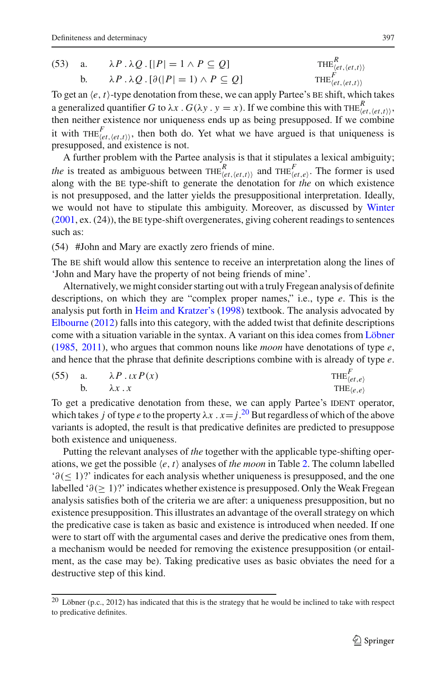<span id="page-20-1"></span><span id="page-20-0"></span>(53) a.  $\lambda P \cdot \lambda Q \cdot [|P| = 1 \wedge P \subseteq Q]$  $\langle et, \langle et, t \rangle \rangle$ b.  $\lambda P \cdot \lambda Q \cdot [\partial (|P| = 1) \wedge P \subseteq Q]$  $et, \langle$  $\langle e^t, t \rangle$ 

To get an  $\langle e, t \rangle$ -type denotation from these, we can apply Partee's BE shift, which takes a generalized quantifier *G* to  $\lambda x$  .  $G(\lambda y \cdot y = x)$ . If we combine this with THE  $_{(et, (et, t))}^R$ , then neither existence nor uniqueness ends up as being presupposed. If we combine it with THE  $_{(et, (et, t))}$ , then both do. Yet what we have argued is that uniqueness is presupposed, and existence is not.

A further problem with the Partee analysis is that it stipulates a lexical ambiguity; *the* is treated as ambiguous between  $\text{THE}_{\langle et, \langle et, t \rangle \rangle}^R$  and  $\text{THE}_{\langle et, e \rangle}^F$ . The former is used along with the BE type-shift to generate the denotation for *the* on which existence is not presupposed, and the latter yields the presuppositional interpretation. Ideally, we would not have to stipulate this ambiguity. Moreover, as discussed by [Winter](#page-58-2) [\(2001,](#page-58-2) ex. (24)), the be type-shift overgenerates, giving coherent readings to sentences such as:

(54) #John and Mary are exactly zero friends of mine.

The be shift would allow this sentence to receive an interpretation along the lines of 'John and Mary have the property of not being friends of mine'.

Alternatively, we might consider starting out with a truly Fregean analysis of definite descriptions, on which they are "complex proper names," i.e., type *e*. This is the analysis put forth in [Heim and Kratzer's](#page-56-22) [\(1998\)](#page-56-22) textbook. The analysis advocated by [Elbourne](#page-56-3) [\(2012\)](#page-56-3) falls into this category, with the added twist that definite descriptions come with a situation variable in the syntax. A variant on this idea comes from [Löbner](#page-57-17) [\(1985,](#page-57-17) [2011](#page-57-1)), who argues that common nouns like *moon* have denotations of type *e*, and hence that the phrase that definite descriptions combine with is already of type *e*.

|  | (55) a. $\lambda P \cdot \iota x P(x)$ | THE $_{\langle et,e \rangle}^F$ |
|--|----------------------------------------|---------------------------------|
|  | b. $\lambda x . x$                     | $THE_{\langle e,e \rangle}$     |

To get a predicative denotation from these, we can apply Partee's IDENT operator, which takes *j* of type *e* to the property  $\lambda x \cdot x = j$ .<sup>[20](#page-20-2)</sup> But regardless of which of the above variants is adopted, the result is that predicative definites are predicted to presuppose both existence and uniqueness.

Putting the relevant analyses of *the* together with the applicable type-shifting operations, we get the possible  $\langle e, t \rangle$  analyses of *the moon* in Table [2.](#page-21-1) The column labelled '∂(≤ 1)?' indicates for each analysis whether uniqueness is presupposed, and the one labelled '∂(≥ 1)?' indicates whether existence is presupposed. Only the Weak Fregean analysis satisfies both of the criteria we are after: a uniqueness presupposition, but no existence presupposition. This illustrates an advantage of the overall strategy on which the predicative case is taken as basic and existence is introduced when needed. If one were to start off with the argumental cases and derive the predicative ones from them, a mechanism would be needed for removing the existence presupposition (or entailment, as the case may be). Taking predicative uses as basic obviates the need for a destructive step of this kind.

<span id="page-20-2"></span><sup>20</sup> Löbner (p.c., 2012) has indicated that this is the strategy that he would be inclined to take with respect to predicative definites.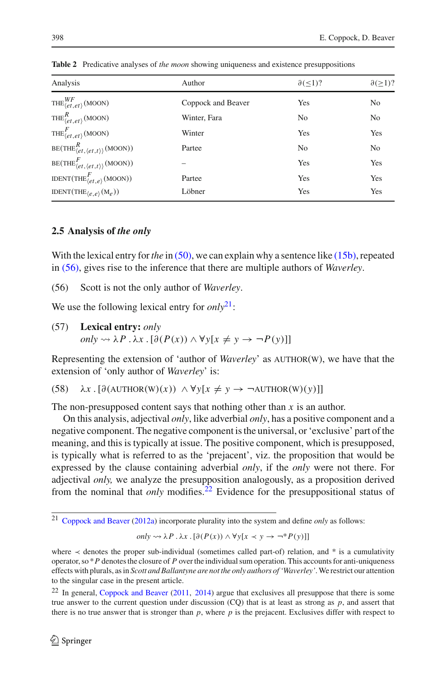<span id="page-21-1"></span>

| Analysis                                                      | Author             | $\partial$ (<1)? | $\partial (\geq 1)$ ? |
|---------------------------------------------------------------|--------------------|------------------|-----------------------|
| THE $_{\langle et, et \rangle}^{WF}$ (MOON)                   | Coppock and Beaver | Yes              | N <sub>o</sub>        |
| THE $_{\langle et, et \rangle}^R$ (MOON)                      | Winter, Fara       | N <sub>0</sub>   | N <sub>0</sub>        |
| THE $_{\langle et, et \rangle}^F$ (MOON)                      | Winter             | Yes              | Yes                   |
| $BE(THE_{\langle et, \{et, t\} \rangle}^R(MOON))$             | Partee             | N <sub>0</sub>   | N <sub>0</sub>        |
| $BE(THE^{F}_{\langle et, \langle et, t \rangle)}(MON))$       |                    | Yes              | Yes                   |
| IDENT(THE $_{\langle et,e \rangle}^{F}$ (MOON))               | Partee             | Yes              | Yes                   |
| $\text{IDENT}(\text{THE}_{\langle e,e\rangle}(\textbf{M}_e))$ | Löbner             | Yes              | Yes                   |

**Table 2** Predicative analyses of *the moon* showing uniqueness and existence presuppositions

### <span id="page-21-0"></span>**2.5 Analysis of** *the only*

With the lexical entry for *the* in [\(50\),](#page-18-2) we can explain why a sentence like [\(15b\),](#page-8-0) repeated in [\(56\),](#page-21-2) gives rise to the inference that there are multiple authors of *Waverley*.

<span id="page-21-2"></span>(56) Scott is not the only author of *Waverley*.

<span id="page-21-5"></span>We use the following lexical entry for *only*<sup>21</sup>:

(57) **Lexical entry:** *only*  $\partial$ *only*  $\leadsto \lambda P \cdot \lambda x \cdot [\partial(P(x)) \wedge \forall y[x \neq y \rightarrow \neg P(y)]]$ 

Representing the extension of 'author of *Waverley*' as author(w), we have that the extension of 'only author of *Waverley*' is:

(58)  $\lambda x \cdot [\partial(\text{AUTHOR}(W)(x)) \wedge \forall y[x \neq y \rightarrow \neg \text{AUTHOR}(W)(y)]]$ 

The non-presupposed content says that nothing other than *x* is an author.

On this analysis, adjectival *only*, like adverbial *only*, has a positive component and a negative component. The negative component is the universal, or 'exclusive' part of the meaning, and this is typically at issue. The positive component, which is presupposed, is typically what is referred to as the 'prejacent', viz. the proposition that would be expressed by the clause containing adverbial *only*, if the *only* were not there. For adjectival *only,* we analyze the presupposition analogously, as a proposition derived from the nominal that *only* modifies[.22](#page-21-4) Evidence for the presuppositional status of

$$
only \rightsquigarrow \lambda P \cdot \lambda x \cdot [\partial(P(x)) \wedge \forall y[x \prec y \rightarrow \neg^*P(y)]]
$$

<span id="page-21-3"></span><sup>21</sup> [Coppock and Beaver](#page-56-23) [\(2012a\)](#page-56-23) incorporate plurality into the system and define *only* as follows:

where  $\prec$  denotes the proper sub-individual (sometimes called part-of) relation, and \* is a cumulativity operator, so \**P* denotes the closure of *P* over the individual sum operation. This accounts for anti-uniqueness effects with plurals, as in *Scott and Ballantyne are not the only authors of 'Waverley'*.We restrict our attention to the singular case in the present article.

<span id="page-21-4"></span><sup>&</sup>lt;sup>22</sup> In general, [Coppock and Beaver](#page-56-24) [\(2011](#page-56-24), [2014\)](#page-56-15) argue that exclusives all presuppose that there is some true answer to the current question under discussion (CQ) that is at least as strong as *p*, and assert that there is no true answer that is stronger than *p*, where *p* is the prejacent. Exclusives differ with respect to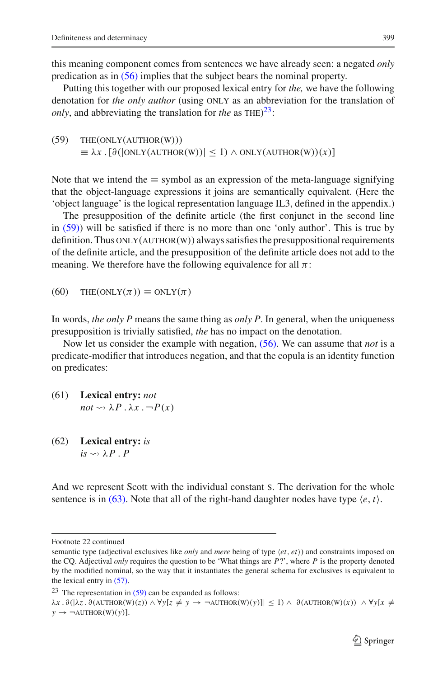this meaning component comes from sentences we have already seen: a negated *only* predication as in [\(56\)](#page-21-2) implies that the subject bears the nominal property.

Putting this together with our proposed lexical entry for *the,* we have the following denotation for *the only author* (using only as an abbreviation for the translation of *only*, and abbreviating the translation for *the* as  $THE)^{23}$  $THE)^{23}$  $THE)^{23}$ :

<span id="page-22-1"></span> $(59)$  THE(ONLY(AUTHOR(W)))  $\equiv \lambda x \cdot [\partial (|\text{ONLY(AUTHOR(W)})| \le 1) \wedge \text{ONLY(AUTHOR(W)}(x)]$ 

Note that we intend the  $\equiv$  symbol as an expression of the meta-language signifying that the object-language expressions it joins are semantically equivalent. (Here the 'object language' is the logical representation language IL3, defined in the appendix.)

The presupposition of the definite article (the first conjunct in the second line in [\(59\)\)](#page-22-1) will be satisfied if there is no more than one 'only author'. This is true by definition. Thus  $ONLY(AUTHOR(W))$  always satisfies the presuppositional requirements of the definite article, and the presupposition of the definite article does not add to the meaning. We therefore have the following equivalence for all  $\pi$ :

(60) THE(ONLY( $\pi$ ))  $\equiv$  ONLY( $\pi$ )

In words, *the only P* means the same thing as *only P*. In general, when the uniqueness presupposition is trivially satisfied, *the* has no impact on the denotation.

Now let us consider the example with negation, [\(56\).](#page-21-2) We can assume that *not* is a predicate-modifier that introduces negation, and that the copula is an identity function on predicates:

- (61) **Lexical entry:** *not*  $not \rightsquigarrow \lambda P \cdot \lambda x \cdot \neg P(x)$
- (62) **Lexical entry:** *is*  $is \rightsquigarrow \lambda P \cdot P$

And we represent Scott with the individual constant s. The derivation for the whole sentence is in [\(63\).](#page-23-0) Note that all of the right-hand daughter nodes have type  $\langle e, t \rangle$ .

Footnote 22 continued

semantic type (adjectival exclusives like *only* and *mere* being of type  $\langle et, et \rangle$ ) and constraints imposed on the CQ. Adjectival *only* requires the question to be 'What things are *P*?', where *P* is the property denoted by the modified nominal, so the way that it instantiates the general schema for exclusives is equivalent to the lexical entry in [\(57\).](#page-21-5)

<sup>&</sup>lt;sup>23</sup> The representation in  $(59)$  can be expanded as follows:

<span id="page-22-0"></span> $\lambda x \cdot \partial(|\lambda z \cdot \partial(\text{AUTHOR(W)}(z)) \wedge \forall y[z \neq y \rightarrow \neg \text{AUTHOR(W)}(y)]| \leq 1) \wedge \partial(\text{AUTHOR(W)}(x)) \wedge \forall y[x \neq y \rightarrow \neg \text{AUTHOR(W)}(y)]| \leq 1$  $y \rightarrow \neg$ AUTHOR(W)(y)].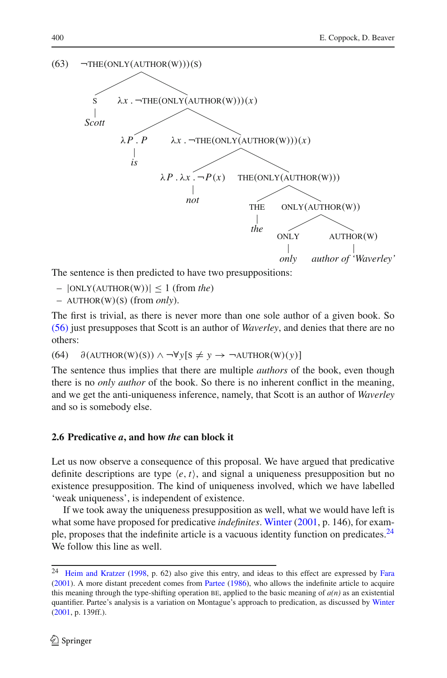<span id="page-23-0"></span>

The sentence is then predicted to have two presuppositions:

$$
- |ONLY(AUTHOR(W))| \le 1 (from the)
$$

– author(w)(s) (from *only*).

The first is trivial, as there is never more than one sole author of a given book. So [\(56\)](#page-21-2) just presupposes that Scott is an author of *Waverley*, and denies that there are no others:

(64) ∂(AUTHOR(W)(S))  $\land \neg \forall y$ [S  $\neq y \rightarrow \neg \text{AUTHOR}(W)(y)$ ]

The sentence thus implies that there are multiple *authors* of the book, even though there is no *only author* of the book. So there is no inherent conflict in the meaning, and we get the anti-uniqueness inference, namely, that Scott is an author of *Waverley* and so is somebody else.

# <span id="page-23-2"></span>**2.6 Predicative** *a***, and how** *the* **can block it**

Let us now observe a consequence of this proposal. We have argued that predicative definite descriptions are type  $\langle e, t \rangle$ , and signal a uniqueness presupposition but no existence presupposition. The kind of uniqueness involved, which we have labelled 'weak uniqueness', is independent of existence.

If we took away the uniqueness presupposition as well, what we would have left is what some have proposed for predicative *indefinites*. [Winter](#page-58-2) [\(2001](#page-58-2), p. 146), for example, proposes that the indefinite article is a vacuous identity function on predicates.<sup>24</sup> We follow this line as well.

<span id="page-23-1"></span><sup>24</sup> [Heim and Kratzer](#page-56-22) [\(1998](#page-56-22), p. 62) also give this entry, and ideas to this effect are expressed by [Fara](#page-56-8) [\(2001](#page-56-8)). A more distant precedent comes from [Partee](#page-57-0) [\(1986](#page-57-0)), who allows the indefinite article to acquire this meaning through the type-shifting operation be, applied to the basic meaning of *a(n)* as an existential quantifier. Partee's analysis is a variation on Montague's approach to predication, as discussed by [Winter](#page-58-2) [\(2001](#page-58-2), p. 139ff.).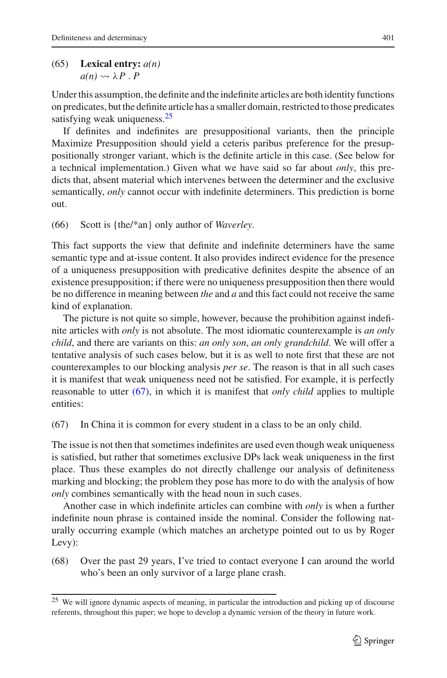Under this assumption, the definite and the indefinite articles are both identity functions on predicates, but the definite article has a smaller domain, restricted to those predicates satisfying weak uniqueness.<sup>25</sup>

If definites and indefinites are presuppositional variants, then the principle Maximize Presupposition should yield a ceteris paribus preference for the presuppositionally stronger variant, which is the definite article in this case. (See below for a technical implementation.) Given what we have said so far about *only*, this predicts that, absent material which intervenes between the determiner and the exclusive semantically, *only* cannot occur with indefinite determiners. This prediction is borne out.

(66) Scott is {the/\*an} only author of *Waverley*.

This fact supports the view that definite and indefinite determiners have the same semantic type and at-issue content. It also provides indirect evidence for the presence of a uniqueness presupposition with predicative definites despite the absence of an existence presupposition; if there were no uniqueness presupposition then there would be no difference in meaning between *the* and *a* and this fact could not receive the same kind of explanation.

The picture is not quite so simple, however, because the prohibition against indefinite articles with *only* is not absolute. The most idiomatic counterexample is *an only child*, and there are variants on this: *an only son*, *an only grandchild*. We will offer a tentative analysis of such cases below, but it is as well to note first that these are not counterexamples to our blocking analysis *per se*. The reason is that in all such cases it is manifest that weak uniqueness need not be satisfied. For example, it is perfectly reasonable to utter [\(67\),](#page-24-1) in which it is manifest that *only child* applies to multiple entities:

<span id="page-24-1"></span>(67) In China it is common for every student in a class to be an only child.

The issue is not then that sometimes indefinites are used even though weak uniqueness is satisfied, but rather that sometimes exclusive DPs lack weak uniqueness in the first place. Thus these examples do not directly challenge our analysis of definiteness marking and blocking; the problem they pose has more to do with the analysis of how *only* combines semantically with the head noun in such cases.

Another case in which indefinite articles can combine with *only* is when a further indefinite noun phrase is contained inside the nominal. Consider the following naturally occurring example (which matches an archetype pointed out to us by Roger Levy):

<span id="page-24-2"></span>(68) Over the past 29 years, I've tried to contact everyone I can around the world who's been an only survivor of a large plane crash.

<span id="page-24-0"></span><sup>&</sup>lt;sup>25</sup> We will ignore dynamic aspects of meaning, in particular the introduction and picking up of discourse referents, throughout this paper; we hope to develop a dynamic version of the theory in future work.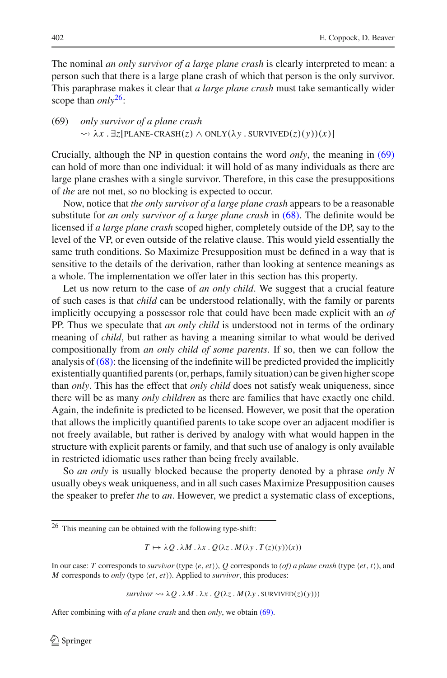The nominal *an only survivor of a large plane crash* is clearly interpreted to mean: a person such that there is a large plane crash of which that person is the only survivor. This paraphrase makes it clear that *a large plane crash* must take semantically wider scope than *only*[26:](#page-25-0)

# <span id="page-25-1"></span>(69) *only survivor of a plane crash* - <sup>λ</sup>*<sup>x</sup>* . <sup>∃</sup>*z*[plane-crash(*z*) <sup>∧</sup> only(λ*<sup>y</sup>* . survived(*z*)(*y*))(*x*)]

Crucially, although the NP in question contains the word *only*, the meaning in [\(69\)](#page-25-1) can hold of more than one individual: it will hold of as many individuals as there are large plane crashes with a single survivor. Therefore, in this case the presuppositions of *the* are not met, so no blocking is expected to occur.

Now, notice that *the only survivor of a large plane crash* appears to be a reasonable substitute for *an only survivor of a large plane crash* in [\(68\).](#page-24-2) The definite would be licensed if *a large plane crash* scoped higher, completely outside of the DP, say to the level of the VP, or even outside of the relative clause. This would yield essentially the same truth conditions. So Maximize Presupposition must be defined in a way that is sensitive to the details of the derivation, rather than looking at sentence meanings as a whole. The implementation we offer later in this section has this property.

Let us now return to the case of *an only child*. We suggest that a crucial feature of such cases is that *child* can be understood relationally, with the family or parents implicitly occupying a possessor role that could have been made explicit with an *of* PP. Thus we speculate that *an only child* is understood not in terms of the ordinary meaning of *child*, but rather as having a meaning similar to what would be derived compositionally from *an only child of some parents*. If so, then we can follow the analysis of [\(68\):](#page-24-2) the licensing of the indefinite will be predicted provided the implicitly existentially quantified parents (or, perhaps, family situation) can be given higher scope than *only*. This has the effect that *only child* does not satisfy weak uniqueness, since there will be as many *only children* as there are families that have exactly one child. Again, the indefinite is predicted to be licensed. However, we posit that the operation that allows the implicitly quantified parents to take scope over an adjacent modifier is not freely available, but rather is derived by analogy with what would happen in the structure with explicit parents or family, and that such use of analogy is only available in restricted idiomatic uses rather than being freely available.

So *an only* is usually blocked because the property denoted by a phrase *only N* usually obeys weak uniqueness, and in all such cases Maximize Presupposition causes the speaker to prefer *the* to *an*. However, we predict a systematic class of exceptions,

 $T \mapsto \lambda Q \cdot \lambda M \cdot \lambda x \cdot Q(\lambda z \cdot M(\lambda y \cdot T(z)(y))(x))$ 

 $survivor \rightsquigarrow \lambda Q \cdot \lambda M \cdot \lambda x \cdot Q(\lambda z \cdot M(\lambda y \cdot \text{SURVIVED}(z)(y)))$ 

After combining with *of a plane crash* and then *only*, we obtain [\(69\).](#page-25-1)

<span id="page-25-0"></span><sup>26</sup> This meaning can be obtained with the following type-shift:

In our case: *T* corresponds to *survivor* (type  $\langle e, et \rangle$ ), *Q* corresponds to  $(\textit{of})$  *a plane crash* (type  $\langle et, t \rangle$ ), and *M* corresponds to *only* (type  $\langle et, et \rangle$ ). Applied to *survivor*, this produces: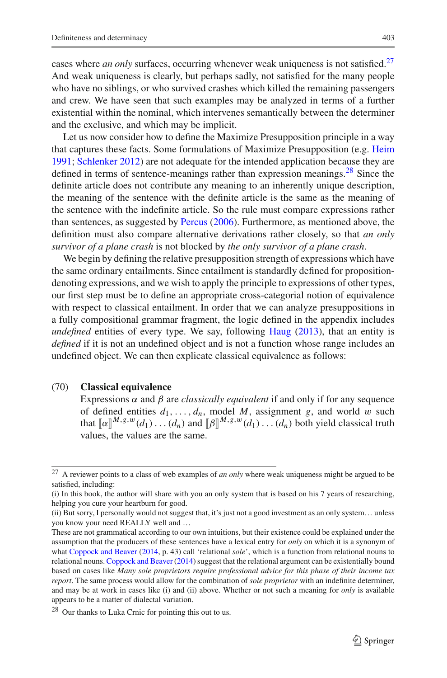cases where *an only* surfaces, occurring whenever weak uniqueness is not satisfied.<sup>[27](#page-26-0)</sup> And weak uniqueness is clearly, but perhaps sadly, not satisfied for the many people who have no siblings, or who survived crashes which killed the remaining passengers and crew. We have seen that such examples may be analyzed in terms of a further existential within the nominal, which intervenes semantically between the determiner and the exclusive, and which may be implicit.

Let us now consider how to define the Maximize Presupposition principle in a way that captures these facts. Some formulations of Maximize Presupposition (e.g. [Heim](#page-56-5) [1991;](#page-56-5) [Schlenker 2012\)](#page-57-3) are not adequate for the intended application because they are defined in terms of sentence-meanings rather than expression meanings. $^{28}$  $^{28}$  $^{28}$  Since the definite article does not contribute any meaning to an inherently unique description, the meaning of the sentence with the definite article is the same as the meaning of the sentence with the indefinite article. So the rule must compare expressions rather than sentences, as suggested by [Percus](#page-57-4) [\(2006\)](#page-57-4). Furthermore, as mentioned above, the definition must also compare alternative derivations rather closely, so that *an only survivor of a plane crash* is not blocked by *the only survivor of a plane crash*.

We begin by defining the relative presupposition strength of expressions which have the same ordinary entailments. Since entailment is standardly defined for propositiondenoting expressions, and we wish to apply the principle to expressions of other types, our first step must be to define an appropriate cross-categorial notion of equivalence with respect to classical entailment. In order that we can analyze presuppositions in a fully compositional grammar fragment, the logic defined in the appendix includes *undefined* entities of every type. We say, following [Haug](#page-56-25) [\(2013](#page-56-25)), that an entity is *defined* if it is not an undefined object and is not a function whose range includes an undefined object. We can then explicate classical equivalence as follows:

#### (70) **Classical equivalence**

Expressions  $\alpha$  and  $\beta$  are *classically equivalent* if and only if for any sequence of defined entities  $d_1, \ldots, d_n$ , model *M*, assignment *g*, and world *w* such that  $[\![\alpha]\!]^{M,g,w}(d_1)\dots(d_n)$  and  $[\![\beta]\!]^{M,g,w}(d_1)\dots(d_n)$  both yield classical truth values, the values are the same.

<span id="page-26-0"></span><sup>27</sup> A reviewer points to a class of web examples of *an only* where weak uniqueness might be argued to be satisfied, including:

<sup>(</sup>i) In this book, the author will share with you an only system that is based on his 7 years of researching, helping you cure your heartburn for good.

<sup>(</sup>ii) But sorry, I personally would not suggest that, it's just not a good investment as an only system… unless you know your need REALLY well and …

These are not grammatical according to our own intuitions, but their existence could be explained under the assumption that the producers of these sentences have a lexical entry for *only* on which it is a synonym of what [Coppock and Beaver](#page-56-15) [\(2014,](#page-56-15) p. 43) call 'relational *sole*', which is a function from relational nouns to relational nouns. [Coppock and Beaver](#page-56-15) [\(2014\)](#page-56-15) suggest that the relational argument can be existentially bound based on cases like *Many sole proprietors require professional advice for this phase of their income tax report*. The same process would allow for the combination of *sole proprietor* with an indefinite determiner, and may be at work in cases like (i) and (ii) above. Whether or not such a meaning for *only* is available appears to be a matter of dialectal variation.

<span id="page-26-1"></span><sup>28</sup> Our thanks to Luka Crnic for pointing this out to us.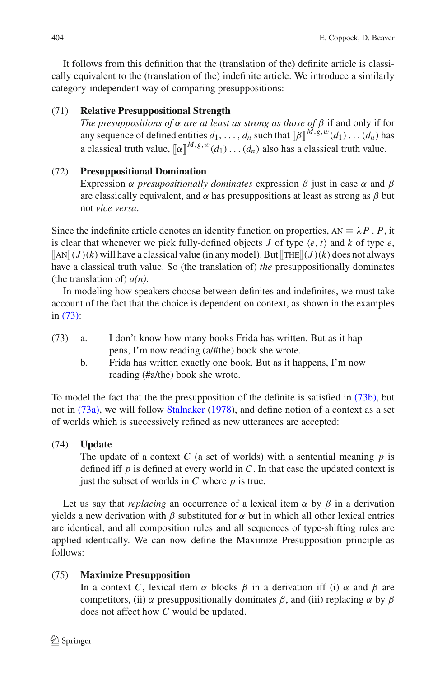It follows from this definition that the (translation of the) definite article is classically equivalent to the (translation of the) indefinite article. We introduce a similarly category-independent way of comparing presuppositions:

### (71) **Relative Presuppositional Strength**

*The presuppositions of*  $\alpha$  *are at least as strong as those of*  $\beta$  if and only if for any sequence of defined entities  $d_1, \ldots, d_n$  such that  $\llbracket \beta \rrbracket^{M,g,w}(d_1) \ldots (d_n)$  has a classical truth value,  $[\![\alpha]\!]^{M,g,w}(d_1)\dots(d_n)$  also has a classical truth value.

### <span id="page-27-2"></span>(72) **Presuppositional Domination**

Expression  $\alpha$  *presupositionally dominates* expression  $\beta$  just in case  $\alpha$  and  $\beta$ are classically equivalent, and  $\alpha$  has presuppositions at least as strong as  $\beta$  but not *vice versa*.

Since the indefinite article denotes an identity function on properties,  $AN \equiv \lambda P$ . *P*, it is clear that whenever we pick fully-defined objects  $J$  of type  $\langle e, t \rangle$  and  $k$  of type  $e$ ,  $\llbracket$ AN $\rrbracket$ (*J*)(*k*) will have a classical value (in any model). But  $\llbracket$ THE $\rrbracket$ (*J*)(*k*) does not always have a classical truth value. So (the translation of) *the* presuppositionally dominates (the translation of) *a(n)*.

In modeling how speakers choose between definites and indefinites, we must take account of the fact that the choice is dependent on context, as shown in the examples in [\(73\):](#page-27-0)

- <span id="page-27-1"></span><span id="page-27-0"></span>(73) a. I don't know how many books Frida has written. But as it happens, I'm now reading (a/#the) book she wrote.
	- b. Frida has written exactly one book. But as it happens, I'm now reading (#a/the) book she wrote.

To model the fact that the the presupposition of the definite is satisfied in [\(73b\),](#page-27-1) but not in [\(73a\),](#page-27-0) we will follow [Stalnaker](#page-58-8) [\(1978\)](#page-58-8), and define notion of a context as a set of worlds which is successively refined as new utterances are accepted:

### <span id="page-27-3"></span>(74) **Update**

The update of a context *C* (a set of worlds) with a sentential meaning *p* is defined iff *p* is defined at every world in *C*. In that case the updated context is just the subset of worlds in *C* where *p* is true.

Let us say that *replacing* an occurrence of a lexical item  $\alpha$  by  $\beta$  in a derivation yields a new derivation with  $β$  substituted for  $α$  but in which all other lexical entries are identical, and all composition rules and all sequences of type-shifting rules are applied identically. We can now define the Maximize Presupposition principle as follows:

# (75) **Maximize Presupposition**

In a context *C*, lexical item  $\alpha$  blocks  $\beta$  in a derivation iff (i)  $\alpha$  and  $\beta$  are competitors, (ii)  $\alpha$  presuppositionally dominates  $\beta$ , and (iii) replacing  $\alpha$  by  $\beta$ does not affect how *C* would be updated.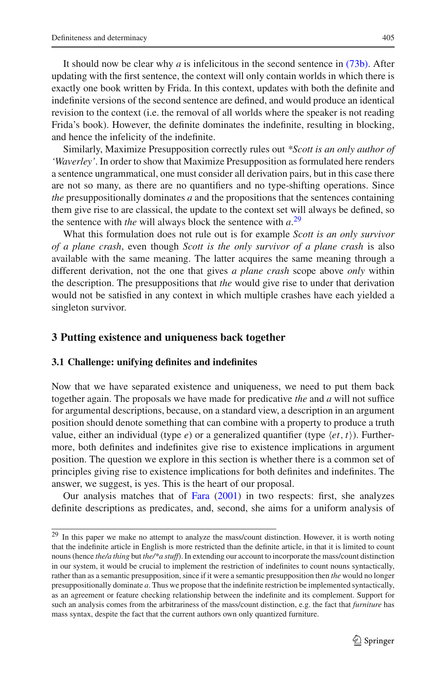It should now be clear why *a* is infelicitous in the second sentence in [\(73b\).](#page-27-1) After updating with the first sentence, the context will only contain worlds in which there is exactly one book written by Frida. In this context, updates with both the definite and indefinite versions of the second sentence are defined, and would produce an identical revision to the context (i.e. the removal of all worlds where the speaker is not reading Frida's book). However, the definite dominates the indefinite, resulting in blocking, and hence the infelicity of the indefinite.

Similarly, Maximize Presupposition correctly rules out *\*Scott is an only author of 'Waverley'*. In order to show that Maximize Presupposition as formulated here renders a sentence ungrammatical, one must consider all derivation pairs, but in this case there are not so many, as there are no quantifiers and no type-shifting operations. Since *the* presuppositionally dominates *a* and the propositions that the sentences containing them give rise to are classical, the update to the context set will always be defined, so the sentence with *the* will always block the sentence with *a*. [29](#page-28-1)

What this formulation does not rule out is for example *Scott is an only survivor of a plane crash*, even though *Scott is the only survivor of a plane crash* is also available with the same meaning. The latter acquires the same meaning through a different derivation, not the one that gives *a plane crash* scope above *only* within the description. The presuppositions that *the* would give rise to under that derivation would not be satisfied in any context in which multiple crashes have each yielded a singleton survivor.

### <span id="page-28-0"></span>**3 Putting existence and uniqueness back together**

#### <span id="page-28-2"></span>**3.1 Challenge: unifying definites and indefinites**

Now that we have separated existence and uniqueness, we need to put them back together again. The proposals we have made for predicative *the* and *a* will not suffice for argumental descriptions, because, on a standard view, a description in an argument position should denote something that can combine with a property to produce a truth value, either an individual (type  $e$ ) or a generalized quantifier (type  $\langle et, t \rangle$ ). Furthermore, both definites and indefinites give rise to existence implications in argument position. The question we explore in this section is whether there is a common set of principles giving rise to existence implications for both definites and indefinites. The answer, we suggest, is yes. This is the heart of our proposal.

Our analysis matches that of [Fara](#page-56-8) [\(2001](#page-56-8)) in two respects: first, she analyzes definite descriptions as predicates, and, second, she aims for a uniform analysis of

<span id="page-28-1"></span><sup>&</sup>lt;sup>29</sup> In this paper we make no attempt to analyze the mass/count distinction. However, it is worth noting that the indefinite article in English is more restricted than the definite article, in that it is limited to count nouns (hence *the/a thing* but *the/\*a stuff*). In extending our account to incorporate the mass/count distinction in our system, it would be crucial to implement the restriction of indefinites to count nouns syntactically, rather than as a semantic presupposition, since if it were a semantic presupposition then *the* would no longer presuppositionally dominate *a*. Thus we propose that the indefinite restriction be implemented syntactically, as an agreement or feature checking relationship between the indefinite and its complement. Support for such an analysis comes from the arbitrariness of the mass/count distinction, e.g. the fact that *furniture* has mass syntax, despite the fact that the current authors own only quantized furniture.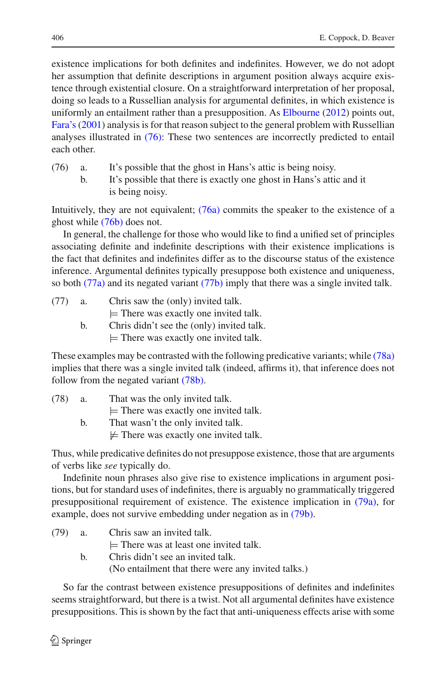existence implications for both definites and indefinites. However, we do not adopt her assumption that definite descriptions in argument position always acquire existence through existential closure. On a straightforward interpretation of her proposal, doing so leads to a Russellian analysis for argumental definites, in which existence is uniformly an entailment rather than a presupposition. As [Elbourne](#page-56-3) [\(2012](#page-56-3)) points out, [Fara's](#page-56-8) [\(2001](#page-56-8)) analysis is for that reason subject to the general problem with Russellian analyses illustrated in [\(76\):](#page-29-0) These two sentences are incorrectly predicted to entail each other.

- <span id="page-29-1"></span><span id="page-29-0"></span>(76) a. It's possible that the ghost in Hans's attic is being noisy.
	- b. It's possible that there is exactly one ghost in Hans's attic and it is being noisy.

Intuitively, they are not equivalent; [\(76a\)](#page-29-1) commits the speaker to the existence of a ghost while [\(76b\)](#page-29-0) does not.

In general, the challenge for those who would like to find a unified set of principles associating definite and indefinite descriptions with their existence implications is the fact that definites and indefinites differ as to the discourse status of the existence inference. Argumental definites typically presuppose both existence and uniqueness, so both [\(77a\)](#page-29-2) and its negated variant [\(77b\)](#page-29-3) imply that there was a single invited talk.

<span id="page-29-3"></span><span id="page-29-2"></span>

| (77) | a. | Chris saw the (only) invited talk.            |
|------|----|-----------------------------------------------|
|      |    | $\models$ There was exactly one invited talk. |
|      | h. | Chris didn't see the (only) invited talk.     |
|      |    | $\models$ There was exactly one invited talk. |
|      |    |                                               |

These examples may be contrasted with the following predicative variants; while [\(78a\)](#page-29-4) implies that there was a single invited talk (indeed, affirms it), that inference does not follow from the negated variant [\(78b\).](#page-29-5)

<span id="page-29-5"></span><span id="page-29-4"></span>

| (78) | a. | That was the only invited talk.               |
|------|----|-----------------------------------------------|
|      |    | $\models$ There was exactly one invited talk. |
|      | h. | That wasn't the only invited talk.            |
|      |    |                                               |

 $\neq$  There was exactly one invited talk.

Thus, while predicative definites do not presuppose existence, those that are arguments of verbs like *see* typically do.

Indefinite noun phrases also give rise to existence implications in argument positions, but for standard uses of indefinites, there is arguably no grammatically triggered presuppositional requirement of existence. The existence implication in [\(79a\),](#page-29-6) for example, does not survive embedding under negation as in [\(79b\).](#page-29-7)

<span id="page-29-7"></span><span id="page-29-6"></span>

| (79) | a. | Chris saw an invited talk.                         |
|------|----|----------------------------------------------------|
|      |    | $\models$ There was at least one invited talk.     |
|      |    | Chris didn't see an invited talk.                  |
|      |    | (No entailment that there were any invited talks.) |

So far the contrast between existence presuppositions of definites and indefinites seems straightforward, but there is a twist. Not all argumental definites have existence presuppositions. This is shown by the fact that anti-uniqueness effects arise with some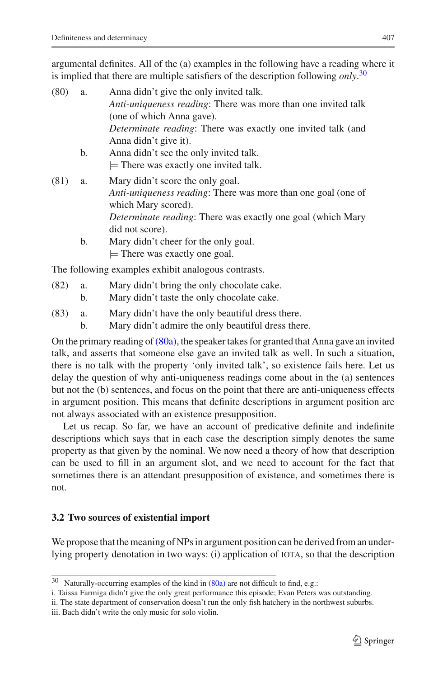argumental definites. All of the (a) examples in the following have a reading where it is implied that there are multiple satisfiers of the description following *only*. [30](#page-30-0)

<span id="page-30-2"></span><span id="page-30-1"></span>

| (80) | a. | Anna didn't give the only invited talk.<br>Anti-uniqueness reading: There was more than one invited talk<br>(one of which Anna gave).<br>Determinate reading: There was exactly one invited talk (and<br>Anna didn't give it). |
|------|----|--------------------------------------------------------------------------------------------------------------------------------------------------------------------------------------------------------------------------------|
|      | b. | Anna didn't see the only invited talk.<br>$\models$ There was exactly one invited talk.                                                                                                                                        |
| (81) | a. | Mary didn't score the only goal.<br><i>Anti-uniqueness reading:</i> There was more than one goal (one of<br>which Mary scored).<br>Determinate reading: There was exactly one goal (which Mary                                 |
|      | b. | did not score).<br>Mary didn't cheer for the only goal.                                                                                                                                                                        |

 $\models$  There was exactly one goal.

The following examples exhibit analogous contrasts.

- (82) a. Mary didn't bring the only chocolate cake.
	- b. Mary didn't taste the only chocolate cake.
- (83) a. Mary didn't have the only beautiful dress there.
	- b. Mary didn't admire the only beautiful dress there.

On the primary reading of  $(80a)$ , the speaker takes for granted that Anna gave an invited talk, and asserts that someone else gave an invited talk as well. In such a situation, there is no talk with the property 'only invited talk', so existence fails here. Let us delay the question of why anti-uniqueness readings come about in the (a) sentences but not the (b) sentences, and focus on the point that there are anti-uniqueness effects in argument position. This means that definite descriptions in argument position are not always associated with an existence presupposition.

Let us recap. So far, we have an account of predicative definite and indefinite descriptions which says that in each case the description simply denotes the same property as that given by the nominal. We now need a theory of how that description can be used to fill in an argument slot, and we need to account for the fact that sometimes there is an attendant presupposition of existence, and sometimes there is not.

# **3.2 Two sources of existential import**

We propose that the meaning of NPs in argument position can be derived from an underlying property denotation in two ways: (i) application of IOTA, so that the description

 $30$  Naturally-occurring examples of the kind in  $(80a)$  are not difficult to find, e.g.:

<span id="page-30-0"></span>i. Taissa Farmiga didn't give the only great performance this episode; Evan Peters was outstanding.

ii. The state department of conservation doesn't run the only fish hatchery in the northwest suburbs.

iii. Bach didn't write the only music for solo violin.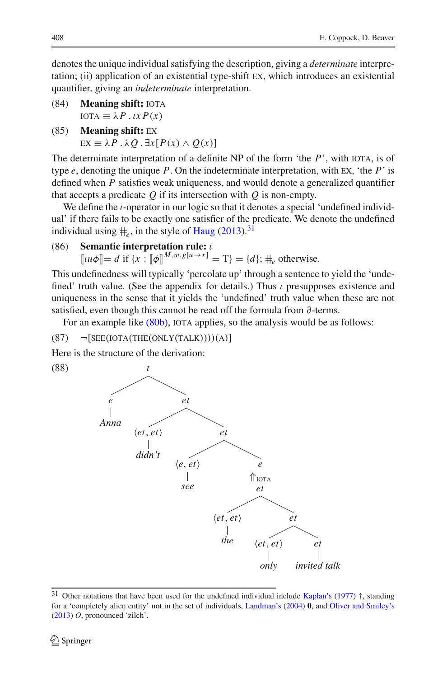denotes the unique individual satisfying the description, giving a *determinate* interpretation; (ii) application of an existential type-shift ex, which introduces an existential quantifier, giving an *indeterminate* interpretation.

- (84) **Meaning shift:** IOTA iota <sup>≡</sup> <sup>λ</sup>*<sup>P</sup>* . ι*x P*(*x*)
- (85) **Meaning shift:** ex  $EX \equiv \lambda P \cdot \lambda Q \cdot \exists x [P(x) \wedge Q(x)]$

The determinate interpretation of a definite NP of the form 'the *P*', with IOTA, is of type *e*, denoting the unique *P*. On the indeterminate interpretation, with ex, 'the *P*' is defined when *P* satisfies weak uniqueness, and would denote a generalized quantifier that accepts a predicate *Q* if its intersection with *Q* is non-empty.

We define the  $\iota$ -operator in our logic so that it denotes a special 'undefined individual' if there fails to be exactly one satisfier of the predicate. We denote the undefined individual using  $\#$ <sub>e</sub>, in the style of [Haug](#page-56-25) [\(2013](#page-56-25)).<sup>[31](#page-31-0)</sup>

# (86) **Semantic interpretation rule:** ι

 $[\![u\phi]\!] = d$  if  $\{x : [\![\phi]\!]^{M, w, g[u \to x]} = T\} = \{d\}; \#_e$  otherwise.

This undefinedness will typically 'percolate up' through a sentence to yield the 'undefined' truth value. (See the appendix for details.) Thus  $\iota$  presupposes existence and uniqueness in the sense that it yields the 'undefined' truth value when these are not satisfied, even though this cannot be read off the formula from ∂-terms.

For an example like [\(80b\),](#page-30-2) IOTA applies, so the analysis would be as follows:

$$
(87) \qquad \neg[\text{SEE}(\text{IOTA}(\text{THE}(\text{ONLY}(\text{TALK}))))(\text{A})]
$$

Here is the structure of the derivation:

 $(88)$ 



<span id="page-31-0"></span> $31$  Other notations that have been used for the undefined individual include [Kaplan's](#page-56-26) [\(1977](#page-56-26))  $\dagger$ , standing for a 'completely alien entity' not in the set of individuals, [Landman's](#page-57-25) [\(2004](#page-57-25)) **0**, and [Oliver and Smiley's](#page-57-26) [\(2013](#page-57-26)) *O*, pronounced 'zilch'.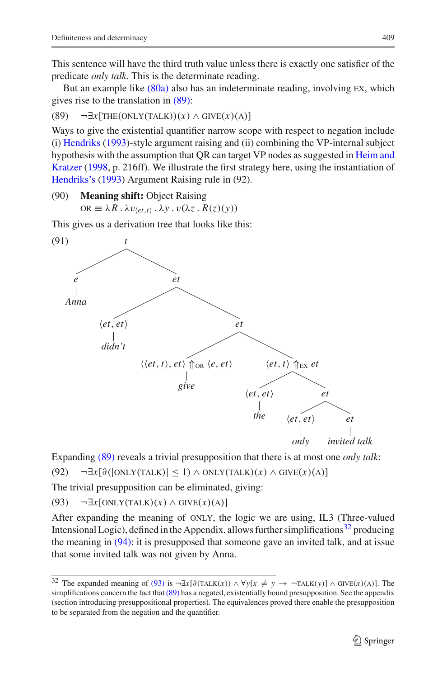This sentence will have the third truth value unless there is exactly one satisfier of the predicate *only talk*. This is the determinate reading.

But an example like [\(80a\)](#page-30-1) also has an indeterminate reading, involving ex, which gives rise to the translation in [\(89\):](#page-32-0)

<span id="page-32-0"></span>(89) ¬∃*x*[the(only(talk))(*x*) <sup>∧</sup> give(*x*)(a)]

Ways to give the existential quantifier narrow scope with respect to negation include (i) [Hendriks](#page-56-27) [\(1993](#page-56-27))-style argument raising and (ii) combining the VP-internal subject hypoth[esis](#page-56-22) [with](#page-56-22) [the](#page-56-22) [assumption](#page-56-22) [that](#page-56-22) [QR](#page-56-22) [can](#page-56-22) [target](#page-56-22) [VP](#page-56-22) [nodes](#page-56-22) [as](#page-56-22) [suggested](#page-56-22) [in](#page-56-22) Heim and Kratzer [\(1998](#page-56-22), p. 216ff). We illustrate the first strategy here, using the instantiation of [Hendriks's](#page-56-27) [\(1993\)](#page-56-27) Argument Raising rule in (92).

(90) **Meaning shift:** Object Raising  $OR \equiv \lambda R \cdot \lambda v_{\langle et, t \rangle} \cdot \lambda y \cdot v(\lambda z \cdot R(z)(y))$ 

This gives us a derivation tree that looks like this:



Expanding [\(89\)](#page-32-0) reveals a trivial presupposition that there is at most one *only talk*:

$$
(92) \quad \neg \exists x [\partial (|ONLY(TALK)| \le 1) \land ONLY(TALK)(x) \land GIVE(x)(A)]
$$

<span id="page-32-2"></span>The trivial presupposition can be eliminated, giving:

(93) ¬∃*x*[only(talk)(*x*) <sup>∧</sup> give(*x*)(a)]

After expanding the meaning of ONLY, the logic we are using, IL3 (Three-valued Intensional Logic), defined in the Appendix, allows further simplifications<sup>[32](#page-32-1)</sup> producing the meaning in [\(94\):](#page-33-0) it is presupposed that someone gave an invited talk, and at issue that some invited talk was not given by Anna.

<span id="page-32-1"></span><sup>&</sup>lt;sup>32</sup> The expanded meaning of [\(93\)](#page-32-2) is  $\neg \exists x [\partial(TALK(x)) \land \forall y[x \neq y \rightarrow \neg TALK(y)] \land GIVE(x)(A)].$  The simplifications concern the fact that [\(89\)](#page-32-0) has a negated, existentially bound presupposition. See the appendix (section introducing presuppositional properties). The equivalences proved there enable the presupposition to be separated from the negation and the quantifier.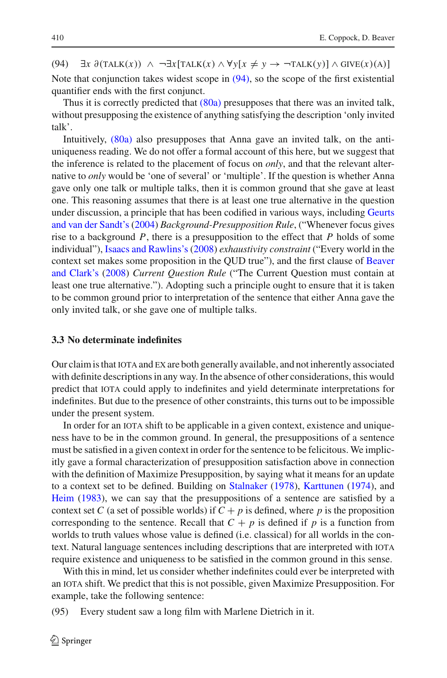<span id="page-33-0"></span>(94) <sup>∃</sup>*<sup>x</sup>* ∂(talk(*x*)) ∧ ¬∃*x*[talk(*x*) ∧ ∀*y*[*<sup>x</sup>* <sup>=</sup> *<sup>y</sup>* → ¬talk(*y*)] ∧ give(*x*)(a)] Note that conjunction takes widest scope in [\(94\),](#page-33-0) so the scope of the first existential quantifier ends with the first conjunct.

Thus it is correctly predicted that [\(80a\)](#page-30-1) presupposes that there was an invited talk, without presupposing the existence of anything satisfying the description 'only invited talk'.

Intuitively, [\(80a\)](#page-30-1) also presupposes that Anna gave an invited talk, on the antiuniqueness reading. We do not offer a formal account of this here, but we suggest that the inference is related to the placement of focus on *only*, and that the relevant alternative to *only* would be 'one of several' or 'multiple'. If the question is whether Anna gave only one talk or multiple talks, then it is common ground that she gave at least one. This reasoning assumes that there is at least one true alternative in the question under discussion, a [principle](#page-56-28) [that](#page-56-28) [has](#page-56-28) [been](#page-56-28) [codified](#page-56-28) [in](#page-56-28) [various](#page-56-28) [ways,](#page-56-28) [including](#page-56-28) Geurts and van der Sandt's [\(2004](#page-56-28)) *Background-Presupposition Rule*, ("Whenever focus gives rise to a background *P*, there is a presupposition to the effect that *P* holds of some individual"), [Isaacs and Rawlins's](#page-56-29) [\(2008](#page-56-29)) *exhaustivity constraint* ("Every world in the context set [makes](#page-55-6) [some](#page-55-6) [proposition](#page-55-6) [in](#page-55-6) [the](#page-55-6) [QUD](#page-55-6) [true"\),](#page-55-6) [and](#page-55-6) [the](#page-55-6) [first](#page-55-6) [clause](#page-55-6) [of](#page-55-6) Beaver and Clark's [\(2008\)](#page-55-6) *Current Question Rule* ("The Current Question must contain at least one true alternative."). Adopting such a principle ought to ensure that it is taken to be common ground prior to interpretation of the sentence that either Anna gave the only invited talk, or she gave one of multiple talks.

### **3.3 No determinate indefinites**

Our claim is that iota and ex are both generally available, and not inherently associated with definite descriptions in any way. In the absence of other considerations, this would predict that iota could apply to indefinites and yield determinate interpretations for indefinites. But due to the presence of other constraints, this turns out to be impossible under the present system.

In order for an IOTA shift to be applicable in a given context, existence and uniqueness have to be in the common ground. In general, the presuppositions of a sentence must be satisfied in a given context in order for the sentence to be felicitous. We implicitly gave a formal characterization of presupposition satisfaction above in connection with the definition of Maximize Presupposition, by saying what it means for an update to a context set to be defined. Building on [Stalnaker](#page-58-8) [\(1978](#page-58-8)), [Karttunen](#page-57-27) [\(1974\)](#page-57-27), and [Heim](#page-56-18) [\(1983\)](#page-56-18), we can say that the presuppositions of a sentence are satisfied by a context set *C* (a set of possible worlds) if  $C + p$  is defined, where p is the proposition corresponding to the sentence. Recall that  $C + p$  is defined if p is a function from worlds to truth values whose value is defined (i.e. classical) for all worlds in the context. Natural language sentences including descriptions that are interpreted with iota require existence and uniqueness to be satisfied in the common ground in this sense.

With this in mind, let us consider whether indefinites could ever be interpreted with an iota shift. We predict that this is not possible, given Maximize Presupposition. For example, take the following sentence:

(95) Every student saw a long film with Marlene Dietrich in it.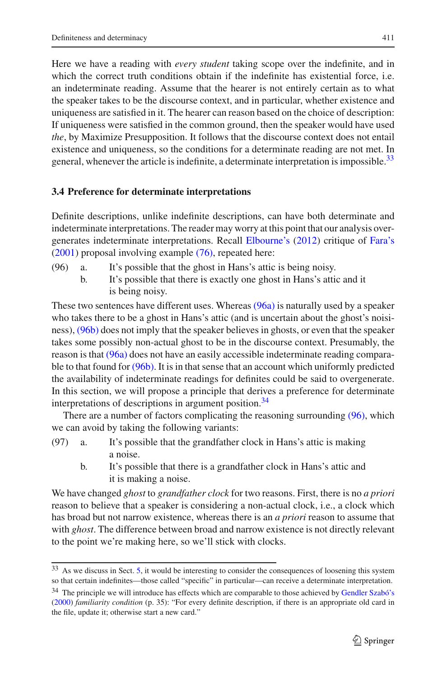Here we have a reading with *every student* taking scope over the indefinite, and in which the correct truth conditions obtain if the indefinite has existential force, i.e. an indeterminate reading. Assume that the hearer is not entirely certain as to what the speaker takes to be the discourse context, and in particular, whether existence and uniqueness are satisfied in it. The hearer can reason based on the choice of description: If uniqueness were satisfied in the common ground, then the speaker would have used *the*, by Maximize Presupposition. It follows that the discourse context does not entail existence and uniqueness, so the conditions for a determinate reading are not met. In general, whenever the article is indefinite, a determinate interpretation is impossible.<sup>33</sup>

#### **3.4 Preference for determinate interpretations**

Definite descriptions, unlike indefinite descriptions, can have both determinate and indeterminate interpretations. The reader may worry at this point that our analysis overgenerates indeterminate interpretations. Recall [Elbourne's](#page-56-3) [\(2012\)](#page-56-3) critique of [Fara's](#page-56-8)  $(2001)$  proposal involving example  $(76)$ , repeated here:

<span id="page-34-2"></span><span id="page-34-1"></span>(96) a. It's possible that the ghost in Hans's attic is being noisy. b. It's possible that there is exactly one ghost in Hans's attic and it is being noisy.

These two sentences have different uses. Whereas  $(96a)$  is naturally used by a speaker who takes there to be a ghost in Hans's attic (and is uncertain about the ghost's noisiness), [\(96b\)](#page-34-2) does not imply that the speaker believes in ghosts, or even that the speaker takes some possibly non-actual ghost to be in the discourse context. Presumably, the reason is that [\(96a\)](#page-34-1) does not have an easily accessible indeterminate reading comparable to that found for [\(96b\).](#page-34-2) It is in that sense that an account which uniformly predicted the availability of indeterminate readings for definites could be said to overgenerate. In this section, we will propose a principle that derives a preference for determinate interpretations of descriptions in argument position.<sup>[34](#page-34-3)</sup>

There are a number of factors complicating the reasoning surrounding [\(96\),](#page-34-2) which we can avoid by taking the following variants:

- <span id="page-34-5"></span><span id="page-34-4"></span>(97) a. It's possible that the grandfather clock in Hans's attic is making a noise.
	- b. It's possible that there is a grandfather clock in Hans's attic and it is making a noise.

We have changed *ghost* to *grandfather clock* for two reasons. First, there is no *a priori* reason to believe that a speaker is considering a non-actual clock, i.e., a clock which has broad but not narrow existence, whereas there is an *a priori* reason to assume that with *ghost*. The difference between broad and narrow existence is not directly relevant to the point we're making here, so we'll stick with clocks.

<span id="page-34-0"></span><sup>&</sup>lt;sup>33</sup> As we discuss in Sect. [5,](#page-46-0) it would be interesting to consider the consequences of loosening this system so that certain indefinites—those called "specific" in particular—can receive a determinate interpretation.

<span id="page-34-3"></span><sup>&</sup>lt;sup>34</sup> The principle we will introduce has effects which are comparable to those achieved by [Gendler Szabó's](#page-56-30) [\(2000](#page-56-30)) *familiarity condition* (p. 35): "For every definite description, if there is an appropriate old card in the file, update it; otherwise start a new card."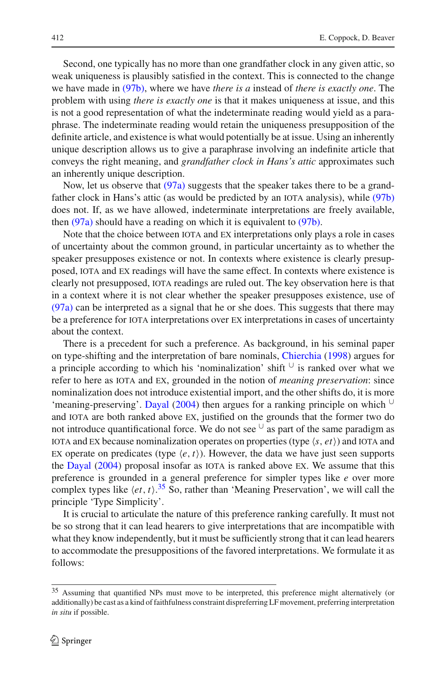Second, one typically has no more than one grandfather clock in any given attic, so weak uniqueness is plausibly satisfied in the context. This is connected to the change we have made in [\(97b\),](#page-34-4) where we have *there is a* instead of *there is exactly one*. The problem with using *there is exactly one* is that it makes uniqueness at issue, and this is not a good representation of what the indeterminate reading would yield as a paraphrase. The indeterminate reading would retain the uniqueness presupposition of the definite article, and existence is what would potentially be at issue. Using an inherently unique description allows us to give a paraphrase involving an indefinite article that conveys the right meaning, and *grandfather clock in Hans's attic* approximates such an inherently unique description.

Now, let us observe that [\(97a\)](#page-34-5) suggests that the speaker takes there to be a grand-father clock in Hans's attic (as would be predicted by an IOTA analysis), while [\(97b\)](#page-34-4) does not. If, as we have allowed, indeterminate interpretations are freely available, then  $(97a)$  should have a reading on which it is equivalent to  $(97b)$ .

Note that the choice between IOTA and EX interpretations only plays a role in cases of uncertainty about the common ground, in particular uncertainty as to whether the speaker presupposes existence or not. In contexts where existence is clearly presupposed, iota and ex readings will have the same effect. In contexts where existence is clearly not presupposed, IOTA readings are ruled out. The key observation here is that in a context where it is not clear whether the speaker presupposes existence, use of [\(97a\)](#page-34-5) can be interpreted as a signal that he or she does. This suggests that there may be a preference for IOTA interpretations over EX interpretations in cases of uncertainty about the context.

There is a precedent for such a preference. As background, in his seminal paper on type-shifting and the interpretation of bare nominals, [Chierchia](#page-56-0) [\(1998](#page-56-0)) argues for a principle according to which his 'nominalization' shift  $\cup$  is ranked over what we refer to here as IOTA and EX, grounded in the notion of *meaning preservation*: since nominalization does not introduce existential import, and the other shifts do, it is more 'meaning-preserving'. [Dayal](#page-56-31) [\(2004\)](#page-56-31) then argues for a ranking principle on which ∪ and iota are both ranked above ex, justified on the grounds that the former two do not introduce quantificational force. We do not see  $\cup$  as part of the same paradigm as IOTA and EX because nominalization operates on properties (type  $\langle s, et \rangle$ ) and IOTA and EX operate on predicates (type  $\langle e, t \rangle$ ). However, the data we have just seen supports the [Dayal](#page-56-31) [\(2004](#page-56-31)) proposal insofar as IOTA is ranked above EX. We assume that this preference is grounded in a general preference for simpler types like *e* over more complex types like  $\langle et, t \rangle$ .<sup>[35](#page-35-0)</sup> So, rather than 'Meaning Preservation', we will call the principle 'Type Simplicity'.

It is crucial to articulate the nature of this preference ranking carefully. It must not be so strong that it can lead hearers to give interpretations that are incompatible with what they know independently, but it must be sufficiently strong that it can lead hearers to accommodate the presuppositions of the favored interpretations. We formulate it as follows:

<span id="page-35-0"></span><sup>35</sup> Assuming that quantified NPs must move to be interpreted, this preference might alternatively (or additionally) be cast as a kind of faithfulness constraint dispreferring LF movement, preferring interpretation *in situ* if possible.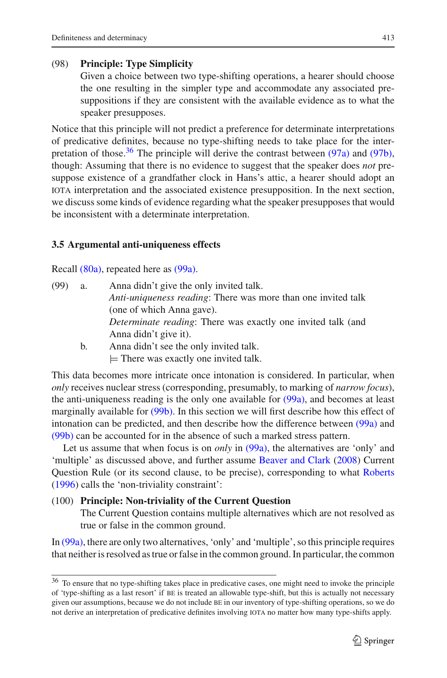# (98) **Principle: Type Simplicity**

Given a choice between two type-shifting operations, a hearer should choose the one resulting in the simpler type and accommodate any associated presuppositions if they are consistent with the available evidence as to what the speaker presupposes.

Notice that this principle will not predict a preference for determinate interpretations of predicative definites, because no type-shifting needs to take place for the interpretation of those.<sup>36</sup> The principle will derive the contrast between  $(97a)$  and  $(97b)$ , though: Assuming that there is no evidence to suggest that the speaker does *not* presuppose existence of a grandfather clock in Hans's attic, a hearer should adopt an iota interpretation and the associated existence presupposition. In the next section, we discuss some kinds of evidence regarding what the speaker presupposes that would be inconsistent with a determinate interpretation.

# **3.5 Argumental anti-uniqueness effects**

<span id="page-36-1"></span>Recall [\(80a\),](#page-30-1) repeated here as [\(99a\).](#page-36-1)

- (99) a. Anna didn't give the only invited talk. *Anti-uniqueness reading*: There was more than one invited talk (one of which Anna gave). *Determinate reading*: There was exactly one invited talk (and Anna didn't give it). b. Anna didn't see the only invited talk.
	- $\models$  There was exactly one invited talk.

<span id="page-36-2"></span>This data becomes more intricate once intonation is considered. In particular, when *only* receives nuclear stress (corresponding, presumably, to marking of *narrow focus*), the anti-uniqueness reading is the only one available for [\(99a\),](#page-36-1) and becomes at least marginally available for [\(99b\).](#page-36-2) In this section we will first describe how this effect of intonation can be predicted, and then describe how the difference between [\(99a\)](#page-36-1) and [\(99b\)](#page-36-2) can be accounted for in the absence of such a marked stress pattern.

Let us assume that when focus is on *only* in [\(99a\),](#page-36-1) the alternatives are 'only' and 'multiple' as discussed above, and further assume [Beaver and Clark](#page-55-6) [\(2008](#page-55-6)) Current Question Rule (or its second clause, to be precise), corresponding to what [Roberts](#page-57-28) [\(1996\)](#page-57-28) calls the 'non-triviality constraint':

# (100) **Principle: Non-triviality of the Current Question**

The Current Question contains multiple alternatives which are not resolved as true or false in the common ground.

In [\(99a\),](#page-36-1) there are only two alternatives, 'only' and 'multiple', so this principle requires that neither is resolved as true or false in the common ground. In particular, the common

<span id="page-36-0"></span><sup>&</sup>lt;sup>36</sup> To ensure that no type-shifting takes place in predicative cases, one might need to invoke the principle of 'type-shifting as a last resort' if be is treated an allowable type-shift, but this is actually not necessary given our assumptions, because we do not include be in our inventory of type-shifting operations, so we do not derive an interpretation of predicative definites involving iota no matter how many type-shifts apply.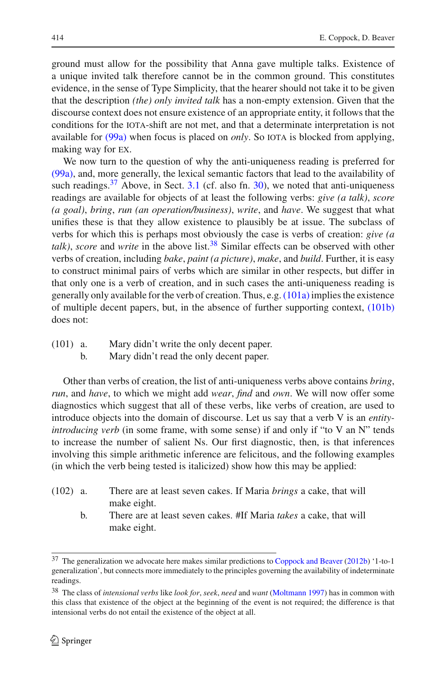ground must allow for the possibility that Anna gave multiple talks. Existence of a unique invited talk therefore cannot be in the common ground. This constitutes evidence, in the sense of Type Simplicity, that the hearer should not take it to be given that the description *(the) only invited talk* has a non-empty extension. Given that the discourse context does not ensure existence of an appropriate entity, it follows that the conditions for the IOTA-shift are not met, and that a determinate interpretation is not available for [\(99a\)](#page-36-1) when focus is placed on *only*. So iota is blocked from applying, making way for ex.

We now turn to the question of why the anti-uniqueness reading is preferred for [\(99a\),](#page-36-1) and, more generally, the lexical semantic factors that lead to the availability of such readings. $37$  Above, in Sect. [3.1](#page-28-2) (cf. also fn. [30\)](#page-30-0), we noted that anti-uniqueness readings are available for objects of at least the following verbs: *give (a talk)*, *score (a goal)*, *bring*, *run (an operation/business)*, *write*, and *have*. We suggest that what unifies these is that they allow existence to plausibly be at issue. The subclass of verbs for which this is perhaps most obviously the case is verbs of creation: *give (a talk)*, *score* and *write* in the above list[.38](#page-37-1) Similar effects can be observed with other verbs of creation, including *bake*, *paint (a picture)*, *make*, and *build*. Further, it is easy to construct minimal pairs of verbs which are similar in other respects, but differ in that only one is a verb of creation, and in such cases the anti-uniqueness reading is generally only available for the verb of creation. Thus, e.g.[\(101a\)](#page-37-2) implies the existence of multiple decent papers, but, in the absence of further supporting context, [\(101b\)](#page-37-3) does not:

- <span id="page-37-3"></span><span id="page-37-2"></span>(101) a. Mary didn't write the only decent paper.
	- b. Mary didn't read the only decent paper.

Other than verbs of creation, the list of anti-uniqueness verbs above contains *bring*, *run*, and *have*, to which we might add *wear*, *find* and *own*. We will now offer some diagnostics which suggest that all of these verbs, like verbs of creation, are used to introduce objects into the domain of discourse. Let us say that a verb V is an *entityintroducing verb* (in some frame, with some sense) if and only if "to V an N" tends to increase the number of salient Ns. Our first diagnostic, then, is that inferences involving this simple arithmetic inference are felicitous, and the following examples (in which the verb being tested is italicized) show how this may be applied:

- <span id="page-37-4"></span>(102) a. There are at least seven cakes. If Maria *brings* a cake, that will make eight.
	- b. There are at least seven cakes. #If Maria *takes* a cake, that will make eight.

<span id="page-37-0"></span><sup>&</sup>lt;sup>37</sup> The generalization we advocate here makes similar predictions to [Coppock and Beaver](#page-56-4) [\(2012b](#page-56-4)) '1-to-1 generalization', but connects more immediately to the principles governing the availability of indeterminate readings.

<span id="page-37-1"></span><sup>38</sup> The class of *intensional verbs* like *look for*, *seek*, *need* and *want* [\(Moltmann 1997](#page-57-29)) has in common with this class that existence of the object at the beginning of the event is not required; the difference is that intensional verbs do not entail the existence of the object at all.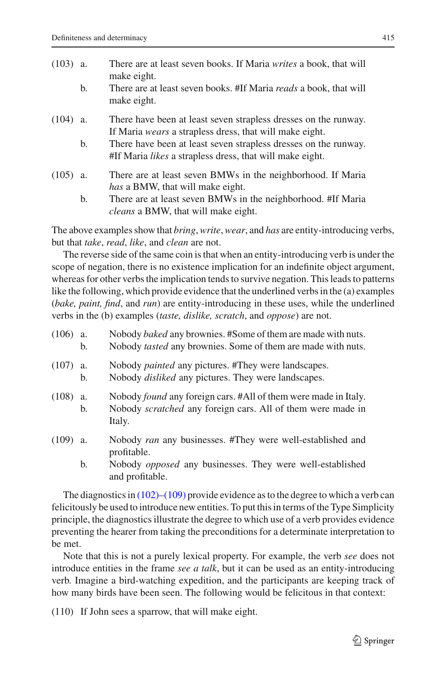- (103) a. There are at least seven books. If Maria *writes* a book, that will make eight.
	- b. There are at least seven books. #If Maria *reads* a book, that will make eight.
- (104) a. There have been at least seven strapless dresses on the runway. If Maria *wears* a strapless dress, that will make eight.
	- b. There have been at least seven strapless dresses on the runway. #If Maria *likes* a strapless dress, that will make eight.
- (105) a. There are at least seven BMWs in the neighborhood. If Maria *has* a BMW, that will make eight.
	- b. There are at least seven BMWs in the neighborhood. #If Maria *cleans* a BMW, that will make eight.

The above examples show that *bring*,*write*,*wear*, and *has* are entity-introducing verbs, but that *take*, *read*, *like*, and *clean* are not.

The reverse side of the same coin is that when an entity-introducing verb is under the scope of negation, there is no existence implication for an indefinite object argument, whereas for other verbs the implication tends to survive negation. This leads to patterns like the following, which provide evidence that the underlined verbs in the (a) examples (*bake, paint, find*, and *run*) are entity-introducing in these uses, while the underlined verbs in the (b) examples (*taste, dislike, scratch*, and *oppose*) are not.

| $(106)$ a. | b. | Nobody baked any brownies. #Some of them are made with nuts.<br>Nobody tasted any brownies. Some of them are made with nuts.                    |
|------------|----|-------------------------------------------------------------------------------------------------------------------------------------------------|
| $(107)$ a. | b. | Nobody <i>painted</i> any pictures. #They were landscapes.<br>Nobody <i>disliked</i> any pictures. They were landscapes.                        |
| $(108)$ a. | b. | Nobody found any foreign cars. #All of them were made in Italy.<br>Nobody <i>scratched</i> any foreign cars. All of them were made in<br>Italy. |
| $(109)$ a. |    | Nobody ran any businesses. #They were well-established and<br>profitable.                                                                       |
|            | b. | Nobody <i>opposed</i> any businesses. They were well-established<br>and profitable.                                                             |

<span id="page-38-0"></span>The diagnostics in  $(102)$ – $(109)$  provide evidence as to the degree to which a verb can felicitously be used to introduce new entities. To put this in terms of the Type Simplicity principle, the diagnostics illustrate the degree to which use of a verb provides evidence preventing the hearer from taking the preconditions for a determinate interpretation to be met.

Note that this is not a purely lexical property. For example, the verb *see* does not introduce entities in the frame *see a talk*, but it can be used as an entity-introducing verb. Imagine a bird-watching expedition, and the participants are keeping track of how many birds have been seen. The following would be felicitous in that context:

(110) If John sees a sparrow, that will make eight.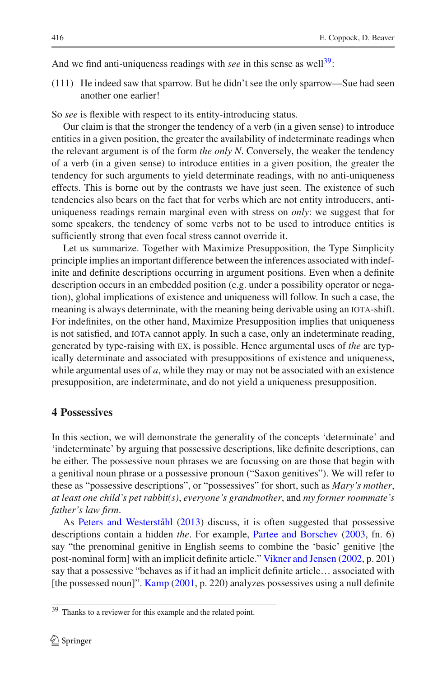And we find anti-uniqueness readings with *see* in this sense as well<sup>39</sup>:

(111) He indeed saw that sparrow. But he didn't see the only sparrow—Sue had seen another one earlier!

So *see* is flexible with respect to its entity-introducing status.

Our claim is that the stronger the tendency of a verb (in a given sense) to introduce entities in a given position, the greater the availability of indeterminate readings when the relevant argument is of the form *the only N*. Conversely, the weaker the tendency of a verb (in a given sense) to introduce entities in a given position, the greater the tendency for such arguments to yield determinate readings, with no anti-uniqueness effects. This is borne out by the contrasts we have just seen. The existence of such tendencies also bears on the fact that for verbs which are not entity introducers, antiuniqueness readings remain marginal even with stress on *only*: we suggest that for some speakers, the tendency of some verbs not to be used to introduce entities is sufficiently strong that even focal stress cannot override it.

Let us summarize. Together with Maximize Presupposition, the Type Simplicity principle implies an important difference between the inferences associated with indefinite and definite descriptions occurring in argument positions. Even when a definite description occurs in an embedded position (e.g. under a possibility operator or negation), global implications of existence and uniqueness will follow. In such a case, the meaning is always determinate, with the meaning being derivable using an IOTA-shift. For indefinites, on the other hand, Maximize Presupposition implies that uniqueness is not satisfied, and IOTA cannot apply. In such a case, only an indeterminate reading, generated by type-raising with ex, is possible. Hence argumental uses of *the* are typically determinate and associated with presuppositions of existence and uniqueness, while argumental uses of *a*, while they may or may not be associated with an existence presupposition, are indeterminate, and do not yield a uniqueness presupposition.

# <span id="page-39-0"></span>**4 Possessives**

In this section, we will demonstrate the generality of the concepts 'determinate' and 'indeterminate' by arguing that possessive descriptions, like definite descriptions, can be either. The possessive noun phrases we are focussing on are those that begin with a genitival noun phrase or a possessive pronoun ("Saxon genitives"). We will refer to these as "possessive descriptions", or "possessives" for short, such as *Mary's mother*, *at least one child's pet rabbit(s)*, *everyone's grandmother*, and *my former roommate's father's law firm*.

As [Peters and Westerståhl](#page-57-30) [\(2013](#page-57-30)) discuss, it is often suggested that possessive descriptions contain a hidden *the*. For example, [Partee and Borschev](#page-57-31) [\(2003](#page-57-31), fn. 6) say "the prenominal genitive in English seems to combine the 'basic' genitive [the post-nominal form] with an implicit definite article." [Vikner and Jensen](#page-58-9) [\(2002](#page-58-9), p. 201) say that a possessive "behaves as if it had an implicit definite article… associated with [the possessed noun]". [Kamp](#page-56-32) [\(2001,](#page-56-32) p. 220) analyzes possessives using a null definite

<span id="page-39-1"></span><sup>&</sup>lt;sup>39</sup> Thanks to a reviewer for this example and the related point.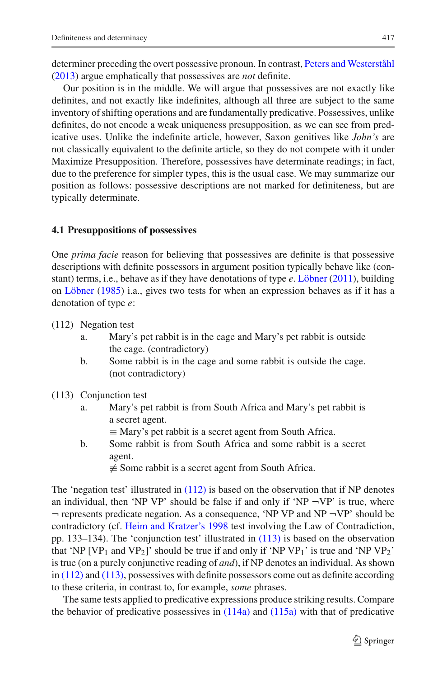determiner preceding the overt possessive pronoun. In contrast, [Peters and Westerståhl](#page-57-30) [\(2013\)](#page-57-30) argue emphatically that possessives are *not* definite.

Our position is in the middle. We will argue that possessives are not exactly like definites, and not exactly like indefinites, although all three are subject to the same inventory of shifting operations and are fundamentally predicative. Possessives, unlike definites, do not encode a weak uniqueness presupposition, as we can see from predicative uses. Unlike the indefinite article, however, Saxon genitives like *John's* are not classically equivalent to the definite article, so they do not compete with it under Maximize Presupposition. Therefore, possessives have determinate readings; in fact, due to the preference for simpler types, this is the usual case. We may summarize our position as follows: possessive descriptions are not marked for definiteness, but are typically determinate.

#### **4.1 Presuppositions of possessives**

One *prima facie* reason for believing that possessives are definite is that possessive descriptions with definite possessors in argument position typically behave like (constant) terms, i.e., behave as if they have denotations of type *e*. [Löbner](#page-57-1) [\(2011](#page-57-1)), building on [Löbner](#page-57-17) [\(1985\)](#page-57-17) i.a., gives two tests for when an expression behaves as if it has a denotation of type *e*:

<span id="page-40-0"></span>(112) Negation test

- a. Mary's pet rabbit is in the cage and Mary's pet rabbit is outside the cage. (contradictory)
- b. Some rabbit is in the cage and some rabbit is outside the cage. (not contradictory)

#### <span id="page-40-1"></span>(113) Conjunction test

- a. Mary's pet rabbit is from South Africa and Mary's pet rabbit is a secret agent.
	- ≡ Mary's pet rabbit is a secret agent from South Africa.
- b. Some rabbit is from South Africa and some rabbit is a secret agent.

≡ Some rabbit is a secret agent from South Africa.

The 'negation test' illustrated in  $(112)$  is based on the observation that if NP denotes an individual, then 'NP VP' should be false if and only if 'NP  $\neg VP$ ' is true, where  $\neg$  represents predicate negation. As a consequence, 'NP VP and NP  $\neg$ VP' should be contradictory (cf. [Heim and Kratzer's 1998](#page-56-22) test involving the Law of Contradiction, pp. 133–134). The 'conjunction test' illustrated in [\(113\)](#page-40-1) is based on the observation that 'NP  $[VP_1$  and  $VP_2]$ ' should be true if and only if 'NP VP<sub>1</sub>' is true and 'NP VP<sub>2</sub>' is true (on a purely conjunctive reading of *and*), if NP denotes an individual. As shown in [\(112\)](#page-40-0) and [\(113\),](#page-40-1) possessives with definite possessors come out as definite according to these criteria, in contrast to, for example, *some* phrases.

The same tests applied to predicative expressions produce striking results. Compare the behavior of predicative possessives in  $(114a)$  and  $(115a)$  with that of predicative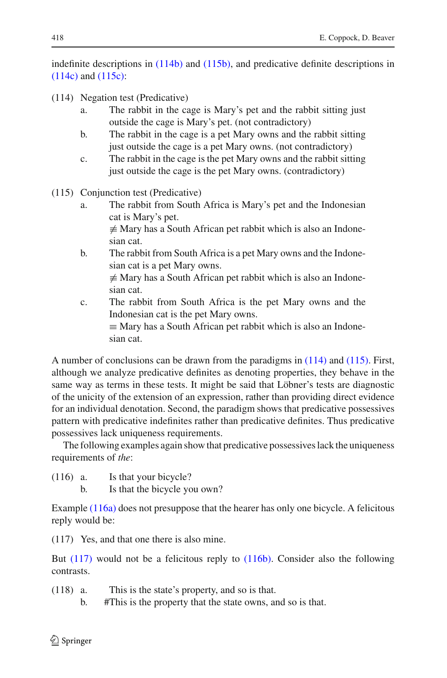indefinite descriptions in [\(114b\)](#page-41-2) and [\(115b\),](#page-41-3) and predicative definite descriptions in [\(114c\)](#page-41-4) and [\(115c\):](#page-41-5)

- <span id="page-41-2"></span><span id="page-41-0"></span>(114) Negation test (Predicative)
	- a. The rabbit in the cage is Mary's pet and the rabbit sitting just outside the cage is Mary's pet. (not contradictory)
	- b. The rabbit in the cage is a pet Mary owns and the rabbit sitting just outside the cage is a pet Mary owns. (not contradictory)
	- c. The rabbit in the cage is the pet Mary owns and the rabbit sitting just outside the cage is the pet Mary owns. (contradictory)
- <span id="page-41-4"></span><span id="page-41-3"></span><span id="page-41-1"></span>(115) Conjunction test (Predicative)
	- a. The rabbit from South Africa is Mary's pet and the Indonesian cat is Mary's pet. ≡ Mary has a South African pet rabbit which is also an Indonesian cat.
	- b. The rabbit from South Africa is a pet Mary owns and the Indonesian cat is a pet Mary owns. ≡ Mary has a South African pet rabbit which is also an Indonesian cat.
	- c. The rabbit from South Africa is the pet Mary owns and the Indonesian cat is the pet Mary owns.  $\equiv$  Mary has a South African pet rabbit which is also an Indonesian cat.

<span id="page-41-5"></span>A number of conclusions can be drawn from the paradigms in [\(114\)](#page-41-4) and [\(115\).](#page-41-5) First, although we analyze predicative definites as denoting properties, they behave in the same way as terms in these tests. It might be said that Löbner's tests are diagnostic of the unicity of the extension of an expression, rather than providing direct evidence for an individual denotation. Second, the paradigm shows that predicative possessives pattern with predicative indefinites rather than predicative definites. Thus predicative possessives lack uniqueness requirements.

The following examples again show that predicative possessives lack the uniqueness requirements of *the*:

- <span id="page-41-8"></span><span id="page-41-6"></span>(116) a. Is that your bicycle?
	- b. Is that the bicycle you own?

Example [\(116a\)](#page-41-6) does not presuppose that the hearer has only one bicycle. A felicitous reply would be:

<span id="page-41-7"></span>(117) Yes, and that one there is also mine.

But [\(117\)](#page-41-7) would not be a felicitous reply to [\(116b\).](#page-41-8) Consider also the following contrasts.

- (118) a. This is the state's property, and so is that.
	- b. #This is the property that the state owns, and so is that.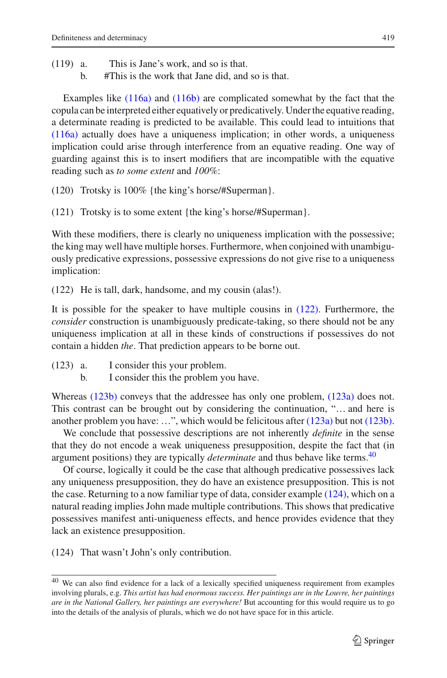- (119) a. This is Jane's work, and so is that.
	- b. #This is the work that Jane did, and so is that.

Examples like [\(116a\)](#page-41-6) and [\(116b\)](#page-41-8) are complicated somewhat by the fact that the copula can be interpreted either equatively or predicatively. Under the equative reading, a determinate reading is predicted to be available. This could lead to intuitions that [\(116a\)](#page-41-6) actually does have a uniqueness implication; in other words, a uniqueness implication could arise through interference from an equative reading. One way of guarding against this is to insert modifiers that are incompatible with the equative reading such as *to some extent* and *100%*:

- (120) Trotsky is 100% {the king's horse/#Superman}.
- (121) Trotsky is to some extent {the king's horse/#Superman}.

With these modifiers, there is clearly no uniqueness implication with the possessive; the king may well have multiple horses. Furthermore, when conjoined with unambiguously predicative expressions, possessive expressions do not give rise to a uniqueness implication:

<span id="page-42-0"></span>(122) He is tall, dark, handsome, and my cousin (alas!).

It is possible for the speaker to have multiple cousins in [\(122\).](#page-42-0) Furthermore, the *consider* construction is unambiguously predicate-taking, so there should not be any uniqueness implication at all in these kinds of constructions if possessives do not contain a hidden *the*. That prediction appears to be borne out.

- <span id="page-42-2"></span><span id="page-42-1"></span>(123) a. I consider this your problem.
	- b. I consider this the problem you have.

Whereas [\(123b\)](#page-42-1) conveys that the addressee has only one problem, [\(123a\)](#page-42-2) does not. This contrast can be brought out by considering the continuation, "… and here is another problem you have: ...", which would be felicitous after  $(123a)$  but not  $(123b)$ .

We conclude that possessive descriptions are not inherently *definite* in the sense that they do not encode a weak uniqueness presupposition, despite the fact that (in argument positions) they are typically *determinate* and thus behave like terms.<sup>[40](#page-42-3)</sup>

Of course, logically it could be the case that although predicative possessives lack any uniqueness presupposition, they do have an existence presupposition. This is not the case. Returning to a now familiar type of data, consider example [\(124\),](#page-42-4) which on a natural reading implies John made multiple contributions. This shows that predicative possessives manifest anti-uniqueness effects, and hence provides evidence that they lack an existence presupposition.

<span id="page-42-4"></span>(124) That wasn't John's only contribution.

<span id="page-42-3"></span><sup>&</sup>lt;sup>40</sup> We can also find evidence for a lack of a lexically specified uniqueness requirement from examples involving plurals, e.g. *This artist has had enormous success. Her paintings are in the Louvre, her paintings are in the National Gallery, her paintings are everywhere!* But accounting for this would require us to go into the details of the analysis of plurals, which we do not have space for in this article.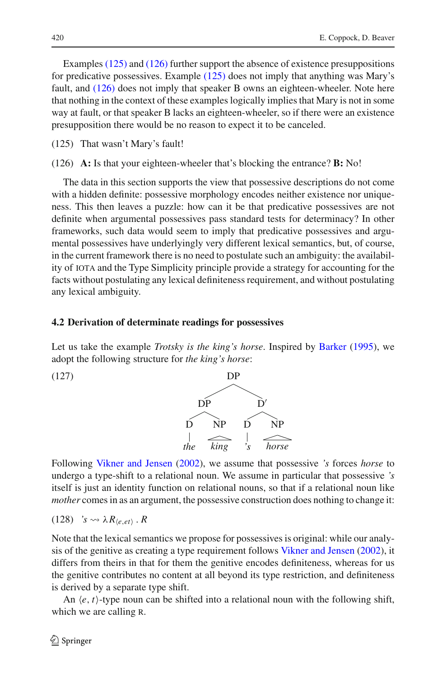Examples [\(125\)](#page-43-0) and [\(126\)](#page-43-1) further support the absence of existence presuppositions for predicative possessives. Example [\(125\)](#page-43-0) does not imply that anything was Mary's fault, and [\(126\)](#page-43-1) does not imply that speaker B owns an eighteen-wheeler. Note here that nothing in the context of these examples logically implies that Mary is not in some way at fault, or that speaker B lacks an eighteen-wheeler, so if there were an existence presupposition there would be no reason to expect it to be canceled.

- <span id="page-43-1"></span><span id="page-43-0"></span>(125) That wasn't Mary's fault!
- (126) **A:** Is that your eighteen-wheeler that's blocking the entrance? **B:** No!

The data in this section supports the view that possessive descriptions do not come with a hidden definite: possessive morphology encodes neither existence nor uniqueness. This then leaves a puzzle: how can it be that predicative possessives are not definite when argumental possessives pass standard tests for determinacy? In other frameworks, such data would seem to imply that predicative possessives and argumental possessives have underlyingly very different lexical semantics, but, of course, in the current framework there is no need to postulate such an ambiguity: the availability of iota and the Type Simplicity principle provide a strategy for accounting for the facts without postulating any lexical definiteness requirement, and without postulating any lexical ambiguity.

#### **4.2 Derivation of determinate readings for possessives**

Let us take the example *Trotsky is the king's horse*. Inspired by [Barker](#page-55-7) [\(1995](#page-55-7)), we adopt the following structure for *the king's horse*:



Following [Vikner and Jensen](#page-58-9) [\(2002](#page-58-9)), we assume that possessive *'s* forces *horse* to undergo a type-shift to a relational noun. We assume in particular that possessive *'s* itself is just an identity function on relational nouns, so that if a relational noun like *mother* comes in as an argument, the possessive construction does nothing to change it:

$$
(128) \quad 's \leadsto \lambda R_{\langle e, et \rangle} \cdot R
$$

Note that the lexical semantics we propose for possessives is original: while our analysis of the genitive as creating a type requirement follows [Vikner and Jensen](#page-58-9) [\(2002](#page-58-9)), it differs from theirs in that for them the genitive encodes definiteness, whereas for us the genitive contributes no content at all beyond its type restriction, and definiteness is derived by a separate type shift.

An  $\langle e, t \rangle$ -type noun can be shifted into a relational noun with the following shift, which we are calling R.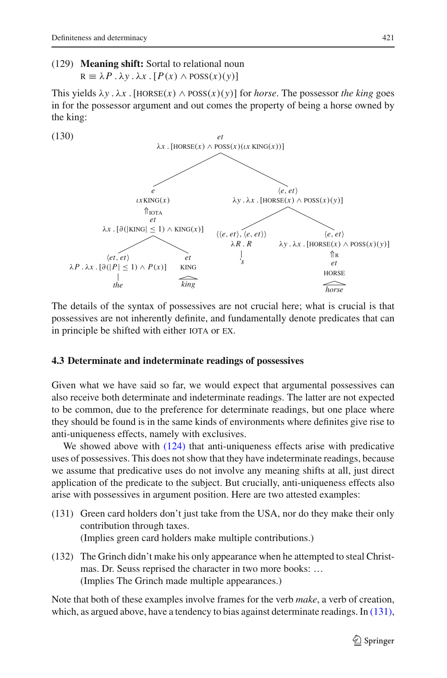# (129) **Meaning shift:** Sortal to relational noun  $R \equiv \lambda P \cdot \lambda y \cdot \lambda x \cdot [P(x) \wedge \text{Poss}(x)(y)]$

This yields  $\lambda y \cdot \lambda x$ . [HORSE(*x*)  $\wedge$  POSS(*x*)(*y*)] for *horse*. The possessor *the king* goes in for the possessor argument and out comes the property of being a horse owned by the king:



The details of the syntax of possessives are not crucial here; what is crucial is that possessives are not inherently definite, and fundamentally denote predicates that can in principle be shifted with either IOTA or EX.

### **4.3 Determinate and indeterminate readings of possessives**

Given what we have said so far, we would expect that argumental possessives can also receive both determinate and indeterminate readings. The latter are not expected to be common, due to the preference for determinate readings, but one place where they should be found is in the same kinds of environments where definites give rise to anti-uniqueness effects, namely with exclusives.

We showed above with  $(124)$  that anti-uniqueness effects arise with predicative uses of possessives. This does not show that they have indeterminate readings, because we assume that predicative uses do not involve any meaning shifts at all, just direct application of the predicate to the subject. But crucially, anti-uniqueness effects also arise with possessives in argument position. Here are two attested examples:

- <span id="page-44-0"></span>(131) Green card holders don't just take from the USA, nor do they make their only contribution through taxes. (Implies green card holders make multiple contributions.)
- <span id="page-44-1"></span>(132) The Grinch didn't make his only appearance when he attempted to steal Christmas. Dr. Seuss reprised the character in two more books: … (Implies The Grinch made multiple appearances.)

Note that both of these examples involve frames for the verb *make*, a verb of creation, which, as argued above, have a tendency to bias against determinate readings. In [\(131\),](#page-44-0)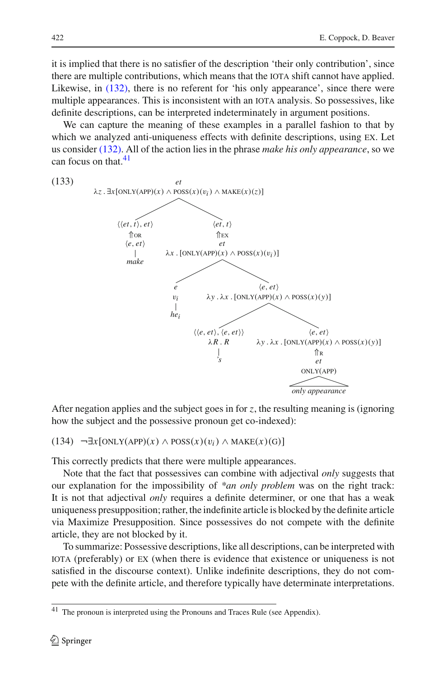it is implied that there is no satisfier of the description 'their only contribution', since there are multiple contributions, which means that the IOTA shift cannot have applied. Likewise, in [\(132\),](#page-44-1) there is no referent for 'his only appearance', since there were multiple appearances. This is inconsistent with an IOTA analysis. So possessives, like definite descriptions, can be interpreted indeterminately in argument positions.

We can capture the meaning of these examples in a parallel fashion to that by which we analyzed anti-uniqueness effects with definite descriptions, using ex. Let us consider [\(132\).](#page-44-1) All of the action lies in the phrase *make his only appearance*, so we can focus on that.<sup>[41](#page-45-0)</sup>



After negation applies and the subject goes in for *z*, the resulting meaning is (ignoring how the subject and the possessive pronoun get co-indexed):

(134) ¬∃*x*[only(app)(*x*) <sup>∧</sup> poss(*x*)(v*i*) <sup>∧</sup> make(*x*)(g)]

This correctly predicts that there were multiple appearances.

Note that the fact that possessives can combine with adjectival *only* suggests that our explanation for the impossibility of *\*an only problem* was on the right track: It is not that adjectival *only* requires a definite determiner, or one that has a weak uniqueness presupposition; rather, the indefinite article is blocked by the definite article via Maximize Presupposition. Since possessives do not compete with the definite article, they are not blocked by it.

To summarize: Possessive descriptions, like all descriptions, can be interpreted with iota (preferably) or ex (when there is evidence that existence or uniqueness is not satisfied in the discourse context). Unlike indefinite descriptions, they do not compete with the definite article, and therefore typically have determinate interpretations.

<span id="page-45-0"></span>The pronoun is interpreted using the Pronouns and Traces Rule (see Appendix).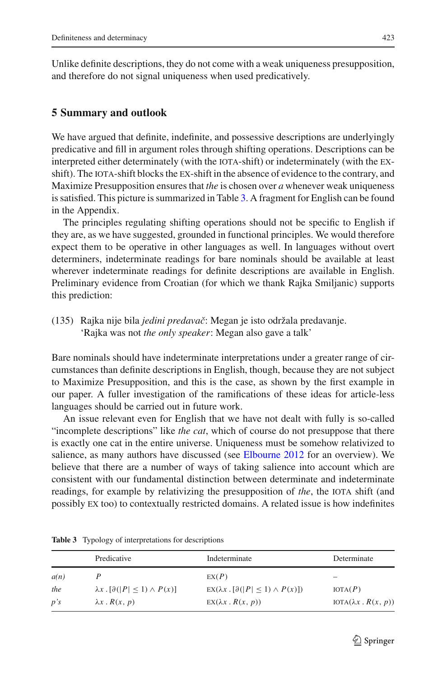Unlike definite descriptions, they do not come with a weak uniqueness presupposition, and therefore do not signal uniqueness when used predicatively.

### <span id="page-46-0"></span>**5 Summary and outlook**

We have argued that definite, indefinite, and possessive descriptions are underlyingly predicative and fill in argument roles through shifting operations. Descriptions can be interpreted either determinately (with the IOTA-shift) or indeterminately (with the EXshift). The IOTA-shift blocks the EX-shift in the absence of evidence to the contrary, and Maximize Presupposition ensures that *the* is chosen over *a* whenever weak uniqueness is satisfied. This picture is summarized in Table [3.](#page-46-1) A fragment for English can be found in the Appendix.

The principles regulating shifting operations should not be specific to English if they are, as we have suggested, grounded in functional principles. We would therefore expect them to be operative in other languages as well. In languages without overt determiners, indeterminate readings for bare nominals should be available at least wherever indeterminate readings for definite descriptions are available in English. Preliminary evidence from Croatian (for which we thank Rajka Smiljanic) supports this prediction:

(135) Rajka nije bila *jedini predavaˇc*: Megan je isto održala predavanje. 'Rajka was not *the only speaker*: Megan also gave a talk'

Bare nominals should have indeterminate interpretations under a greater range of circumstances than definite descriptions in English, though, because they are not subject to Maximize Presupposition, and this is the case, as shown by the first example in our paper. A fuller investigation of the ramifications of these ideas for article-less languages should be carried out in future work.

An issue relevant even for English that we have not dealt with fully is so-called "incomplete descriptions" like *the cat*, which of course do not presuppose that there is exactly one cat in the entire universe. Uniqueness must be somehow relativized to salience, as many authors have discussed (see [Elbourne 2012](#page-56-3) for an overview). We believe that there are a number of ways of taking salience into account which are consistent with our fundamental distinction between determinate and indeterminate readings, for example by relativizing the presupposition of *the*, the IOTA shift (and possibly ex too) to contextually restricted domains. A related issue is how indefinites

| Predicative                                          | Indeterminate                                                    | Determinate                      |  |  |
|------------------------------------------------------|------------------------------------------------------------------|----------------------------------|--|--|
|                                                      | EX(P)                                                            |                                  |  |  |
| $\lambda x \cdot [\partial (P] \leq 1) \wedge P(x)]$ | $\text{EX}(\lambda x \cdot [\partial ( P  \leq 1) \wedge P(x)])$ | IOTA(P)                          |  |  |
| $\lambda x \cdot R(x, p)$                            | $EX(\lambda x \cdot R(x, p))$                                    | IOTA $(\lambda x \cdot R(x, p))$ |  |  |
|                                                      |                                                                  |                                  |  |  |

<span id="page-46-1"></span>**Table 3** Typology of interpretations for descriptions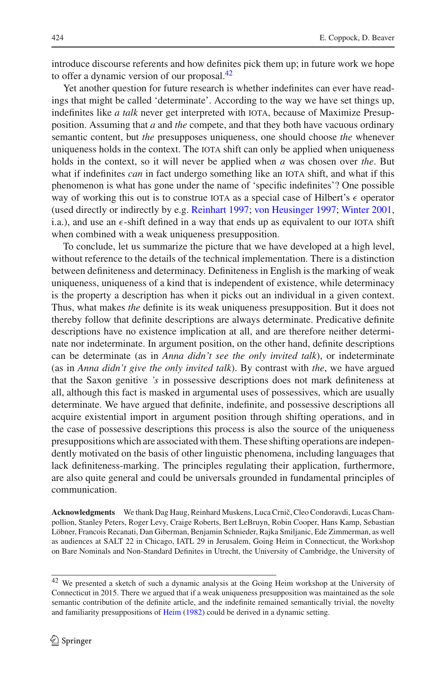introduce discourse referents and how definites pick them up; in future work we hope to offer a dynamic version of our proposal.<sup>42</sup>

Yet another question for future research is whether indefinites can ever have readings that might be called 'determinate'. According to the way we have set things up, indefinites like *a talk* never get interpreted with IOTA, because of Maximize Presupposition. Assuming that *a* and *the* compete, and that they both have vacuous ordinary semantic content, but *the* presupposes uniqueness, one should choose *the* whenever uniqueness holds in the context. The IOTA shift can only be applied when uniqueness holds in the context, so it will never be applied when *a* was chosen over *the*. But what if indefinites *can* in fact undergo something like an IOTA shift, and what if this phenomenon is what has gone under the name of 'specific indefinites'? One possible way of working this out is to construe IOTA as a special case of Hilbert's  $\epsilon$  operator (used directly or indirectly by e.g. [Reinhart 1997;](#page-57-32) [von Heusinger 1997;](#page-58-10) [Winter 2001,](#page-58-2) i.a.), and use an  $\epsilon$ -shift defined in a way that ends up as equivalent to our IOTA shift when combined with a weak uniqueness presupposition.

To conclude, let us summarize the picture that we have developed at a high level, without reference to the details of the technical implementation. There is a distinction between definiteness and determinacy. Definiteness in English is the marking of weak uniqueness, uniqueness of a kind that is independent of existence, while determinacy is the property a description has when it picks out an individual in a given context. Thus, what makes *the* definite is its weak uniqueness presupposition. But it does not thereby follow that definite descriptions are always determinate. Predicative definite descriptions have no existence implication at all, and are therefore neither determinate nor indeterminate. In argument position, on the other hand, definite descriptions can be determinate (as in *Anna didn't see the only invited talk*), or indeterminate (as in *Anna didn't give the only invited talk*). By contrast with *the*, we have argued that the Saxon genitive *'s* in possessive descriptions does not mark definiteness at all, although this fact is masked in argumental uses of possessives, which are usually determinate. We have argued that definite, indefinite, and possessive descriptions all acquire existential import in argument position through shifting operations, and in the case of possessive descriptions this process is also the source of the uniqueness presuppositions which are associated with them. These shifting operations are independently motivated on the basis of other linguistic phenomena, including languages that lack definiteness-marking. The principles regulating their application, furthermore, are also quite general and could be universals grounded in fundamental principles of communication.

**Acknowledgments** We thank Dag Haug, Reinhard Muskens, Luca Crniˇc, Cleo Condoravdi, Lucas Champollion, Stanley Peters, Roger Levy, Craige Roberts, Bert LeBruyn, Robin Cooper, Hans Kamp, Sebastian Löbner, Francois Recanati, Dan Giberman, Benjamin Schnieder, Rajka Smiljanic, Ede Zimmerman, as well as audiences at SALT 22 in Chicago, IATL 29 in Jerusalem, Going Heim in Connecticut, the Workshop on Bare Nominals and Non-Standard Definites in Utrecht, the University of Cambridge, the University of

<span id="page-47-0"></span><sup>42</sup> We presented a sketch of such a dynamic analysis at the Going Heim workshop at the University of Connecticut in 2015. There we argued that if a weak uniqueness presupposition was maintained as the sole semantic contribution of the definite article, and the indefinite remained semantically trivial, the novelty and familiarity presuppositions of [Heim](#page-56-14) [\(1982\)](#page-56-14) could be derived in a dynamic setting.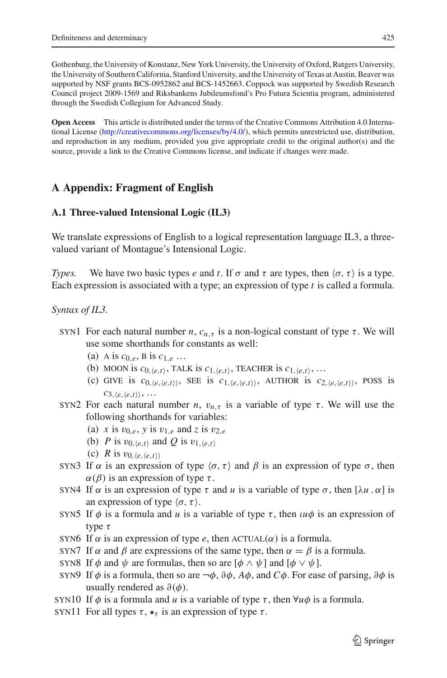Gothenburg, the University of Konstanz, New York University, the University of Oxford, Rutgers University, the University of Southern California, Stanford University, and the University of Texas at Austin. Beaver was supported by NSF grants BCS-0952862 and BCS-1452663. Coppock was supported by Swedish Research Council project 2009-1569 and Riksbankens Jubileumsfond's Pro Futura Scientia program, administered through the Swedish Collegium for Advanced Study.

**Open Access** This article is distributed under the terms of the Creative Commons Attribution 4.0 International License [\(http://creativecommons.org/licenses/by/4.0/\)](http://creativecommons.org/licenses/by/4.0/), which permits unrestricted use, distribution, and reproduction in any medium, provided you give appropriate credit to the original author(s) and the source, provide a link to the Creative Commons license, and indicate if changes were made.

### **A Appendix: Fragment of English**

#### **A.1 Three-valued Intensional Logic (IL3)**

We translate expressions of English to a logical representation language IL3, a threevalued variant of Montague's Intensional Logic.

*Types.* We have two basic types *e* and *t*. If  $\sigma$  and  $\tau$  are types, then  $\langle \sigma, \tau \rangle$  is a type. Each expression is associated with a type; an expression of type *t* is called a formula.

*Syntax of IL3.*

- syn1 For each natural number *n*,  $c_{n,τ}$  is a non-logical constant of type  $τ$ . We will use some shorthands for constants as well:
	- (a) A is  $c_{0,e}$ , B is  $c_{1,e}$  ...
	- (b) MOON is  $c_{0,\langle e,t\rangle}$ , TALK is  $c_{1,\langle e,t\rangle}$ , TEACHER is  $c_{1,\langle e,t\rangle}$ , ...
	- (c) GIVE is  $c_{0,\langle e,\langle e,t\rangle\rangle}$ , SEE is  $c_{1,\langle e,\langle e,t\rangle\rangle}$ , AUTHOR is  $c_{2,\langle e,\langle e,t\rangle\rangle}$ , POSS is  $c_{3,\langle e, \langle e, t \rangle \rangle}, \ldots$
- SYN2 For each natural number *n*,  $v_{n,\tau}$  is a variable of type *τ*. We will use the following shorthands for variables:
	- (a) *x* is  $v_{0,e}$ , *y* is  $v_{1,e}$  and *z* is  $v_{2,e}$
	- (b) *P* is  $v_{0, \langle e, t \rangle}$  and *Q* is  $v_{1, \langle e, t \rangle}$
	- (c) *R* is  $v_{0,\langle e,\langle e,t\rangle\rangle}$
- SYN3 If  $\alpha$  is an expression of type  $\langle \sigma, \tau \rangle$  and  $\beta$  is an expression of type  $\sigma$ , then  $\alpha(\beta)$  is an expression of type  $\tau$ .
- syn4 If  $\alpha$  is an expression of type  $\tau$  and  $u$  is a variable of type  $\sigma$ , then [λu .  $\alpha$ ] is an expression of type  $\langle \sigma, \tau \rangle$ .
- syn5 If  $\phi$  is a formula and *u* is a variable of type τ, then *u* $\phi$  is an expression of type  $\tau$
- syn6 If  $\alpha$  is an expression of type *e*, then  $\text{ACTUAL}(\alpha)$  is a formula.
- syn7 If α and β are expressions of the same type, then  $\alpha = \beta$  is a formula.
- SYN8 If  $\phi$  and  $\psi$  are formulas, then so are  $\lbrack \phi \wedge \psi \rbrack$  and  $\lbrack \phi \vee \psi \rbrack$ .
- syn9 If φ is a formula, then so are  $\neg φ$ ,  $\partial φ$ ,  $Aφ$ , and  $Cφ$ . For ease of parsing,  $\partial φ$  is usually rendered as  $\partial(\phi)$ .
- syn10 If  $\phi$  is a formula and *u* is a variable of type  $\tau$ , then  $\forall u \phi$  is a formula.
- syn11 For all types  $τ, \star_τ$  is an expression of type  $τ$ .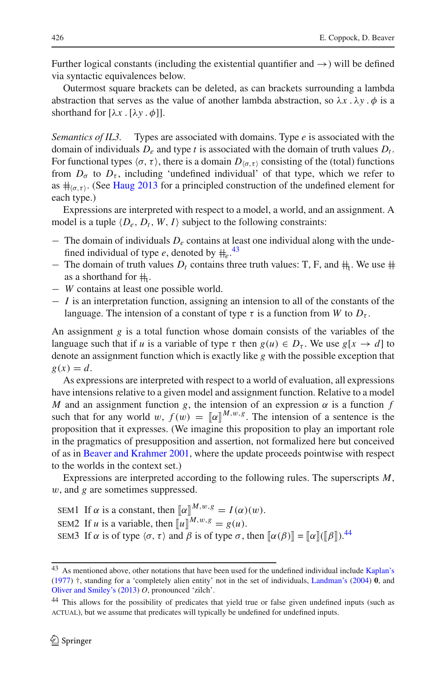Further logical constants (including the existential quantifier and  $\rightarrow$ ) will be defined via syntactic equivalences below.

Outermost square brackets can be deleted, as can brackets surrounding a lambda abstraction that serves as the value of another lambda abstraction, so  $\lambda x$ .  $\lambda y$ .  $\phi$  is a shorthand for  $[\lambda x \cdot [\lambda y \cdot \phi]]$ .

*Semantics of IL3.* Types are associated with domains. Type  $e$  is associated with the domain of individuals  $D_e$  and type *t* is associated with the domain of truth values  $D_t$ . For functional types  $\langle \sigma, \tau \rangle$ , there is a domain  $D_{\langle \sigma, \tau \rangle}$  consisting of the (total) functions from  $D_{\sigma}$  to  $D_{\tau}$ , including 'undefined individual' of that type, which we refer to as  $\#_{(\sigma,\tau)}$ . (See [Haug 2013](#page-56-25) for a principled construction of the undefined element for each type.)

Expressions are interpreted with respect to a model, a world, and an assignment. A model is a tuple  $\langle D_e, D_t, W, I \rangle$  subject to the following constraints:

- − The domain of individuals *De* contains at least one individual along with the undefined individual of type *e*, denoted by  $\#e^{43}$  $\#e^{43}$  $\#e^{43}$
- $-$  The domain of truth values  $D_t$  contains three truth values: T, F, and  $\#$ . We use  $\#$ as a shorthand for  $\#$ .
- − *W* contains at least one possible world.
- − *I* is an interpretation function, assigning an intension to all of the constants of the language. The intension of a constant of type  $\tau$  is a function from *W* to  $D_{\tau}$ .

An assignment *g* is a total function whose domain consists of the variables of the language such that if *u* is a variable of type  $\tau$  then  $g(u) \in D_{\tau}$ . We use  $g[x \to d]$  to denote an assignment function which is exactly like *g* with the possible exception that  $g(x) = d$ .

As expressions are interpreted with respect to a world of evaluation, all expressions have intensions relative to a given model and assignment function. Relative to a model *M* and an assignment function *g*, the intension of an expression  $\alpha$  is a function *f* such that for any world  $w, f(w) = [a]^{M,w,g}$ . The intension of a sentence is the proposition that it expresses. (We imagine this proposition to play an important role in the pragmatics of presupposition and assertion, not formalized here but conceived of as in [Beaver and Krahmer 2001](#page-55-0), where the update proceeds pointwise with respect to the worlds in the context set.)

Expressions are interpreted according to the following rules. The superscripts *M*, w, and *g* are sometimes suppressed.

- SEM1 If  $\alpha$  is a constant, then  $\llbracket \alpha \rrbracket^{M,w,g} = I(\alpha)(w)$ .
- SEM2 If *u* is a variable, then  $\llbracket u \rrbracket^{M,w,g} = g(u)$ .
- SEM3 If  $\alpha$  is of type  $\langle \sigma, \tau \rangle$  and  $\beta$  is of type  $\sigma$ , then  $\llbracket \alpha(\beta) \rrbracket = \llbracket \alpha \rrbracket (\llbracket \beta \rrbracket)$ .<sup>[44](#page-49-1)</sup>

<span id="page-49-0"></span><sup>&</sup>lt;sup>43</sup> As mentioned above, other notations that have been used for the undefined individual include [Kaplan's](#page-56-26) [\(1977](#page-56-26)) †, standing for a 'completely alien entity' not in the set of individuals, [Landman's](#page-57-25) [\(2004\)](#page-57-25) **0**, and [Oliver and Smiley's](#page-57-26) [\(2013\)](#page-57-26) *O*, pronounced 'zilch'.

<span id="page-49-1"></span><sup>&</sup>lt;sup>44</sup> This allows for the possibility of predicates that yield true or false given undefined inputs (such as actual), but we assume that predicates will typically be undefined for undefined inputs.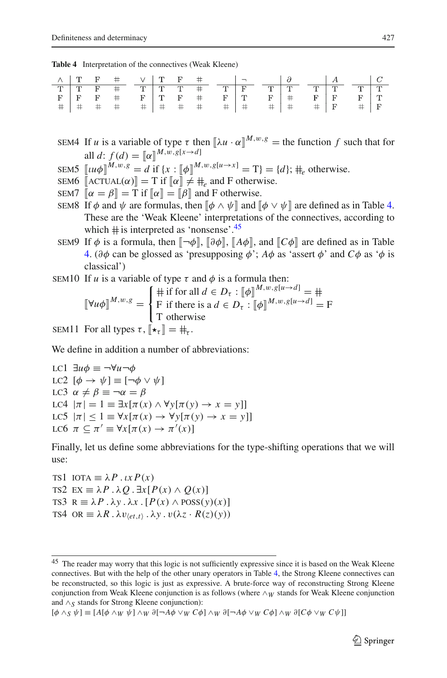<span id="page-50-0"></span>

SEM4 If *u* is a variable of type τ then  $[\lambda u \cdot \alpha]^{M,w,g}$  = the function f such that for all  $d$ :  $f(d) = [\![\alpha]\!]^{M,w,g[x \to d]}$ 

- SEM5  $\[\ [u\phi\]^{M,w,g} = d \text{ if } \{x : [\![\phi\]]^{M,w,g[u\to x]} = T\} = \{d\};\]$  +  $\]e$  otherwise.
- SEM6  $[\Delta \text{CTUAL}(\alpha)] = T \text{ if } [\alpha] \neq \#_e \text{ and } F \text{ otherwise.}$
- SEM7  $\llbracket \alpha = \beta \rrbracket = T$  if  $\llbracket \alpha \rrbracket = \llbracket \beta \rrbracket$  and F otherwise.
- SEM8 If  $\phi$  and  $\psi$  are formulas, then  $[\![\phi \land \psi]\!]$  and  $[\![\phi \lor \psi]\!]$  are defined as in Table [4.](#page-50-0) These are the 'Weak Kleene' interpretations of the connectives, according to which  $\#$  is interpreted as 'nonsense'.<sup>45</sup>
- SEM9 If  $\phi$  is a formula, then  $[\neg \phi], [\partial \phi], [A\phi],$  and  $[[C\phi]]$  are defined as in Table [4.](#page-50-0) ( $\partial \phi$  can be glossed as 'presupposing  $\phi$ ';  $A\phi$  as 'assert  $\phi$ ' and  $C\phi$  as ' $\phi$  is classical')
- sEM10 If *u* is a variable of type  $τ$  and  $φ$  is a formula then:

$$
\llbracket \forall u \phi \rrbracket^{M, w, g} = \begin{cases} \# \text{ if for all } d \in D_{\tau} : \llbracket \phi \rrbracket^{M, w, g[u \to d]} = \# \\ \mathrm{F} \text{ if there is a } d \in D_{\tau} : \llbracket \phi \rrbracket^{M, w, g[u \to d]} = \mathrm{F} \\ \mathrm{T} \text{ otherwise} \end{cases}
$$

SEM11 For all types  $\tau$ ,  $\left[\star_{\tau}\right] = \#_{\tau}$ .

We define in addition a number of abbreviations:

$$
LC1 \exists u\phi \equiv \neg \forall u \neg \phi
$$
  
\n
$$
LC2 \quad [\phi \rightarrow \psi] \equiv [\neg \phi \lor \psi]
$$
  
\n
$$
LC3 \quad \alpha \neq \beta \equiv \neg \alpha = \beta
$$
  
\n
$$
LC4 \quad |\pi| = 1 \equiv \exists x [\pi(x) \land \forall y [\pi(y) \to x = y]]
$$
  
\n
$$
LC5 \quad |\pi| \leq 1 \equiv \forall x [\pi(x) \to \forall y [\pi(y) \to x = y]]
$$
  
\n
$$
LC6 \quad \pi \subseteq \pi' \equiv \forall x [\pi(x) \to \pi'(x)]
$$

Finally, let us define some abbreviations for the type-shifting operations that we will use:

TS1 IOTA  $\equiv \lambda P \cdot \iota x P(x)$ TS2 EX  $\equiv \lambda P \cdot \lambda Q \cdot \exists x [P(x) \wedge Q(x)]$ TS3  $R = \lambda P \cdot \lambda y \cdot \lambda x \cdot [P(x) \wedge \text{Poss}(y)(x)]$ TS4 OR  $\equiv \lambda R \cdot \lambda v_{\langle et, t \rangle} \cdot \lambda y \cdot v(\lambda z \cdot R(z)(y))$ 

<span id="page-50-1"></span><sup>&</sup>lt;sup>45</sup> The reader may worry that this logic is not sufficiently expressive since it is based on the Weak Kleene connectives. But with the help of the other unary operators in Table [4,](#page-50-0) the Strong Kleene connectives can be reconstructed, so this logic is just as expressive. A brute-force way of reconstructing Strong Kleene conjunction from Weak Kleene conjunction is as follows (where ∧*<sup>W</sup>* stands for Weak Kleene conjunction and ∧*s* stands for Strong Kleene conjunction):

 $[\phi \wedge_S \psi] \equiv [A[\phi \wedge_W \psi] \wedge_W \partial[\neg A\phi \vee_W C\phi] \wedge_W \partial[\neg A\phi \vee_W C\phi] \wedge_W \partial[C\phi \vee_W C\psi]]$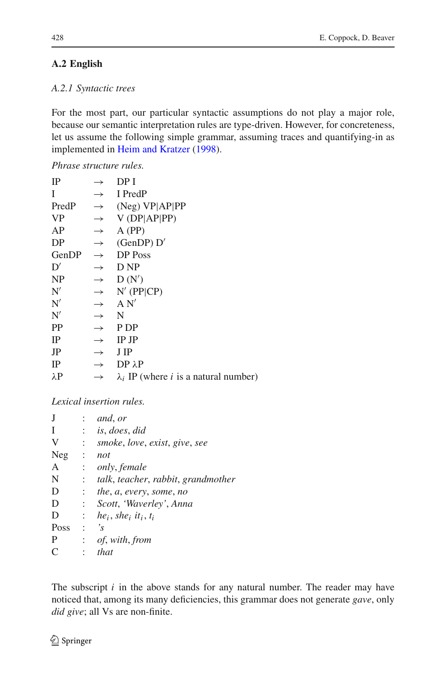# **A.2 English**

# *A.2.1 Syntactic trees*

For the most part, our particular syntactic assumptions do not play a major role, because our semantic interpretation rules are type-driven. However, for concreteness, let us assume the following simple grammar, assuming traces and quantifying-in as implemented in [Heim and Kratzer](#page-56-22) [\(1998\)](#page-56-22).

*Phrase structure rules.*

| $_{\rm IP}$ | $\rightarrow$ | DPI                                          |
|-------------|---------------|----------------------------------------------|
| I           | $\rightarrow$ | I PredP                                      |
| PredP       | $\rightarrow$ | (Neg) VP AP PP                               |
| <b>VP</b>   | $\rightarrow$ | $V$ (DP AP PP)                               |
| AP          | $\rightarrow$ | $A$ (PP)                                     |
| DP          | $\rightarrow$ | (GenDP) $D'$                                 |
| GenDP       | $\rightarrow$ | DP Poss                                      |
| D'          | $\rightarrow$ | D NP                                         |
| NP          | $\rightarrow$ | D(N')                                        |
| N'          | $\rightarrow$ | $N'$ (PP CP)                                 |
| N'          | $\rightarrow$ | A N'                                         |
| N'          | $\rightarrow$ | N                                            |
| <b>PP</b>   | $\rightarrow$ | P DP                                         |
| $_{\rm IP}$ | $\rightarrow$ | $IP$ $IP$                                    |
| JP          | $\rightarrow$ | J IP                                         |
| $_{\rm IP}$ | $\rightarrow$ | $DP \lambda P$                               |
| $\lambda$ P | $\rightarrow$ | $\lambda_i$ IP (where i is a natural number) |
|             |               |                                              |

*Lexical insertion rules.*

| J    | t.                        | and, or                                                               |
|------|---------------------------|-----------------------------------------------------------------------|
| I    |                           | is, does, did                                                         |
| V    | $\mathbb{R}^{\mathbb{Z}}$ | smoke, love, exist, give, see                                         |
| Neg  | $\therefore$              | not                                                                   |
| A    |                           | : only, female                                                        |
| N    | ÷.                        | talk, teacher, rabbit, grandmother                                    |
| D    | ÷                         | the, a, every, some, no                                               |
| D    | $\mathbb{R}^{\mathbb{Z}}$ | Scott, 'Waverley', Anna                                               |
| D    |                           | : he <sub>i</sub> , she <sub>i</sub> it <sub>i</sub> , t <sub>i</sub> |
| Poss | $\cdot$ :                 | $\cdot$ s                                                             |
| P    | $\mathbb{R}^{\mathbb{Z}}$ | <i>of, with, from</i>                                                 |
| C    |                           | that                                                                  |

The subscript *i* in the above stands for any natural number. The reader may have noticed that, among its many deficiencies, this grammar does not generate *gave*, only *did give*; all Vs are non-finite.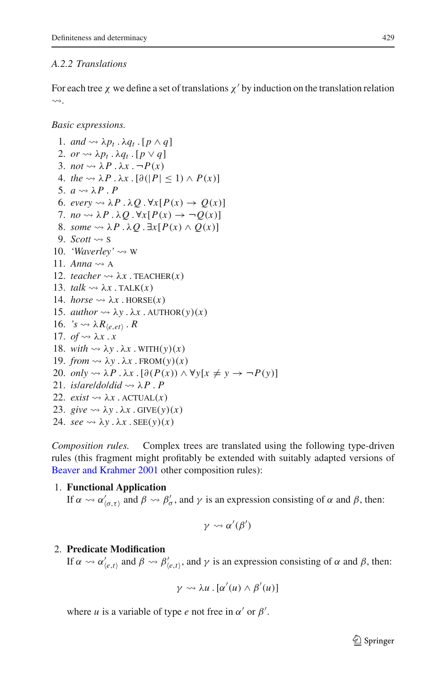### *A.2.2 Translations*

For each tree  $\chi$  we define a set of translations  $\chi'$  by induction on the translation relation  $\rightsquigarrow$ .

*Basic expressions.*

1. *and*  $\leadsto \lambda p_t \cdot \lambda q_t \cdot [p \wedge q]$ 2. *or*  $\leadsto \lambda p_t \cdot \lambda q_t \cdot [p \vee q]$ 3. *not*  $\leadsto \lambda P \cdot \lambda x \cdot \neg P(x)$  $4.$  *the*  $\leadsto \lambda P \cdot \lambda x \cdot [\partial(|P| \leq 1) \wedge P(x)]$ 5.  $a \rightsquigarrow \lambda P \cdot P$ 6. *every*  $\leadsto \lambda P \cdot \lambda Q \cdot \forall x [P(x) \rightarrow Q(x)]$ 7. *no*  $\leadsto \lambda P \cdot \lambda Q \cdot \forall x [P(x) \rightarrow \neg Q(x)]$ 8. *some*  $\rightsquigarrow \lambda P \cdot \lambda Q \cdot \exists x [P(x) \wedge Q(x)]$ 9. *Scott*  $\rightsquigarrow$  s 10. *'Waverley'*  $\rightsquigarrow$  w 11.  $Anna \leadsto A$ 12. *teacher*  $\leadsto \lambda x$ . **TEACHER** $(x)$ 13.  $talk \rightsquigarrow \lambda x \cdot \text{TALK}(x)$ 14. *horse*  $\leadsto \lambda x$ . HORSE(*x*) 15.  $author \rightsquigarrow \lambda y \cdot \lambda x \cdot \text{AUTHOR}(y)(x)$ 16. *'s*  $\leadsto \lambda R_{\langle e, et \rangle}$ . *R* 17. *of*  $\rightsquigarrow \lambda x \cdot x$ 18. *with*  $\leadsto \lambda y \cdot \lambda x \cdot \text{WITH}(y)(x)$ 19.  $from \rightarrow \lambda y \cdot \lambda x \cdot FROM(y)(x)$ 20. *only*  $\rightsquigarrow \lambda P \cdot \lambda x \cdot [\partial(P(x)) \wedge \forall y[x \neq y \rightarrow \neg P(y)]$ 21. *is/are/do/did*  $\rightsquigarrow$   $\lambda P$  . *P* 22.  $exist \rightarrow \lambda x \cdot \text{ACTUAL}(x)$ 23. *give*  $\leadsto \lambda y \cdot \lambda x \cdot \text{GIVE}(y)(x)$ 24.  $\text{see} \rightsquigarrow \lambda y \cdot \lambda x \cdot \text{SEE}(y)(x)$ 

*Composition rules.* Complex trees are translated using the following type-driven rules (this fragment might profitably be extended with suitably adapted versions of [Beaver and Krahmer 2001](#page-55-0) other composition rules):

#### 1. **Functional Application**

If  $\alpha \leadsto \alpha'_{(\sigma,\tau)}$  and  $\beta \leadsto \beta'_{\sigma}$ , and  $\gamma$  is an expression consisting of  $\alpha$  and  $\beta$ , then:

$$
\gamma \rightsquigarrow \alpha'(\beta')
$$

#### 2. **Predicate Modification**

If  $\alpha \leadsto \alpha'_{(e,t)}$  and  $\beta \leadsto \beta'_{(e,t)}$ , and  $\gamma$  is an expression consisting of  $\alpha$  and  $\beta$ , then:

$$
\gamma \rightsquigarrow \lambda u \cdot [\alpha'(u) \wedge \beta'(u)]
$$

where *u* is a variable of type *e* not free in  $\alpha'$  or  $\beta'$ .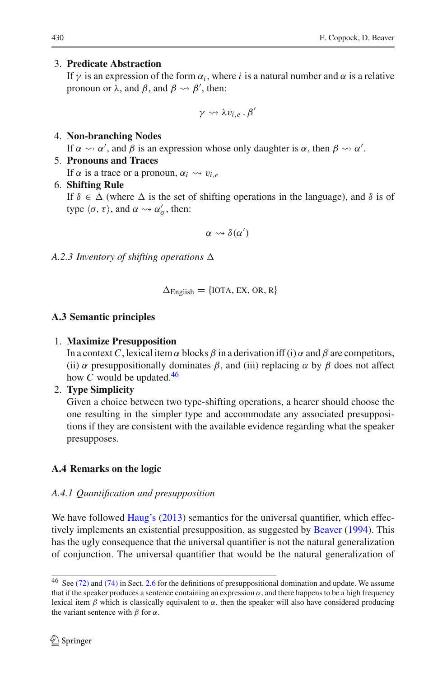# 3. **Predicate Abstraction**

If  $\gamma$  is an expression of the form  $\alpha_i$ , where *i* is a natural number and  $\alpha$  is a relative pronoun or  $\lambda$ , and  $\beta$ , and  $\beta \leadsto \beta'$ , then:

$$
\gamma \rightsquigarrow \lambda v_{i,e} \, . \, \beta'
$$

# 4. **Non-branching Nodes**

If  $\alpha \leadsto \alpha'$ , and  $\beta$  is an expression whose only daughter is  $\alpha$ , then  $\beta \leadsto \alpha'$ .

5. **Pronouns and Traces**

If  $\alpha$  is a trace or a pronoun,  $\alpha_i \leadsto v_{i,e}$ 

# 6. **Shifting Rule**

If  $\delta \in \Delta$  (where  $\Delta$  is the set of shifting operations in the language), and  $\delta$  is of type  $\langle \sigma, \tau \rangle$ , and  $\alpha \leadsto \alpha'_{\sigma}$ , then:

 $\alpha \leadsto \delta(\alpha')$ 

*A.2.3 Inventory of shifting operations*

$$
\Delta_{English} = \{IOTA, EX, OR, R\}
$$

# **A.3 Semantic principles**

# 1. **Maximize Presupposition**

In a context *C*, lexical item  $\alpha$  blocks  $\beta$  in a derivation iff (i)  $\alpha$  and  $\beta$  are competitors, (ii)  $\alpha$  presuppositionally dominates  $\beta$ , and (iii) replacing  $\alpha$  by  $\beta$  does not affect how *C* would be updated.<sup>46</sup>

2. **Type Simplicity**

Given a choice between two type-shifting operations, a hearer should choose the one resulting in the simpler type and accommodate any associated presuppositions if they are consistent with the available evidence regarding what the speaker presupposes.

# **A.4 Remarks on the logic**

# *A.4.1 Quantification and presupposition*

We have followed [Haug's](#page-56-25) [\(2013](#page-56-25)) semantics for the universal quantifier, which effectively implements an existential presupposition, as suggested by [Beaver](#page-55-8) [\(1994](#page-55-8)). This has the ugly consequence that the universal quantifier is not the natural generalization of conjunction. The universal quantifier that would be the natural generalization of

<span id="page-53-0"></span><sup>46</sup> See [\(72\)](#page-27-2) and [\(74\)](#page-27-3) in Sect. [2.6](#page-23-2) for the definitions of presuppositional domination and update. We assume that if the speaker produces a sentence containing an expression  $\alpha$ , and there happens to be a high frequency lexical item β which is classically equivalent to α, then the speaker will also have considered producing the variant sentence with  $\beta$  for  $\alpha$ .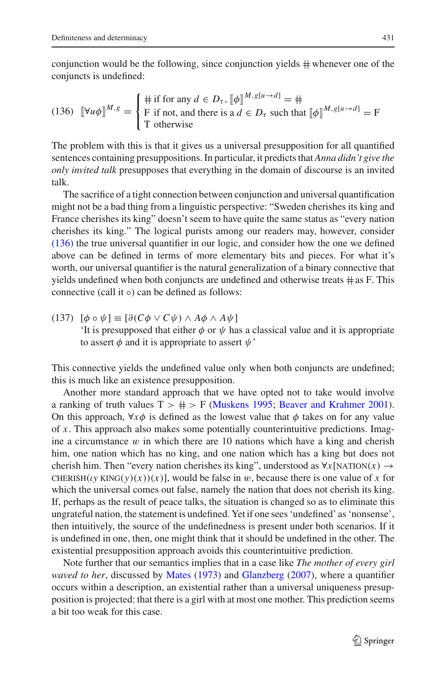conjunction would be the following, since conjunction yields  $#$  whenever one of the conjuncts is undefined:

<span id="page-54-0"></span>(136) 
$$
\[\nabla u \phi\]^{M,g} = \begin{cases} \# \text{ if for any } d \in D_{\tau}, \llbracket \phi \rrbracket^{M,g[u \to d]} = \# \\ \text{F if not, and there is a } d \in D_{\tau} \text{ such that } \llbracket \phi \rrbracket^{M,g[u \to d]} = \text{F} \\ \text{T otherwise} \end{cases}
$$

The problem with this is that it gives us a universal presupposition for all quantified sentences containing presuppositions. In particular, it predicts that *Anna didn't give the only invited talk* presupposes that everything in the domain of discourse is an invited talk.

The sacrifice of a tight connection between conjunction and universal quantification might not be a bad thing from a linguistic perspective: "Sweden cherishes its king and France cherishes its king" doesn't seem to have quite the same status as "every nation cherishes its king." The logical purists among our readers may, however, consider [\(136\)](#page-54-0) the true universal quantifier in our logic, and consider how the one we defined above can be defined in terms of more elementary bits and pieces. For what it's worth, our universal quantifier is the natural generalization of a binary connective that yields undefined when both conjuncts are undefined and otherwise treats  $\#$  as F. This connective (call it ◦) can be defined as follows:

(137)  $[\phi \circ \psi] \equiv [\partial(C\phi \vee C\psi) \wedge A\phi \wedge A\psi]$ 'It is presupposed that either  $\phi$  or  $\psi$  has a classical value and it is appropriate to assert  $\phi$  and it is appropriate to assert  $\psi'$ 

This connective yields the undefined value only when both conjuncts are undefined; this is much like an existence presupposition.

Another more standard approach that we have opted not to take would involve a ranking of truth values  $T > # > F$  [\(Muskens 1995](#page-57-33); [Beaver and Krahmer 2001](#page-55-0)). On this approach,  $\forall x \phi$  is defined as the lowest value that  $\phi$  takes on for any value of *x*. This approach also makes some potentially counterintuitive predictions. Imagine a circumstance  $w$  in which there are 10 nations which have a king and cherish him, one nation which has no king, and one nation which has a king but does not cherish him. Then "every nation cherishes its king", understood as  $\forall x$ [NATION(*x*)  $\rightarrow$ CHERISH(*ty* KING(*y*)(*x*))(*x*)], would be false in w, because there is one value of *x* for which the universal comes out false, namely the nation that does not cherish its king. If, perhaps as the result of peace talks, the situation is changed so as to eliminate this ungrateful nation, the statement is undefined. Yet if one sees 'undefined' as 'nonsense', then intuitively, the source of the undefinedness is present under both scenarios. If it is undefined in one, then, one might think that it should be undefined in the other. The existential presupposition approach avoids this counterintuitive prediction.

Note further that our semantics implies that in a case like *The mother of every girl waved to her*, discussed by [Mates](#page-57-2) [\(1973](#page-57-2)) and [Glanzberg](#page-56-1) [\(2007\)](#page-56-1), where a quantifier occurs within a description, an existential rather than a universal uniqueness presupposition is projected: that there is a girl with at most one mother. This prediction seems a bit too weak for this case.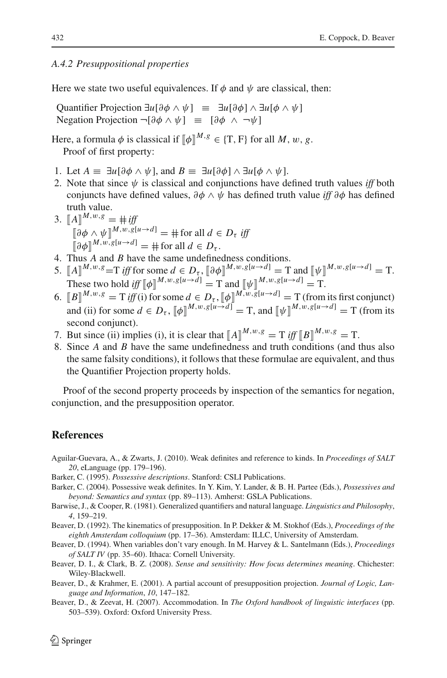#### *A.4.2 Presuppositional properties*

Here we state two useful equivalences. If  $\phi$  and  $\psi$  are classical, then:

Quantifier Projection ∃*u*[∂φ ∧ ψ]≡∃*u*[∂φ]∧∃*u*[φ ∧ ψ] Negation Projection  $\neg \exists \partial \phi \land \psi$  =  $[\partial \phi \land \neg \psi]$ 

Here, a formula  $\phi$  is classical if  $[\![\phi]\!]^{M,g} \in \{\text{T},\text{F}\}$  for all  $M, w, g$ . Proof of first property:

- 1. Let  $A = \exists u[\partial \phi \land \psi]$ , and  $B = \exists u[\partial \phi] \land \exists u[\phi \land \psi]$ .
- 2. Note that since  $\psi$  is classical and conjunctions have defined truth values *iff* both conjuncts have defined values,  $\partial \phi \wedge \psi$  has defined truth value *iff*  $\partial \phi$  has defined truth value.
- 3.  $[A]^{\,M,w,s} = \# \, \text{iff}$  $[\![\partial \phi \wedge \psi\!]^{M,w,g[\![u \to d]\!]} = \# \text{ for all } d \in D_\tau \text{ iff }$  $[\![\partial \phi\]]^{M,w,g[u\rightarrow d]} = \# \text{ for all } d \in D_{\tau}.$
- 4. Thus *A* and *B* have the same undefinedness conditions.
- 5.  $[A]^{\{M,w,g\}} = T$  *iff* for some  $d \in D_{\tau}$ ,  $[\partial \phi]^{\{M,w,g\{\mu \to d\}}} = T$  and  $[\![\psi]\!]^{\{M,w,g\{\mu \to d\}}} = T$ . These two hold *iff*  $[\![\phi]\!]^{M,w,g[\![u \to d]} = T$  and  $[\![\psi]\!]^{M,w,g[\![u \to d]} = T$ .
- 6.  $\llbracket B \rrbracket^{M,w,g} = \text{T} \text{ iff (i) for some } d \in D_{\tau}, \llbracket \phi \rrbracket^{M,w,g[\mu \to d]} = \text{T} \text{ (from its first conjunct)}$ and (ii) for some  $d \in D_{\tau}$ ,  $[\![\phi\]]^{M,w,g[\mu \to d]} = T$ , and  $[\![\psi\]]^{M,w,g[\mu \to d]} = T$  (from its second conjunct).
- 7. But since (ii) implies (i), it is clear that  $[A]^{\mathcal{M},w,g} = T$  *iff*  $[B]^{\mathcal{M},w,g} = T$ .
- 8. Since *A* and *B* have the same undefinedness and truth conditions (and thus also the same falsity conditions), it follows that these formulae are equivalent, and thus the Quantifier Projection property holds.

Proof of the second property proceeds by inspection of the semantics for negation, conjunction, and the presupposition operator.

### **References**

- <span id="page-55-3"></span>Aguilar-Guevara, A., & Zwarts, J. (2010). Weak definites and reference to kinds. In *Proceedings of SALT 20*, eLanguage (pp. 179–196).
- <span id="page-55-7"></span>Barker, C. (1995). *Possessive descriptions*. Stanford: CSLI Publications.
- <span id="page-55-2"></span>Barker, C. (2004). Possessive weak definites. In Y. Kim, Y. Lander, & B. H. Partee (Eds.), *Possessives and beyond: Semantics and syntax* (pp. 89–113). Amherst: GSLA Publications.
- <span id="page-55-5"></span>Barwise, J., & Cooper, R. (1981). Generalized quantifiers and natural language. *Linguistics and Philosophy*, *4*, 159–219.
- <span id="page-55-4"></span>Beaver, D. (1992). The kinematics of presupposition. In P. Dekker & M. Stokhof (Eds.), *Proceedings of the eighth Amsterdam colloquium* (pp. 17–36). Amsterdam: ILLC, University of Amsterdam.
- <span id="page-55-8"></span>Beaver, D. (1994). When variables don't vary enough. In M. Harvey & L. Santelmann (Eds.), *Proceedings of SALT IV* (pp. 35–60). Ithaca: Cornell University.
- <span id="page-55-6"></span>Beaver, D. I., & Clark, B. Z. (2008). *Sense and sensitivity: How focus determines meaning*. Chichester: Wiley-Blackwell.
- <span id="page-55-0"></span>Beaver, D., & Krahmer, E. (2001). A partial account of presupposition projection. *Journal of Logic, Language and Information*, *10*, 147–182.
- <span id="page-55-1"></span>Beaver, D., & Zeevat, H. (2007). Accommodation. In *The Oxford handbook of linguistic interfaces* (pp. 503–539). Oxford: Oxford University Press.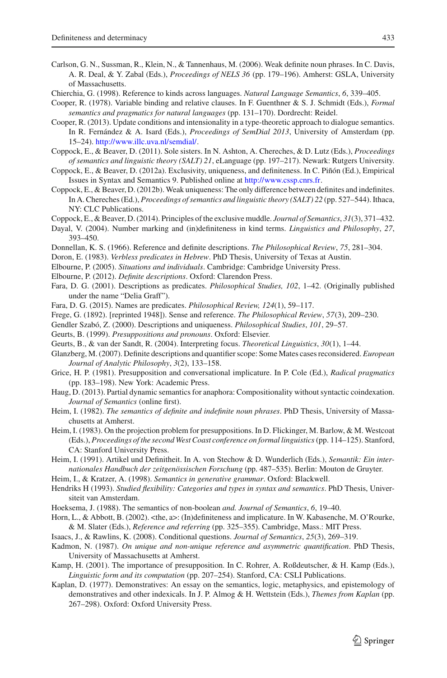- <span id="page-56-21"></span>Carlson, G. N., Sussman, R., Klein, N., & Tannenhaus, M. (2006). Weak definite noun phrases. In C. Davis, A. R. Deal, & Y. Zabal (Eds.), *Proceedings of NELS 36* (pp. 179–196). Amherst: GSLA, University of Massachusetts.
- <span id="page-56-0"></span>Chierchia, G. (1998). Reference to kinds across languages. *Natural Language Semantics*, *6*, 339–405.
- <span id="page-56-16"></span>Cooper, R. (1978). Variable binding and relative clauses. In F. Guenthner & S. J. Schmidt (Eds.), *Formal semantics and pragmatics for natural languages* (pp. 131–170). Dordrecht: Reidel.
- <span id="page-56-17"></span>Cooper, R. (2013). Update conditions and intensionality in a type-theoretic approach to dialogue semantics. In R. Fernández & A. Isard (Eds.), *Proceedings of SemDial 2013*, University of Amsterdam (pp. 15–24). [http://www.illc.uva.nl/semdial/.](http://www.illc.uva.nl/semdial/)
- <span id="page-56-24"></span>Coppock, E., & Beaver, D. (2011). Sole sisters. In N. Ashton, A. Chereches, & D. Lutz (Eds.), *Proceedings of semantics and linguistic theory (SALT) 21*, eLanguage (pp. 197–217). Newark: Rutgers University.
- <span id="page-56-23"></span>Coppock, E., & Beaver, D. (2012a). Exclusivity, uniqueness, and definiteness. In C. Piñón (Ed.), Empirical Issues in Syntax and Semantics 9. Published online at [http://www.cssp.cnrs.fr.](http://www.cssp.cnrs.fr)
- <span id="page-56-4"></span>Coppock, E., & Beaver, D. (2012b). Weak uniqueness: The only difference between definites and indefinites. In A. Chereches (Ed.), *Proceedings of semantics and linguistic theory (SALT) 22* (pp. 527–544). Ithaca, NY: CLC Publications.
- <span id="page-56-15"></span>Coppock, E., & Beaver, D. (2014). Principles of the exclusive muddle. *Journal of Semantics*, *31*(3), 371–432.
- <span id="page-56-31"></span>Dayal, V. (2004). Number marking and (in)definiteness in kind terms. *Linguistics and Philosophy*, *27*, 393–450.
- <span id="page-56-2"></span>Donnellan, K. S. (1966). Reference and definite descriptions. *The Philosophical Review*, *75*, 281–304.
- <span id="page-56-11"></span>Doron, E. (1983). *Verbless predicates in Hebrew*. PhD Thesis, University of Texas at Austin.
- <span id="page-56-9"></span>Elbourne, P. (2005). *Situations and individuals*. Cambridge: Cambridge University Press.
- <span id="page-56-3"></span>Elbourne, P. (2012). *Definite descriptions*. Oxford: Clarendon Press.
- <span id="page-56-8"></span>Fara, D. G. (2001). Descriptions as predicates. *Philosophical Studies, 102*, 1–42. (Originally published under the name "Delia Graff").
- <span id="page-56-10"></span>Fara, D. G. (2015). Names are predicates. *Philosophical Review, 124*(1), 59–117.
- <span id="page-56-6"></span>Frege, G. (1892). [reprinted 1948]). Sense and reference. *The Philosophical Review*, *57*(3), 209–230.
- <span id="page-56-30"></span>Gendler Szabó, Z. (2000). Descriptions and uniqueness. *Philosophical Studies*, *101*, 29–57.
- <span id="page-56-19"></span>Geurts, B. (1999). *Presuppositions and pronouns*. Oxford: Elsevier.
- <span id="page-56-28"></span>Geurts, B., & van der Sandt, R. (2004). Interpreting focus. *Theoretical Linguistics*, *30*(1), 1–44.
- <span id="page-56-1"></span>Glanzberg, M. (2007). Definite descriptions and quantifier scope: Some Mates cases reconsidered. *European Journal of Analytic Philosophy*, *3*(2), 133–158.
- <span id="page-56-13"></span>Grice, H. P. (1981). Presupposition and conversational implicature. In P. Cole (Ed.), *Radical pragmatics* (pp. 183–198). New York: Academic Press.
- <span id="page-56-25"></span>Haug, D. (2013). Partial dynamic semantics for anaphora: Compositionality without syntactic coindexation. *Journal of Semantics* (online first).
- <span id="page-56-14"></span>Heim, I. (1982). *The semantics of definite and indefinite noun phrases*. PhD Thesis, University of Massachusetts at Amherst.
- <span id="page-56-18"></span>Heim, I. (1983). On the projection problem for presuppositions. In D. Flickinger, M. Barlow, & M. Westcoat (Eds.), *Proceedings of the second West Coast conference on formal linguistics*(pp. 114–125). Stanford, CA: Stanford University Press.

<span id="page-56-5"></span>Heim, I. (1991). Artikel und Definitheit. In A. von Stechow & D. Wunderlich (Eds.), *Semantik: Ein internationales Handbuch der zeitgenössischen Forschung* (pp. 487–535). Berlin: Mouton de Gruyter.

- <span id="page-56-22"></span>Heim, I., & Kratzer, A. (1998). *Semantics in generative grammar*. Oxford: Blackwell.
- <span id="page-56-27"></span>Hendriks H (1993). *Studied flexibility: Categories and types in syntax and semantics*. PhD Thesis, Universiteit van Amsterdam.
- <span id="page-56-12"></span>Hoeksema, J. (1988). The semantics of non-boolean *and. Journal of Semantics*, *6*, 19–40.
- <span id="page-56-7"></span>Horn, L., & Abbott, B. (2002). <the, a>: (In)definiteness and implicature. In W. Kabasenche, M. O'Rourke, & M. Slater (Eds.), *Reference and referring* (pp. 325–355). Cambridge, Mass.: MIT Press.
- <span id="page-56-29"></span>Isaacs, J., & Rawlins, K. (2008). Conditional questions. *Journal of Semantics*, *25*(3), 269–319.
- <span id="page-56-20"></span>Kadmon, N. (1987). *On unique and non-unique reference and asymmetric quantification*. PhD Thesis, University of Massachusetts at Amherst.
- <span id="page-56-32"></span>Kamp, H. (2001). The importance of presupposition. In C. Rohrer, A. Roßdeutscher, & H. Kamp (Eds.), *Linguistic form and its computation* (pp. 207–254). Stanford, CA: CSLI Publications.
- <span id="page-56-26"></span>Kaplan, D. (1977). Demonstratives: An essay on the semantics, logic, metaphysics, and epistemology of demonstratives and other indexicals. In J. P. Almog & H. Wettstein (Eds.), *Themes from Kaplan* (pp. 267–298). Oxford: Oxford University Press.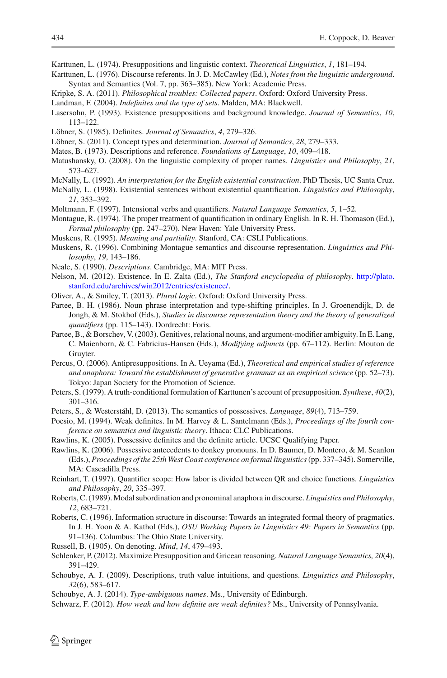<span id="page-57-27"></span>Karttunen, L. (1974). Presuppositions and linguistic context. *Theoretical Linguistics*, *1*, 181–194.

- <span id="page-57-15"></span>Karttunen, L. (1976). Discourse referents. In J. D. McCawley (Ed.), *Notes from the linguistic underground*. Syntax and Semantics (Vol. 7, pp. 363–385). New York: Academic Press.
- <span id="page-57-13"></span>Kripke, S. A. (2011). *Philosophical troubles: Collected papers*. Oxford: Oxford University Press.
- <span id="page-57-25"></span>Landman, F. (2004). *Indefinites and the type of sets*. Malden, MA: Blackwell.
- <span id="page-57-9"></span>Lasersohn, P. (1993). Existence presuppositions and background knowledge. *Journal of Semantics*, *10*, 113–122.
- <span id="page-57-17"></span><span id="page-57-1"></span>Löbner, S. (1985). Definites. *Journal of Semantics*, *4*, 279–326.
- Löbner, S. (2011). Concept types and determination. *Journal of Semantics*, *28*, 279–333.
- <span id="page-57-2"></span>Mates, B. (1973). Descriptions and reference. *Foundations of Language*, *10*, 409–418.
- <span id="page-57-6"></span>Matushansky, O. (2008). On the linguistic complexity of proper names. *Linguistics and Philosophy*, *21*, 573–627.
- <span id="page-57-18"></span>McNally, L. (1992). *An interpretation for the English existential construction*. PhD Thesis, UC Santa Cruz.
- <span id="page-57-19"></span>McNally, L. (1998). Existential sentences without existential quantification. *Linguistics and Philosophy*, *21*, 353–392.
- <span id="page-57-29"></span>Moltmann, F. (1997). Intensional verbs and quantifiers. *Natural Language Semantics*, *5*, 1–52.
- <span id="page-57-14"></span>Montague, R. (1974). The proper treatment of quantification in ordinary English. In R. H. Thomason (Ed.), *Formal philosophy* (pp. 247–270). New Haven: Yale University Press.
- <span id="page-57-33"></span>Muskens, R. (1995). *Meaning and partiality*. Stanford, CA: CSLI Publications.
- <span id="page-57-11"></span>Muskens, R. (1996). Combining Montague semantics and discourse representation. *Linguistics and Philosophy*, *19*, 143–186.
- <span id="page-57-8"></span>Neale, S. (1990). *Descriptions*. Cambridge, MA: MIT Press.
- <span id="page-57-12"></span>Nelson, M. (2012). Existence. In E. Zalta (Ed.), *The Stanford encyclopedia of philosophy*. [http://plato.](http://plato.stanford.edu/archives/win2012/entries/existence/) [stanford.edu/archives/win2012/entries/existence/.](http://plato.stanford.edu/archives/win2012/entries/existence/)
- <span id="page-57-26"></span>Oliver, A., & Smiley, T. (2013). *Plural logic*. Oxford: Oxford University Press.
- <span id="page-57-0"></span>Partee, B. H. (1986). Noun phrase interpretation and type-shifting principles. In J. Groenendijk, D. de Jongh, & M. Stokhof (Eds.), *Studies in discourse representation theory and the theory of generalized quantifiers* (pp. 115–143). Dordrecht: Foris.
- <span id="page-57-31"></span>Partee, B., & Borschev, V. (2003). Genitives, relational nouns, and argument-modifier ambiguity. In E. Lang, C. Maienborn, & C. Fabricius-Hansen (Eds.), *Modifying adjuncts* (pp. 67–112). Berlin: Mouton de Gruyter.
- <span id="page-57-4"></span>Percus, O. (2006). Antipresuppositions. In A. Ueyama (Ed.), *Theoretical and empirical studies of reference and anaphora: Toward the establishment of generative grammar as an empirical science* (pp. 52–73). Tokyo: Japan Society for the Promotion of Science.
- <span id="page-57-24"></span>Peters, S. (1979). A truth-conditional formulation of Karttunen's account of presupposition. *Synthese*, *40*(2), 301–316.
- <span id="page-57-30"></span>Peters, S., & Westerståhl, D. (2013). The semantics of possessives. *Language*, *89*(4), 713–759.
- <span id="page-57-20"></span>Poesio, M. (1994). Weak definites. In M. Harvey & L. Santelmann (Eds.), *Proceedings of the fourth conference on semantics and linguistic theory*. Ithaca: CLC Publications.
- <span id="page-57-21"></span>Rawlins, K. (2005). Possessive definites and the definite article. UCSC Qualifying Paper.
- <span id="page-57-22"></span>Rawlins, K. (2006). Possessive antecedents to donkey pronouns. In D. Baumer, D. Montero, & M. Scanlon (Eds.), *Proceedings of the 25th West Coast conference on formal linguistics*(pp. 337–345). Somerville, MA: Cascadilla Press.
- <span id="page-57-32"></span>Reinhart, T. (1997). Quantifier scope: How labor is divided between QR and choice functions. *Linguistics and Philosophy*, *20*, 335–397.
- <span id="page-57-16"></span>Roberts, C. (1989). Modal subordination and pronominal anaphora in discourse. *Linguistics and Philosophy*, *12*, 683–721.
- <span id="page-57-28"></span>Roberts, C. (1996). Information structure in discourse: Towards an integrated formal theory of pragmatics. In J. H. Yoon & A. Kathol (Eds.), *OSU Working Papers in Linguistics 49: Papers in Semantics* (pp. 91–136). Columbus: The Ohio State University.
- <span id="page-57-5"></span>Russell, B. (1905). On denoting. *Mind*, *14*, 479–493.
- <span id="page-57-3"></span>Schlenker, P. (2012). Maximize Presupposition and Gricean reasoning. *Natural Language Semantics, 20*(4), 391–429.
- <span id="page-57-10"></span>Schoubye, A. J. (2009). Descriptions, truth value intuitions, and questions. *Linguistics and Philosophy*, *32*(6), 583–617.
- <span id="page-57-7"></span>Schoubye, A. J. (2014). *Type-ambiguous names*. Ms., University of Edinburgh.
- <span id="page-57-23"></span>Schwarz, F. (2012). *How weak and how definite are weak definites?* Ms., University of Pennsylvania.